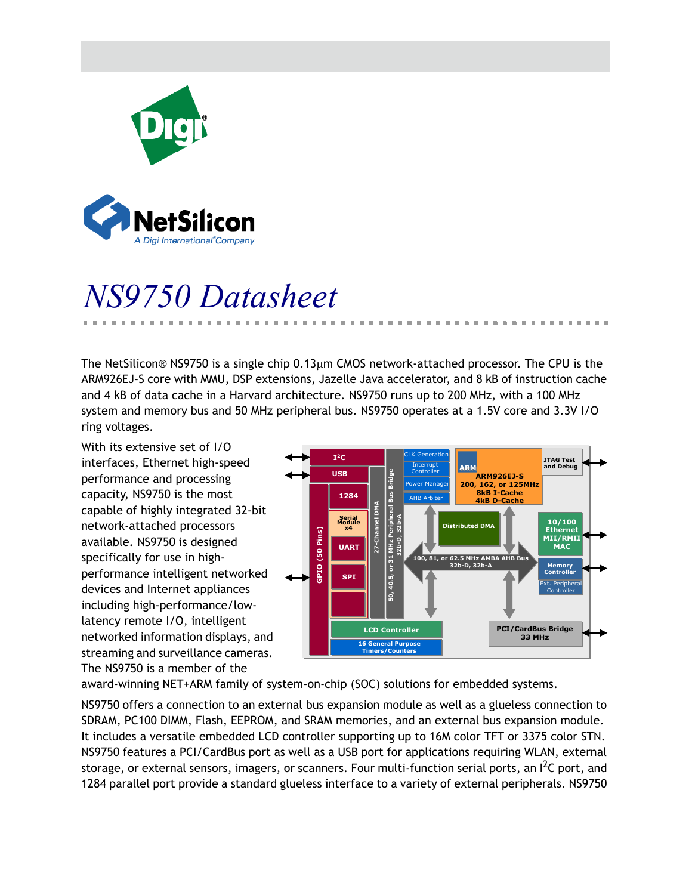

# *NS9750 Datasheet*

The NetSilicon® NS9750 is a single chip 0.13µm CMOS network-attached processor. The CPU is the ARM926EJ-S core with MMU, DSP extensions, Jazelle Java accelerator, and 8 kB of instruction cache and 4 kB of data cache in a Harvard architecture. NS9750 runs up to 200 MHz, with a 100 MHz system and memory bus and 50 MHz peripheral bus. NS9750 operates at a 1.5V core and 3.3V I/O ring voltages.

With its extensive set of I/O interfaces, Ethernet high-speed performance and processing capacity, NS9750 is the most capable of highly integrated 32-bit network-attached processors available. NS9750 is designed specifically for use in highperformance intelligent networked devices and Internet appliances including high-performance/lowlatency remote I/O, intelligent networked information displays, and streaming and surveillance cameras. The NS9750 is a member of the



award-winning NET+ARM family of system-on-chip (SOC) solutions for embedded systems.

NS9750 offers a connection to an external bus expansion module as well as a glueless connection to SDRAM, PC100 DIMM, Flash, EEPROM, and SRAM memories, and an external bus expansion module. It includes a versatile embedded LCD controller supporting up to 16M color TFT or 3375 color STN. NS9750 features a PCI/CardBus port as well as a USB port for applications requiring WLAN, external storage, or external sensors, imagers, or scanners. Four multi-function serial ports, an  $I^2C$  port, and 1284 parallel port provide a standard glueless interface to a variety of external peripherals. NS9750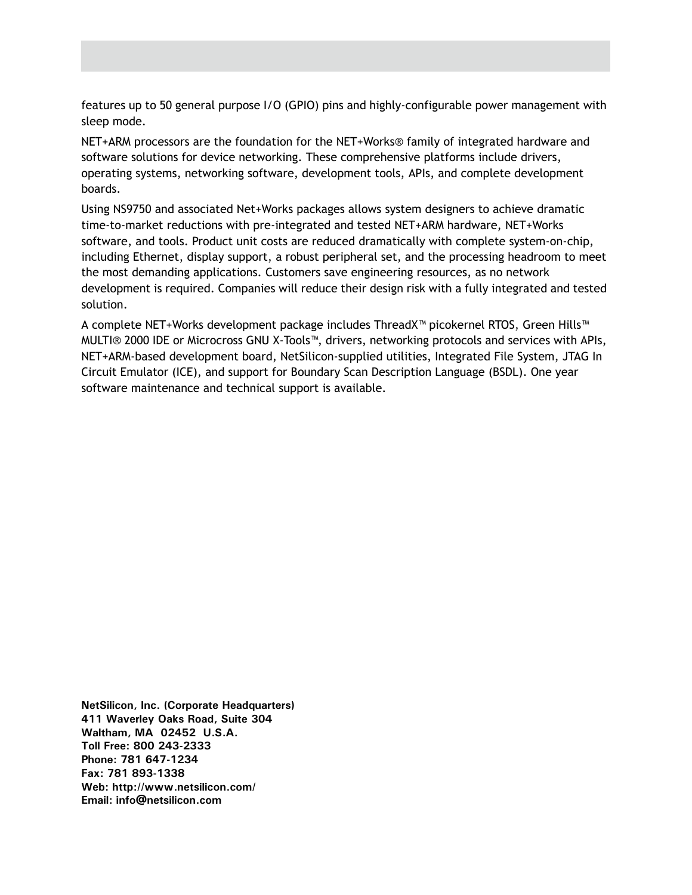features up to 50 general purpose I/O (GPIO) pins and highly-configurable power management with sleep mode.

NET+ARM processors are the foundation for the NET+Works® family of integrated hardware and software solutions for device networking. These comprehensive platforms include drivers, operating systems, networking software, development tools, APIs, and complete development boards.

Using NS9750 and associated Net+Works packages allows system designers to achieve dramatic time-to-market reductions with pre-integrated and tested NET+ARM hardware, NET+Works software, and tools. Product unit costs are reduced dramatically with complete system-on-chip, including Ethernet, display support, a robust peripheral set, and the processing headroom to meet the most demanding applications. Customers save engineering resources, as no network development is required. Companies will reduce their design risk with a fully integrated and tested solution.

A complete NET+Works development package includes ThreadX™ picokernel RTOS, Green Hills™ MULTI® 2000 IDE or Microcross GNU X-Tools™, drivers, networking protocols and services with APIs, NET+ARM-based development board, NetSilicon-supplied utilities, Integrated File System, JTAG In Circuit Emulator (ICE), and support for Boundary Scan Description Language (BSDL). One year software maintenance and technical support is available.

**NetSilicon, Inc. (Corporate Headquarters) 411 Waverley Oaks Road, Suite 304 Waltham, MA 02452 U.S.A. Toll Free: 800 243-2333 Phone: 781 647-1234 Fax: 781 893-1338 Web: http://www.netsilicon.com/ Email: info@netsilicon.com**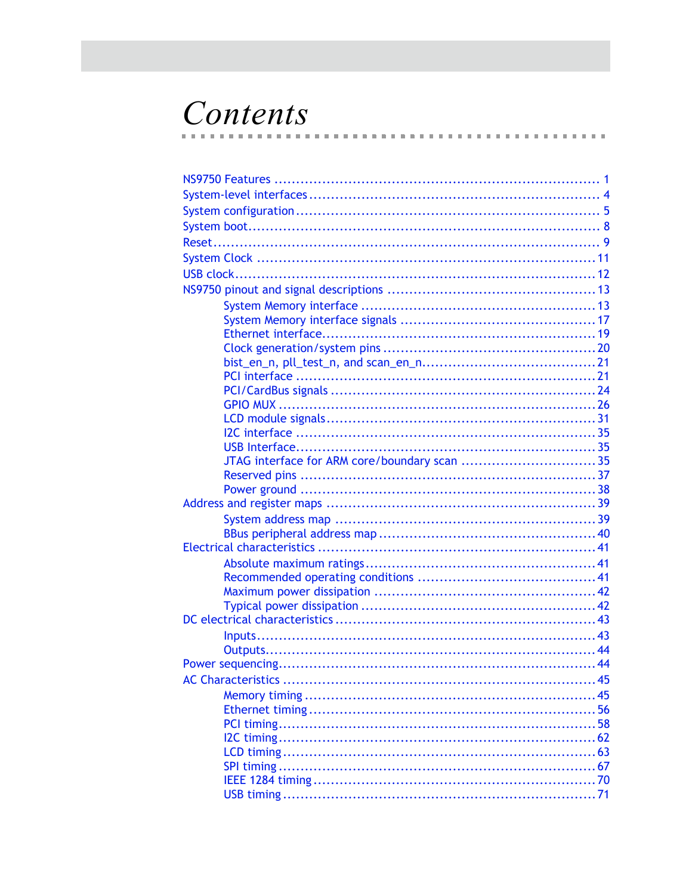# Contents  $\sim$

 $\mathbf{m}$ m.  $\blacksquare$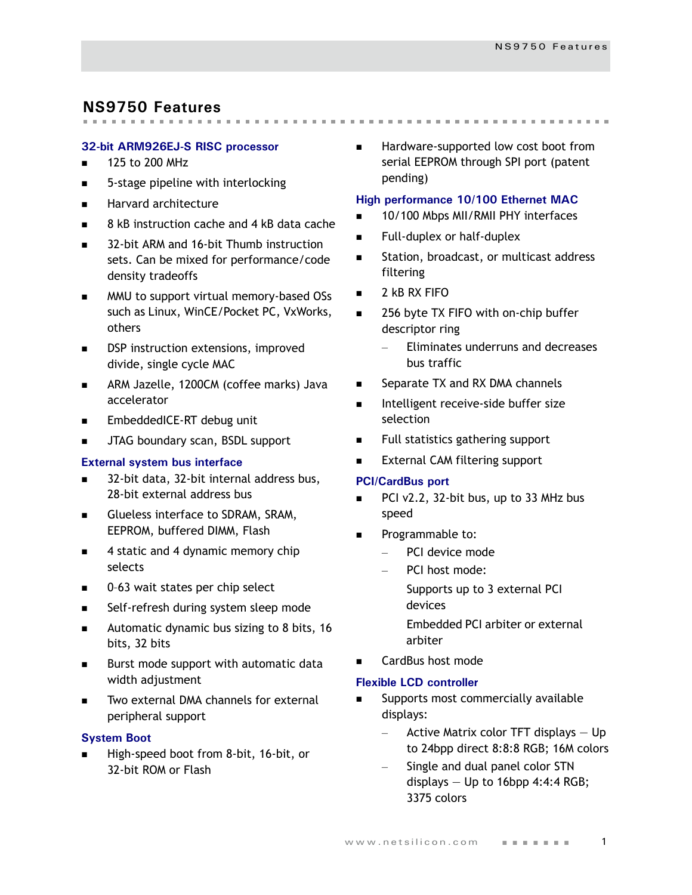# <span id="page-4-0"></span>**NS9750 Features**

#### **32-bit ARM926EJ-S RISC processor**

- $\blacksquare$  125 to 200 MHz
- 5-stage pipeline with interlocking
- **Harvard architecture**
- 8 kB instruction cache and 4 kB data cache
- 32-bit ARM and 16-bit Thumb instruction sets. Can be mixed for performance/code density tradeoffs
- MMU to support virtual memory-based OSs such as Linux, WinCE/Pocket PC, VxWorks, others
- DSP instruction extensions, improved divide, single cycle MAC
- **ARM Jazelle, 1200CM (coffee marks) Java** accelerator
- EmbeddedICE-RT debug unit
- JTAG boundary scan, BSDL support

#### **External system bus interface**

- 32-bit data, 32-bit internal address bus, 28-bit external address bus
- Glueless interface to SDRAM, SRAM, EEPROM, buffered DIMM, Flash
- 4 static and 4 dynamic memory chip selects
- 0-63 wait states per chip select
- Self-refresh during system sleep mode
- **Automatic dynamic bus sizing to 8 bits, 16** bits, 32 bits
- **Burst mode support with automatic data** width adjustment
- Two external DMA channels for external peripheral support

#### **System Boot**

 High-speed boot from 8-bit, 16-bit, or 32-bit ROM or Flash

■ Hardware-supported low cost boot from serial EEPROM through SPI port (patent pending)

#### **High performance 10/100 Ethernet MAC**

- 10/100 Mbps MII/RMII PHY interfaces
- **Full-duplex or half-duplex**
- **Station, broadcast, or multicast address** filtering
- 2 kB RX FIFO
- 256 byte TX FIFO with on-chip buffer descriptor ring
	- Eliminates underruns and decreases bus traffic
- Separate TX and RX DMA channels
- **Intelligent receive-side buffer size** selection
- Full statistics gathering support
- External CAM filtering support

#### **PCI/CardBus port**

- PCI v2.2, 32-bit bus, up to 33 MHz bus speed
- Programmable to:
	- PCI device mode
	- PCI host mode:

Supports up to 3 external PCI devices

Embedded PCI arbiter or external arbiter

CardBus host mode

#### **Flexible LCD controller**

- Supports most commercially available displays:
	- $-$  Active Matrix color TFT displays  $-$  Up to 24bpp direct 8:8:8 RGB; 16M colors
	- Single and dual panel color STN displays  $-$  Up to 16bpp 4:4:4 RGB; 3375 colors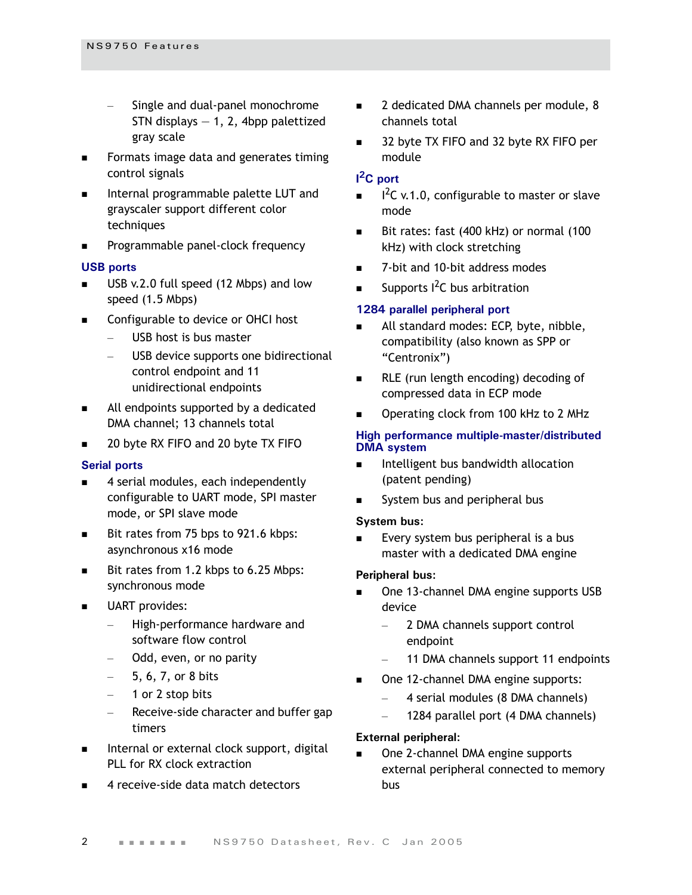- Single and dual-panel monochrome STN displays  $-1$ , 2, 4bpp palettized gray scale
- **Formats image data and generates timing** control signals
- Internal programmable palette LUT and grayscaler support different color techniques
- **Programmable panel-clock frequency**

#### **USB ports**

- USB v.2.0 full speed (12 Mbps) and low speed (1.5 Mbps)
- Configurable to device or OHCI host
	- USB host is bus master
	- USB device supports one bidirectional control endpoint and 11 unidirectional endpoints
- All endpoints supported by a dedicated DMA channel; 13 channels total
- 20 byte RX FIFO and 20 byte TX FIFO

#### **Serial ports**

- 4 serial modules, each independently configurable to UART mode, SPI master mode, or SPI slave mode
- Bit rates from 75 bps to 921.6 kbps: asynchronous x16 mode
- Bit rates from 1.2 kbps to 6.25 Mbps: synchronous mode
- UART provides:
	- High-performance hardware and software flow control
	- Odd, even, or no parity
	- 5, 6, 7, or 8 bits
	- 1 or 2 stop bits
	- Receive-side character and buffer gap timers
- Internal or external clock support, digital PLL for RX clock extraction
- 4 receive-side data match detectors
- 2 dedicated DMA channels per module, 8 channels total
- 32 byte TX FIFO and 32 byte RX FIFO per module

# **I 2C port**

- $I^2C$  v.1.0, configurable to master or slave mode
- Bit rates: fast (400 kHz) or normal (100 kHz) with clock stretching
- 7-bit and 10-bit address modes
- Supports <sup>2</sup>C bus arbitration

#### **1284 parallel peripheral port**

- All standard modes: ECP, byte, nibble, compatibility (also known as SPP or "Centronix")
- RLE (run length encoding) decoding of compressed data in ECP mode
- Operating clock from 100 kHz to 2 MHz

#### **High performance multiple-master/distributed DMA system**

- Intelligent bus bandwidth allocation (patent pending)
- System bus and peripheral bus

#### **System bus:**

 Every system bus peripheral is a bus master with a dedicated DMA engine

#### **Peripheral bus:**

- One 13-channel DMA engine supports USB device
	- 2 DMA channels support control endpoint
	- 11 DMA channels support 11 endpoints
- One 12-channel DMA engine supports:
	- 4 serial modules (8 DMA channels)
	- 1284 parallel port (4 DMA channels)

#### **External peripheral:**

 One 2-channel DMA engine supports external peripheral connected to memory bus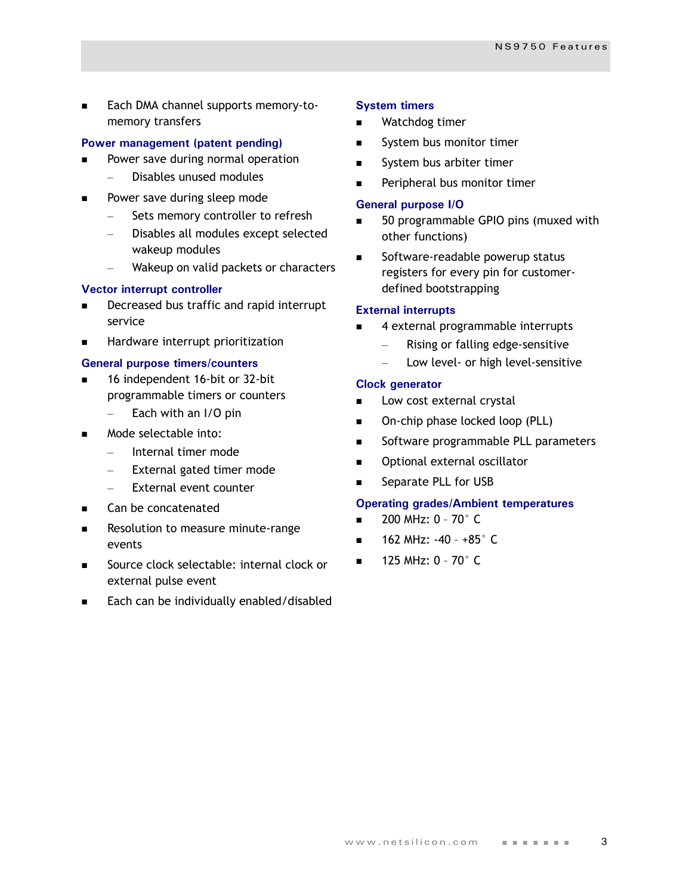**Each DMA channel supports memory-to**memory transfers

#### **Power management (patent pending)**

- Power save during normal operation
	- Disables unused modules
- Power save during sleep mode
	- Sets memory controller to refresh
	- Disables all modules except selected wakeup modules
	- Wakeup on valid packets or characters

#### **Vector interrupt controller**

- Decreased bus traffic and rapid interrupt service
- **Hardware interrupt prioritization**

#### **General purpose timers/counters**

- 16 independent 16-bit or 32-bit programmable timers or counters
	- $-$  Each with an I/O pin
- Mode selectable into:
	- Internal timer mode
	- External gated timer mode
	- External event counter
- **EXEC** Can be concatenated
- **Resolution to measure minute-range** events
- Source clock selectable: internal clock or external pulse event
- Each can be individually enabled/disabled

#### **System timers**

- Watchdog timer
- System bus monitor timer
- System bus arbiter timer
- Peripheral bus monitor timer

#### **General purpose I/O**

- 50 programmable GPIO pins (muxed with other functions)
- Software-readable powerup status registers for every pin for customerdefined bootstrapping

#### **External interrupts**

- 4 external programmable interrupts
	- Rising or falling edge-sensitive
	- Low level- or high level-sensitive

#### **Clock generator**

- Low cost external crystal
- On-chip phase locked loop (PLL)
- Software programmable PLL parameters
- Optional external oscillator
- Separate PLL for USB

#### **Operating grades/Ambient temperatures**

- 200 MHz: 0 70° C
- 162 MHz: -40 +85° C
- 125 MHz: 0 70° C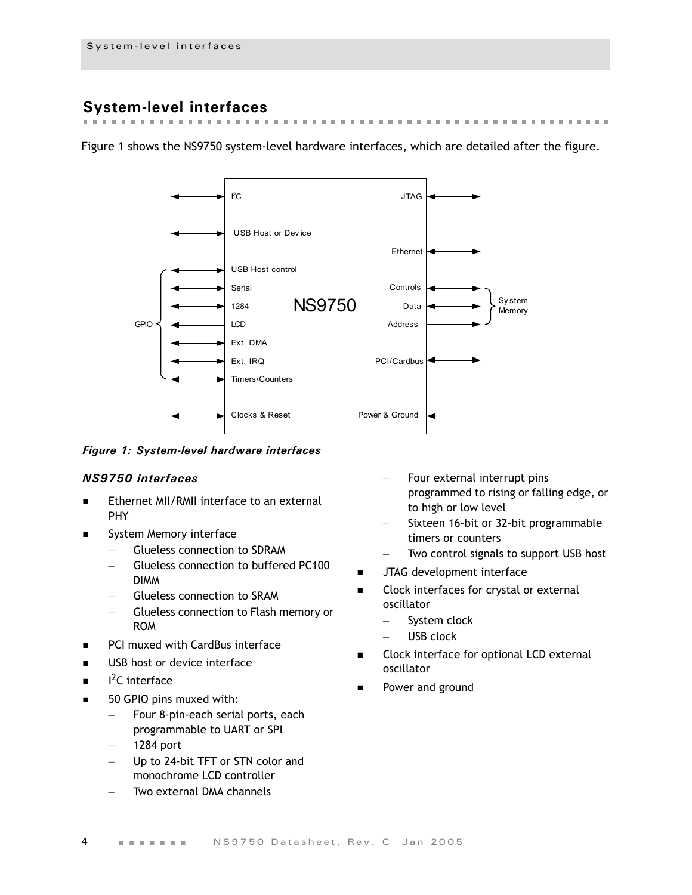# <span id="page-7-0"></span>**System-level interfaces**

 $\sim$  $\sim$  $\sim$  $\mathcal{M} \rightarrow \mathcal{M}$ 

Figure 1 shows the NS9750 system-level hardware interfaces, which are detailed after the figure.



#### *Figure 1: System-level hardware interfaces*

#### *NS9750 interfaces*

- Ethernet MII/RMII interface to an external PHY
- System Memory interface
	- Glueless connection to SDRAM
	- Glueless connection to buffered PC100 DIMM
	- Glueless connection to SRAM
	- Glueless connection to Flash memory or ROM
- **PCI muxed with CardBus interface**
- USB host or device interface
- **i**  $1<sup>2</sup>C$  interface
- 50 GPIO pins muxed with:
	- Four 8-pin-each serial ports, each programmable to UART or SPI
	- 1284 port
	- Up to 24-bit TFT or STN color and monochrome LCD controller
	- Two external DMA channels
- Four external interrupt pins programmed to rising or falling edge, or to high or low level
- Sixteen 16-bit or 32-bit programmable timers or counters
- Two control signals to support USB host
- **JTAG** development interface
- **EXECLOCK interfaces for crystal or external** oscillator
	- System clock
	- USB clock
- Clock interface for optional LCD external oscillator
- Power and ground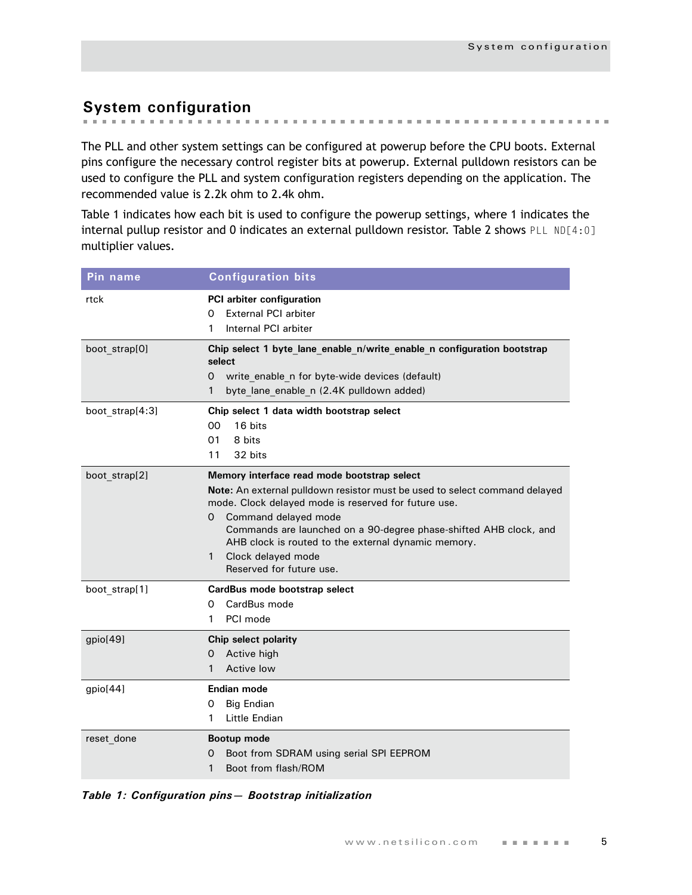# <span id="page-8-0"></span>**System configuration**

The PLL and other system settings can be configured at powerup before the CPU boots. External pins configure the necessary control register bits at powerup. External pulldown resistors can be used to configure the PLL and system configuration registers depending on the application. The recommended value is 2.2k ohm to 2.4k ohm.

[Table 1](#page-8-1) indicates how each bit is used to configure the powerup settings, where 1 indicates the internal pullup resistor and 0 indicates an external pulldown resistor. [Table 2](#page-9-0) shows PLL ND[4:0] multiplier values.

| Pin name        | <b>Configuration bits</b>                                                                                                                                                                                                                                                                                                                                                                         |
|-----------------|---------------------------------------------------------------------------------------------------------------------------------------------------------------------------------------------------------------------------------------------------------------------------------------------------------------------------------------------------------------------------------------------------|
| rtck            | PCI arbiter configuration<br><b>External PCI arbiter</b><br>0<br>Internal PCI arbiter<br>1                                                                                                                                                                                                                                                                                                        |
| boot strap[0]   | Chip select 1 byte lane enable n/write enable n configuration bootstrap<br>select<br>write enable n for byte-wide devices (default)<br>0<br>byte lane enable n (2.4K pulldown added)<br>1                                                                                                                                                                                                         |
| boot strap[4:3] | Chip select 1 data width bootstrap select<br>00<br>16 bits<br>01<br>8 bits<br>32 bits<br>11                                                                                                                                                                                                                                                                                                       |
| boot strap[2]   | Memory interface read mode bootstrap select<br>Note: An external pulldown resistor must be used to select command delayed<br>mode. Clock delayed mode is reserved for future use.<br>Command delayed mode<br>0<br>Commands are launched on a 90-degree phase-shifted AHB clock, and<br>AHB clock is routed to the external dynamic memory.<br>Clock delayed mode<br>1<br>Reserved for future use. |
| boot strap[1]   | CardBus mode bootstrap select<br>CardBus mode<br>0<br>PCI mode<br>1                                                                                                                                                                                                                                                                                                                               |
| gpio[49]        | Chip select polarity<br>Active high<br>0<br>Active low<br>1                                                                                                                                                                                                                                                                                                                                       |
| gpio[44]        | Endian mode<br><b>Big Endian</b><br>0<br>Little Endian<br>1                                                                                                                                                                                                                                                                                                                                       |
| reset done      | Bootup mode<br>Boot from SDRAM using serial SPI EEPROM<br>0<br>Boot from flash/ROM<br>1                                                                                                                                                                                                                                                                                                           |

<span id="page-8-1"></span>*Table 1: Configuration pins— Bootstrap initialization*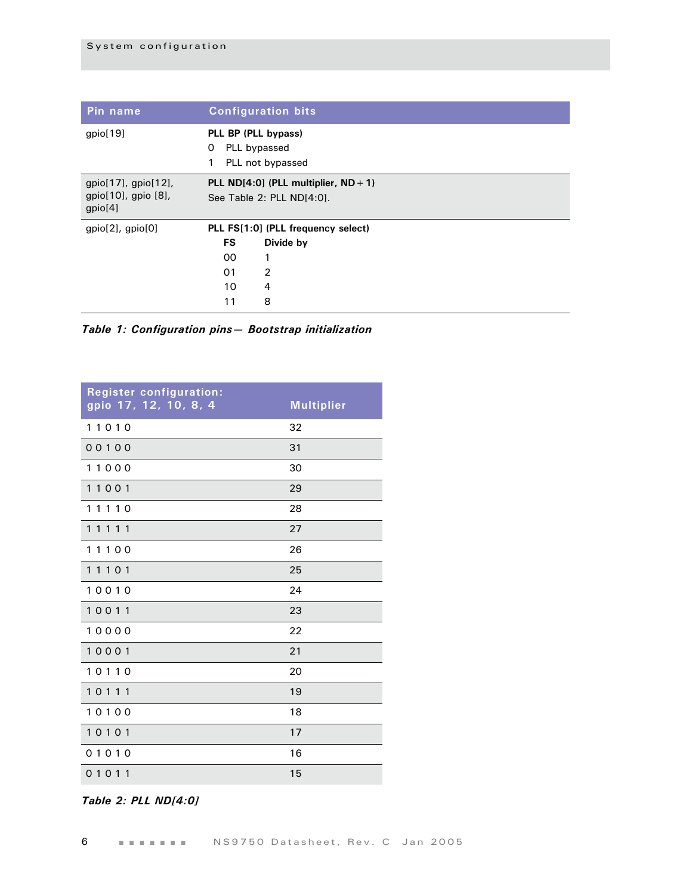| Pin name                             | <b>Configuration bits</b>               |                                    |  |  |  |  |  |
|--------------------------------------|-----------------------------------------|------------------------------------|--|--|--|--|--|
| gpio[19]                             | PLL BP (PLL bypass)                     |                                    |  |  |  |  |  |
|                                      | PLL bypassed<br>0                       |                                    |  |  |  |  |  |
|                                      | 1                                       | PLL not bypassed                   |  |  |  |  |  |
| $gpio[17]$ , $gpio[12]$ ,            | PLL ND[4:0] (PLL multiplier, $ND + 1$ ) |                                    |  |  |  |  |  |
| $gpio[10]$ , gpio $[8]$ ,<br>gpio[4] | See Table 2: PLL ND[4:0].               |                                    |  |  |  |  |  |
| $gpio[2]$ , $gpio[0]$                |                                         | PLL FS[1:0] (PLL frequency select) |  |  |  |  |  |
|                                      | <b>FS</b>                               | Divide by                          |  |  |  |  |  |
|                                      | 00                                      | 1                                  |  |  |  |  |  |
|                                      | 01                                      | $\overline{2}$                     |  |  |  |  |  |
|                                      | 10                                      | $\overline{4}$                     |  |  |  |  |  |
|                                      | 11                                      | 8                                  |  |  |  |  |  |

*Table 1: Configuration pins— Bootstrap initialization*

| <b>Register configuration:</b><br>gpio 17, 12, 10, 8, 4 | <b>Multiplier</b> |
|---------------------------------------------------------|-------------------|
| 11010                                                   | 32                |
| 00100                                                   | 31                |
| 11000                                                   | 30                |
| 11001                                                   | 29                |
| 11110                                                   | 28                |
| 11111                                                   | 27                |
| 11100                                                   | 26                |
| 11101                                                   | 25                |
| 10010                                                   | 24                |
| 10011                                                   | 23                |
| 10000                                                   | 22                |
| 10001                                                   | 21                |
| 10110                                                   | 20                |
| 10111                                                   | 19                |
| 10100                                                   | 18                |
| 10101                                                   | 17                |
| 01010                                                   | 16                |
| 01011                                                   | 15                |

<span id="page-9-0"></span>*Table 2: PLL ND[4:0]*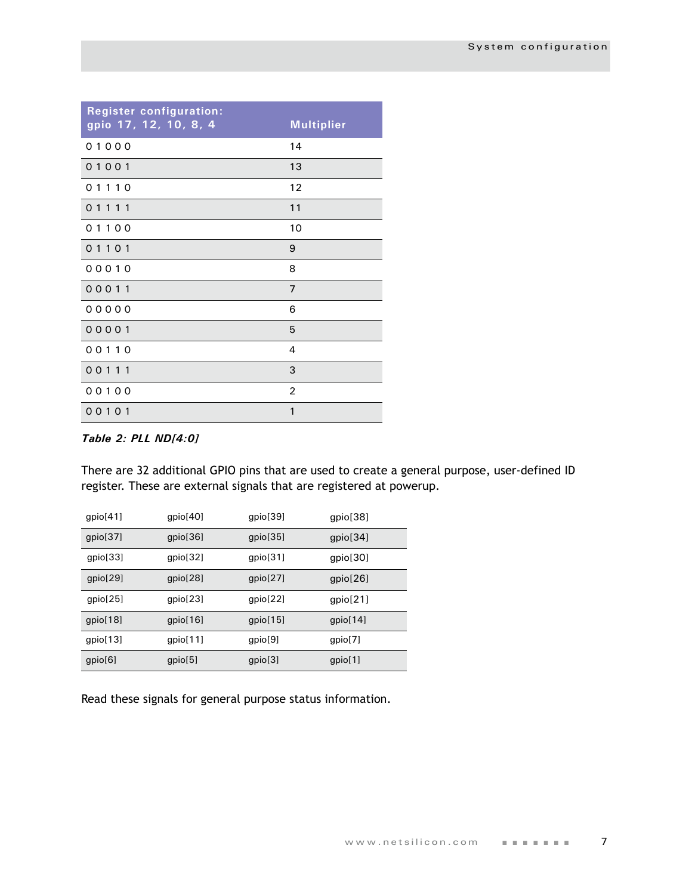| <b>Register configuration:</b><br>gpio 17, 12, 10, 8, 4 | <b>Multiplier</b> |
|---------------------------------------------------------|-------------------|
| 01000                                                   | 14                |
| 01001                                                   | 13                |
| 01110                                                   | 12                |
| 01111                                                   | 11                |
| 01100                                                   | 10                |
| 01101                                                   | 9                 |
| 00010                                                   | 8                 |
| 00011                                                   | $\overline{7}$    |
| 00000                                                   | 6                 |
| 00001                                                   | 5                 |
| 00110                                                   | 4                 |
| 00111                                                   | 3                 |
| 00100                                                   | $\overline{c}$    |
| 00101                                                   | $\mathbf{1}$      |

#### *Table 2: PLL ND[4:0]*

There are 32 additional GPIO pins that are used to create a general purpose, user-defined ID register. These are external signals that are registered at powerup.

| gpio[41] | gpio[40] | gpio[39] | gpio[38] |
|----------|----------|----------|----------|
| gpio[37] | gpio[36] | gpio[35] | gpio[34] |
| qpio[33] | gpio[32] | gpio[31] | gpio[30] |
| gpio[29] | gpio[28] | gpio[27] | gpio[26] |
| gpio[25] | gpio[23] | gpio[22] | gpio[21] |
| gpio[18] | qpi[16]  | qpi[15]  | qpi[14]  |
| gpio[13] | qpi[11]  | qpio[9]  | qpio[7]  |
| gpio[6]  | gpio[5]  | gpio[3]  | gpio[1]  |

Read these signals for general purpose status information.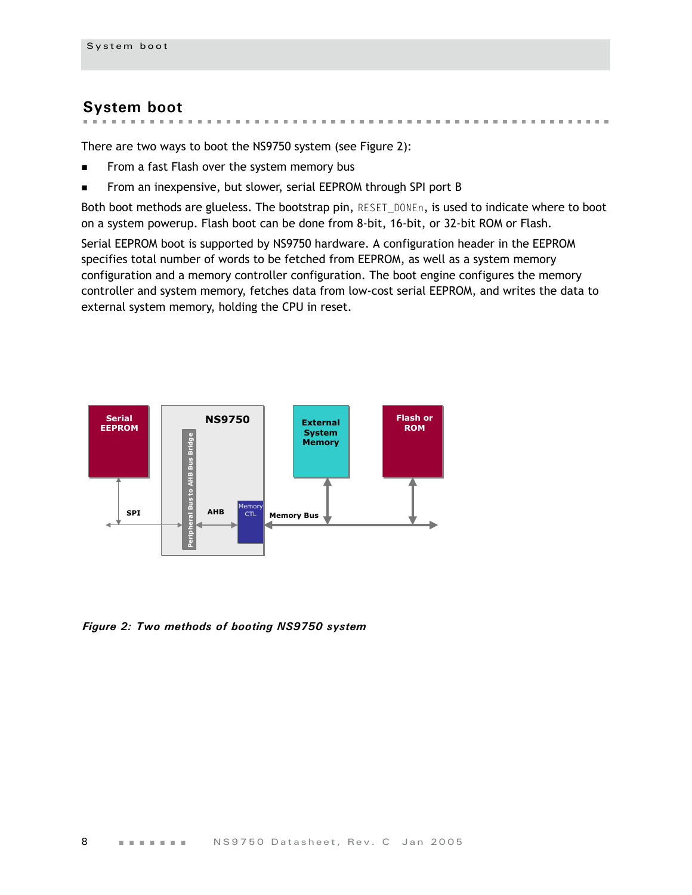# <span id="page-11-0"></span>**System boot**

**CONTRACTOR** CONTRACTOR  $\mathbf{m}$ **A REPORT OF A REPORT OF A REPORT OF A REPORT** 

There are two ways to boot the NS9750 system (see Figure 2):

- From a fast Flash over the system memory bus
- From an inexpensive, but slower, serial EEPROM through SPI port B

Both boot methods are glueless. The bootstrap pin, RESET\_DONEn, is used to indicate where to boot on a system powerup. Flash boot can be done from 8-bit, 16-bit, or 32-bit ROM or Flash.

Serial EEPROM boot is supported by NS9750 hardware. A configuration header in the EEPROM specifies total number of words to be fetched from EEPROM, as well as a system memory configuration and a memory controller configuration. The boot engine configures the memory controller and system memory, fetches data from low-cost serial EEPROM, and writes the data to external system memory, holding the CPU in reset.



*Figure 2: Two methods of booting NS9750 system*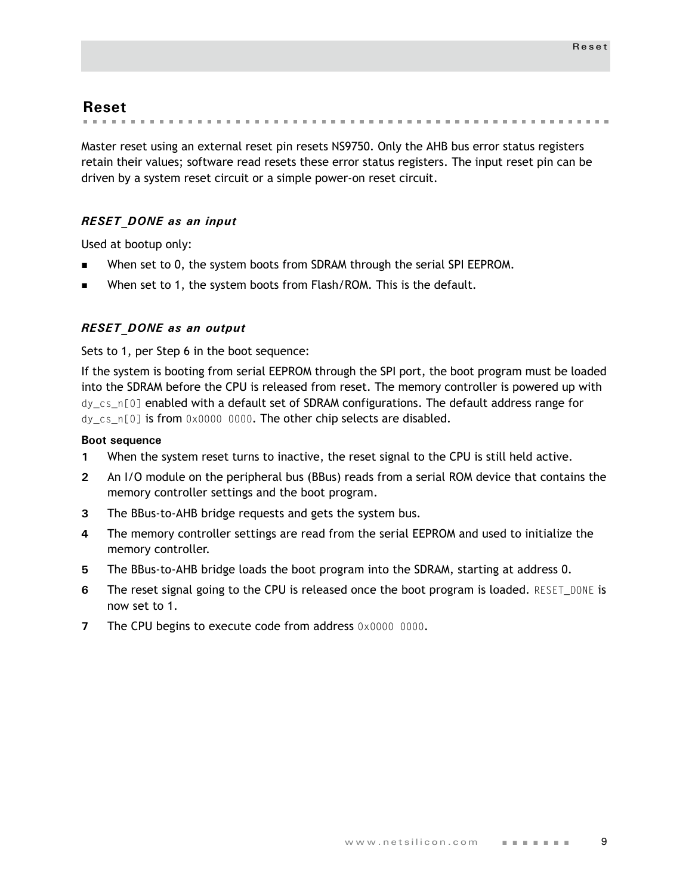# <span id="page-12-0"></span>**Reset**

. . . . . . . . . . . . . . .

Master reset using an external reset pin resets NS9750. Only the AHB bus error status registers retain their values; software read resets these error status registers. The input reset pin can be driven by a system reset circuit or a simple power-on reset circuit.

#### *RESET\_DONE as an input*

Used at bootup only:

- When set to 0, the system boots from SDRAM through the serial SPI EEPROM.
- When set to 1, the system boots from Flash/ROM. This is the default.

#### *RESET\_DONE as an output*

Sets to 1, per Step 6 in the boot sequence:

If the system is booting from serial EEPROM through the SPI port, the boot program must be loaded into the SDRAM before the CPU is released from reset. The memory controller is powered up with dy\_cs\_n[0] enabled with a default set of SDRAM configurations. The default address range for dy\_cs\_n[0] is from 0x0000 0000. The other chip selects are disabled.

#### **Boot sequence**

- **1** When the system reset turns to inactive, the reset signal to the CPU is still held active.
- **2** An I/O module on the peripheral bus (BBus) reads from a serial ROM device that contains the memory controller settings and the boot program.
- **3** The BBus-to-AHB bridge requests and gets the system bus.
- **4** The memory controller settings are read from the serial EEPROM and used to initialize the memory controller.
- **5** The BBus-to-AHB bridge loads the boot program into the SDRAM, starting at address 0.
- **6** The reset signal going to the CPU is released once the boot program is loaded. RESET\_DONE is now set to 1.
- **7** The CPU begins to execute code from address 0x0000 0000.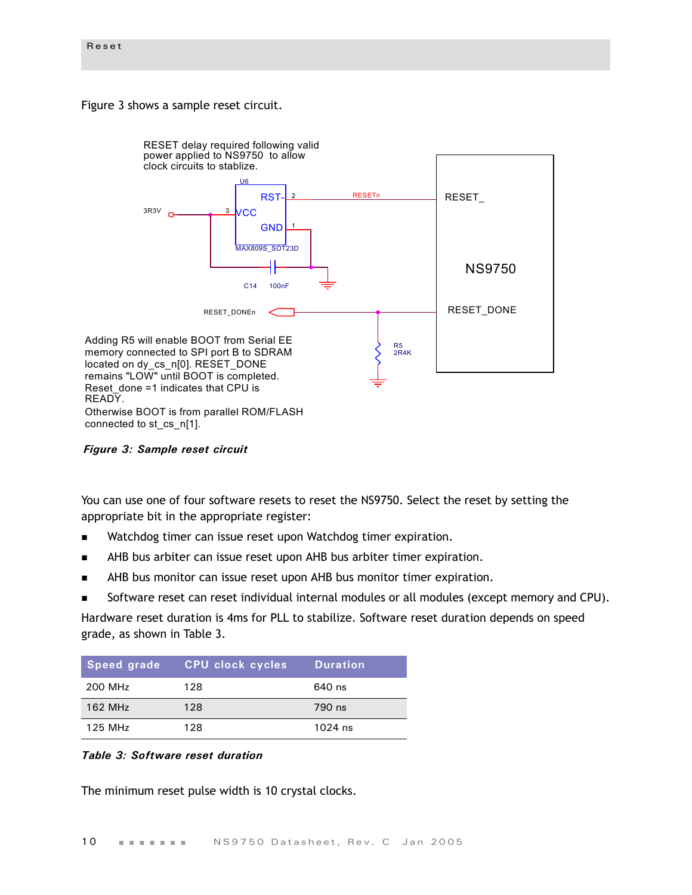[Figure 3](#page-13-1) shows a sample reset circuit.



<span id="page-13-1"></span>*Figure 3: Sample reset circuit*

You can use one of four software resets to reset the NS9750. Select the reset by setting the appropriate bit in the appropriate register:

- Watchdog timer can issue reset upon Watchdog timer expiration.
- AHB bus arbiter can issue reset upon AHB bus arbiter timer expiration.
- AHB bus monitor can issue reset upon AHB bus monitor timer expiration.
- Software reset can reset individual internal modules or all modules (except memory and CPU).

Hardware reset duration is 4ms for PLL to stabilize. Software reset duration depends on speed grade, as shown in [Table 3](#page-13-0).

| Speed grade | CPU clock cycles | <b>Duration</b> |
|-------------|------------------|-----------------|
| 200 MHz     | 128              | 640 ns          |
| 162 MHz     | 128              | 790 ns          |
| 125 MHz     | 128              | $1024$ ns       |

#### <span id="page-13-0"></span>*Table 3: Software reset duration*

The minimum reset pulse width is 10 crystal clocks.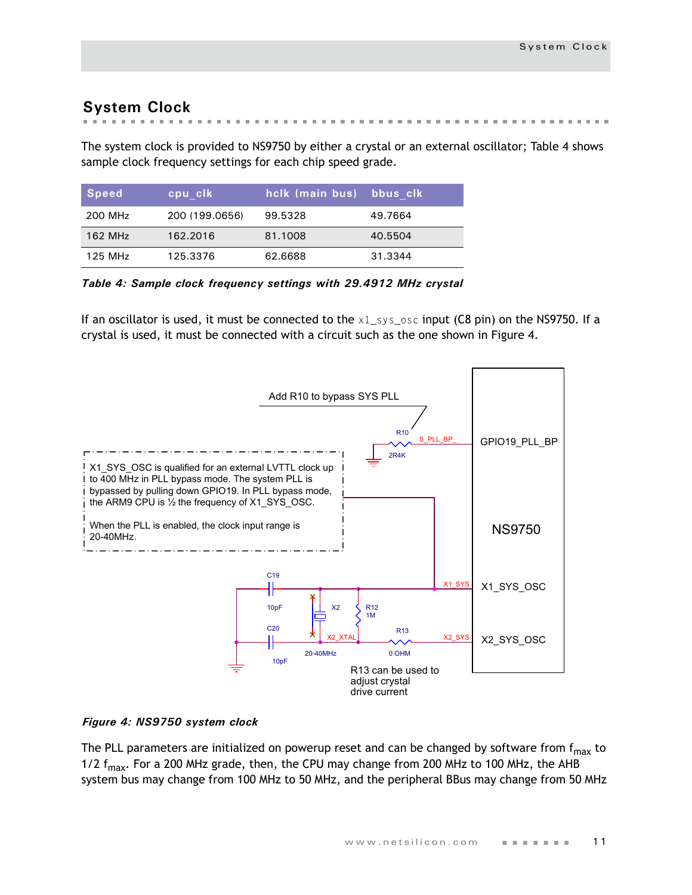# <span id="page-14-0"></span>**System Clock**

The system clock is provided to NS9750 by either a crystal or an external oscillator; [Table 4](#page-14-1) shows sample clock frequency settings for each chip speed grade.

| Speed   | cpu clk        | hclk (main bus) bbus clk |         |
|---------|----------------|--------------------------|---------|
| 200 MHz | 200 (199.0656) | 99.5328                  | 49.7664 |
| 162 MHz | 162.2016       | 81.1008                  | 40.5504 |
| 125 MHz | 125.3376       | 62.6688                  | 31.3344 |

<span id="page-14-1"></span>*Table 4: Sample clock frequency settings with 29.4912 MHz crystal*

If an oscillator is used, it must be connected to the  $x1$ \_sys\_osc input (C8 pin) on the NS9750. If a crystal is used, it must be connected with a circuit such as the one shown in [Figure 4.](#page-14-2)



#### <span id="page-14-2"></span>*Figure 4: NS9750 system clock*

The PLL parameters are initialized on powerup reset and can be changed by software from  $f_{max}$  to 1/2  $f_{\text{max}}$ . For a 200 MHz grade, then, the CPU may change from 200 MHz to 100 MHz, the AHB system bus may change from 100 MHz to 50 MHz, and the peripheral BBus may change from 50 MHz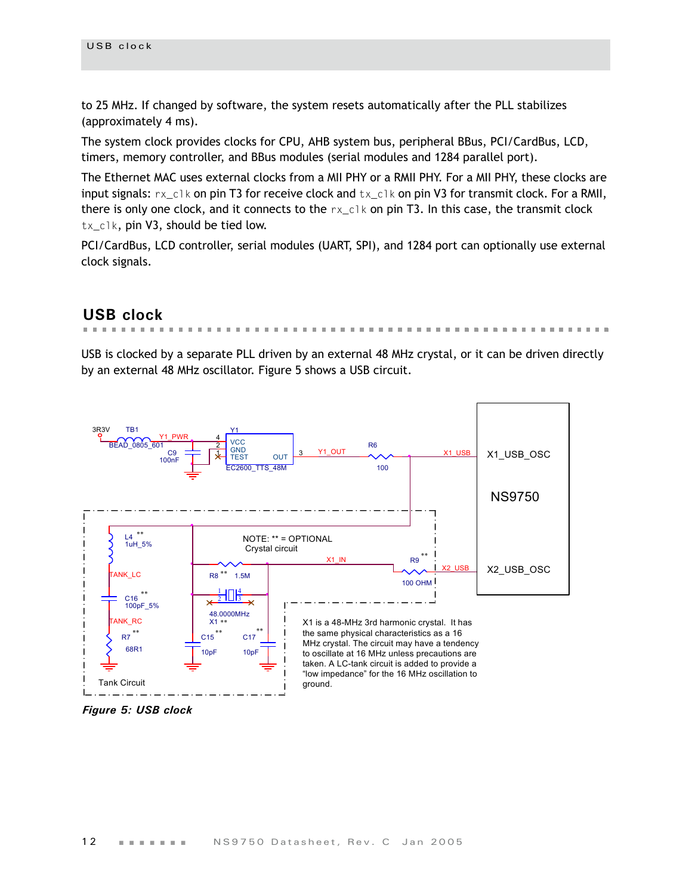to 25 MHz. If changed by software, the system resets automatically after the PLL stabilizes (approximately 4 ms).

The system clock provides clocks for CPU, AHB system bus, peripheral BBus, PCI/CardBus, LCD, timers, memory controller, and BBus modules (serial modules and 1284 parallel port).

The Ethernet MAC uses external clocks from a MII PHY or a RMII PHY. For a MII PHY, these clocks are input signals:  $rx$  clk on pin T3 for receive clock and  $tx$  clk on pin V3 for transmit clock. For a RMII, there is only one clock, and it connects to the  $rx\_c1k$  on pin T3. In this case, the transmit clock tx\_clk, pin V3, should be tied low.

PCI/CardBus, LCD controller, serial modules (UART, SPI), and 1284 port can optionally use external clock signals.

# <span id="page-15-0"></span>**USB clock**

. . . . . . .

USB is clocked by a separate PLL driven by an external 48 MHz crystal, or it can be driven directly by an external 48 MHz oscillator. [Figure 5](#page-15-1) shows a USB circuit.



<span id="page-15-1"></span>*Figure 5: USB clock*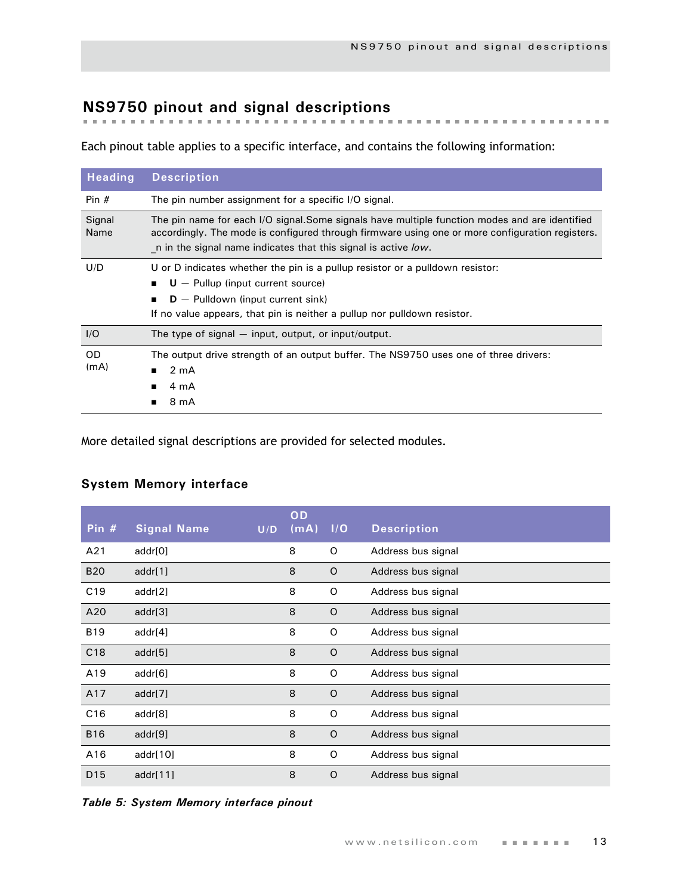# <span id="page-16-0"></span>**NS9750 pinout and signal descriptions**

Each pinout table applies to a specific interface, and contains the following information:

| <b>Heading</b>    | <b>Description</b>                                                                                                                                                                                                                                                 |
|-------------------|--------------------------------------------------------------------------------------------------------------------------------------------------------------------------------------------------------------------------------------------------------------------|
| Pin $#$           | The pin number assignment for a specific I/O signal.                                                                                                                                                                                                               |
| Signal<br>Name    | The pin name for each I/O signal.Some signals have multiple function modes and are identified<br>accordingly. The mode is configured through firmware using one or more configuration registers.<br>n in the signal name indicates that this signal is active low. |
| U/D               | U or D indicates whether the pin is a pullup resistor or a pulldown resistor:<br>$U -$ Pullup (input current source)<br>$D -$ Pulldown (input current sink)<br>If no value appears, that pin is neither a pullup nor pulldown resistor.                            |
| I/O               | The type of signal $-$ input, output, or input/output.                                                                                                                                                                                                             |
| <b>OD</b><br>(mA) | The output drive strength of an output buffer. The NS9750 uses one of three drivers:<br>2 <sub>m</sub> A<br>4 mA<br>8 mA                                                                                                                                           |

More detailed signal descriptions are provided for selected modules.

# <span id="page-16-1"></span>**System Memory interface**

| Pin $#$         | <b>Signal Name</b> | U/D | OD<br>(mA) | I/O     | <b>Description</b> |
|-----------------|--------------------|-----|------------|---------|--------------------|
| A21             | addr[0]            |     | 8          | O       | Address bus signal |
| <b>B20</b>      | addr[1]            |     | 8          | $\circ$ | Address bus signal |
| C <sub>19</sub> | addr[2]            |     | 8          | O       | Address bus signal |
| A20             | addr[3]            |     | 8          | $\circ$ | Address bus signal |
| <b>B19</b>      | addr[4]            |     | 8          | O       | Address bus signal |
| C18             | addr[5]            |     | 8          | $\circ$ | Address bus signal |
| A19             | addr[6]            |     | 8          | O       | Address bus signal |
| A17             | addr[7]            |     | 8          | $\circ$ | Address bus signal |
| C16             | addr[8]            |     | 8          | O       | Address bus signal |
| <b>B16</b>      | addr[9]            |     | 8          | O       | Address bus signal |
| A16             | addr[10]           |     | 8          | O       | Address bus signal |
| D <sub>15</sub> | addr[11]           |     | 8          | O       | Address bus signal |

*Table 5: System Memory interface pinout*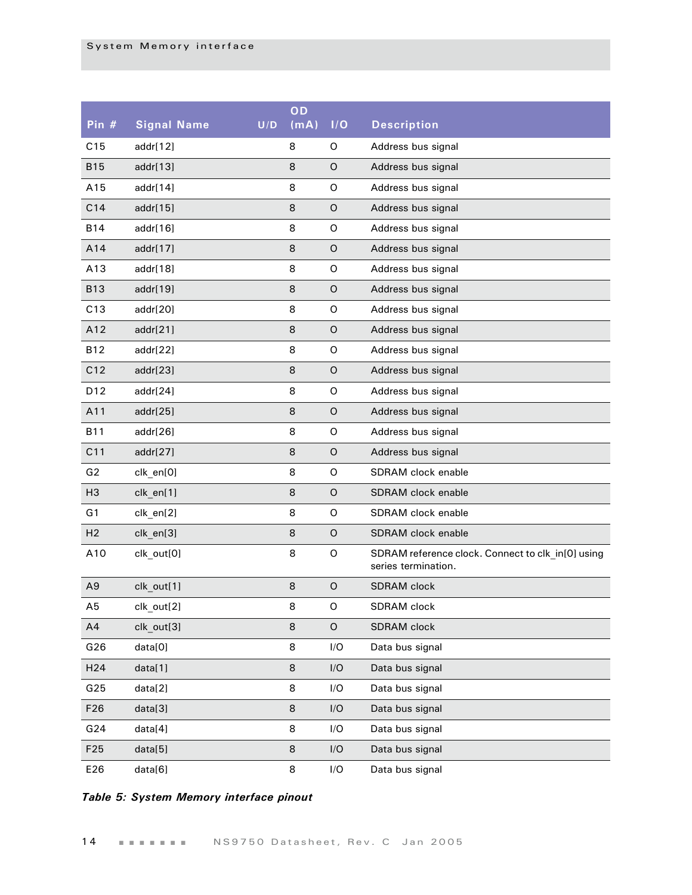| Pin #           | <b>Signal Name</b> | U/D | OD<br>(mA) | I/O         | <b>Description</b>                                                       |
|-----------------|--------------------|-----|------------|-------------|--------------------------------------------------------------------------|
| C15             | addr[12]           |     | 8          | O           | Address bus signal                                                       |
| <b>B15</b>      | addr[13]           |     | 8          | O           | Address bus signal                                                       |
| A15             | addr[14]           |     | 8          | O           | Address bus signal                                                       |
| C14             | addr[15]           |     | 8          | O           | Address bus signal                                                       |
| <b>B14</b>      | addr[16]           |     | 8          | $\mathsf O$ | Address bus signal                                                       |
| A14             | addr[17]           |     | 8          | O           | Address bus signal                                                       |
| A13             | addr[18]           |     | 8          | $\mathsf O$ | Address bus signal                                                       |
| <b>B13</b>      | addr[19]           |     | 8          | O           | Address bus signal                                                       |
| C13             | addr[20]           |     | 8          | $\mathsf O$ | Address bus signal                                                       |
| A12             | addr[21]           |     | 8          | O           | Address bus signal                                                       |
| <b>B12</b>      | addr[22]           |     | 8          | $\mathsf O$ | Address bus signal                                                       |
| C12             | addr[23]           |     | 8          | O           | Address bus signal                                                       |
| D12             | addr[24]           |     | 8          | $\mathsf O$ | Address bus signal                                                       |
| A11             | addr[25]           |     | 8          | O           | Address bus signal                                                       |
| <b>B11</b>      | addr[26]           |     | 8          | $\mathsf O$ | Address bus signal                                                       |
| C11             | addr[27]           |     | 8          | O           | Address bus signal                                                       |
| G2              | clk_en[0]          |     | 8          | $\mathsf O$ | SDRAM clock enable                                                       |
| H <sub>3</sub>  | clk_en[1]          |     | 8          | O           | SDRAM clock enable                                                       |
| G1              | clk_en[2]          |     | 8          | $\mathsf O$ | SDRAM clock enable                                                       |
| H <sub>2</sub>  | clk_en[3]          |     | 8          | O           | SDRAM clock enable                                                       |
| A10             | clk_out[0]         |     | 8          | O           | SDRAM reference clock. Connect to clk_in[0] using<br>series termination. |
| A <sub>9</sub>  | clk_out[1]         |     | 8          | O           | <b>SDRAM</b> clock                                                       |
| A5              | clk out[2]         |     | 8          | O           | SDRAM clock                                                              |
| A4              | clk_out[3]         |     | 8          | $\mathsf O$ | SDRAM clock                                                              |
| G26             | data[0]            |     | 8          | I/O         | Data bus signal                                                          |
| H <sub>24</sub> | data[1]            |     | 8          | I/O         | Data bus signal                                                          |
| G25             | data[2]            |     | 8          | I/O         | Data bus signal                                                          |
| F <sub>26</sub> | data[3]            |     | 8          | I/O         | Data bus signal                                                          |
| G24             | data[4]            |     | 8          | I/O         | Data bus signal                                                          |
| F25             | data[5]            |     | 8          | I/O         | Data bus signal                                                          |
| E26             | data[6]            |     | 8          | I/O         | Data bus signal                                                          |

#### *Table 5: System Memory interface pinout*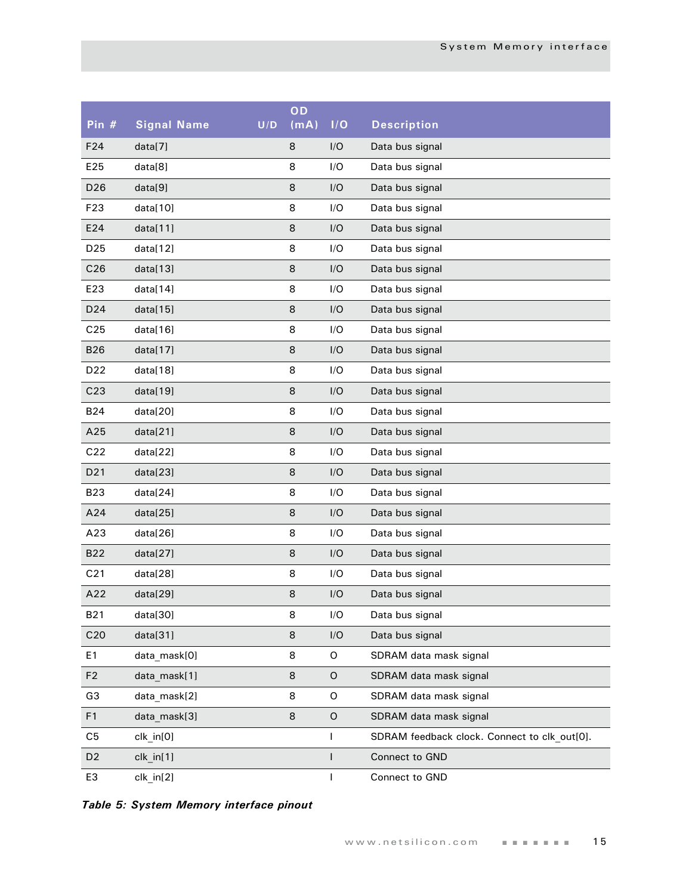| Pin #           | <b>Signal Name</b> | U/D | OD<br>(mA) | I/O          | <b>Description</b>                           |
|-----------------|--------------------|-----|------------|--------------|----------------------------------------------|
| F24             | data[7]            |     | 8          | I/O          | Data bus signal                              |
| E25             | data[8]            |     | 8          | I/O          | Data bus signal                              |
| D <sub>26</sub> | data[9]            |     | 8          | I/O          | Data bus signal                              |
| F <sub>23</sub> | data[10]           |     | 8          | I/O          | Data bus signal                              |
| E24             | data[11]           |     | 8          | I/O          | Data bus signal                              |
| D <sub>25</sub> | data[12]           |     | 8          | I/O          | Data bus signal                              |
| C <sub>26</sub> | data[13]           |     | 8          | I/O          | Data bus signal                              |
| E23             | data[14]           |     | 8          | I/O          | Data bus signal                              |
| D24             | data[15]           |     | 8          | I/O          | Data bus signal                              |
| C <sub>25</sub> | data[16]           |     | 8          | I/O          | Data bus signal                              |
| <b>B26</b>      | data[17]           |     | 8          | I/O          | Data bus signal                              |
| D <sub>22</sub> | data[18]           |     | 8          | I/O          | Data bus signal                              |
| C <sub>23</sub> | data[19]           |     | 8          | I/O          | Data bus signal                              |
| <b>B24</b>      | data[20]           |     | 8          | I/O          | Data bus signal                              |
| A25             | data[21]           |     | 8          | I/O          | Data bus signal                              |
| C22             | data[22]           |     | 8          | I/O          | Data bus signal                              |
| D <sub>21</sub> | data[23]           |     | 8          | I/O          | Data bus signal                              |
| <b>B23</b>      | data[24]           |     | 8          | I/O          | Data bus signal                              |
| A24             | data[25]           |     | 8          | I/O          | Data bus signal                              |
| A23             | data[26]           |     | 8          | I/O          | Data bus signal                              |
| <b>B22</b>      | data[27]           |     | 8          | I/O          | Data bus signal                              |
| C <sub>21</sub> | data[28]           |     | 8          | I/O          | Data bus signal                              |
| A22             | data[29]           |     | 8          | I/O          | Data bus signal                              |
| B21             | data[30]           |     | 8          | I/O          | Data bus signal                              |
| C <sub>20</sub> | data[31]           |     | 8          | I/O          | Data bus signal                              |
| E <sub>1</sub>  | data mask[0]       |     | 8          | $\mathsf O$  | SDRAM data mask signal                       |
| F <sub>2</sub>  | data mask[1]       |     | 8          | $\mathsf O$  | SDRAM data mask signal                       |
| G <sub>3</sub>  | data mask[2]       |     | 8          | O            | SDRAM data mask signal                       |
| F1              | data mask[3]       |     | 8          | $\mathsf O$  | SDRAM data mask signal                       |
| C <sub>5</sub>  | clk_in[0]          |     |            | T            | SDRAM feedback clock. Connect to clk out[0]. |
| D <sub>2</sub>  | clk in[1]          |     |            | $\mathsf{I}$ | Connect to GND                               |
| E <sub>3</sub>  | clk_in[2]          |     |            | T            | Connect to GND                               |

*Table 5: System Memory interface pinout*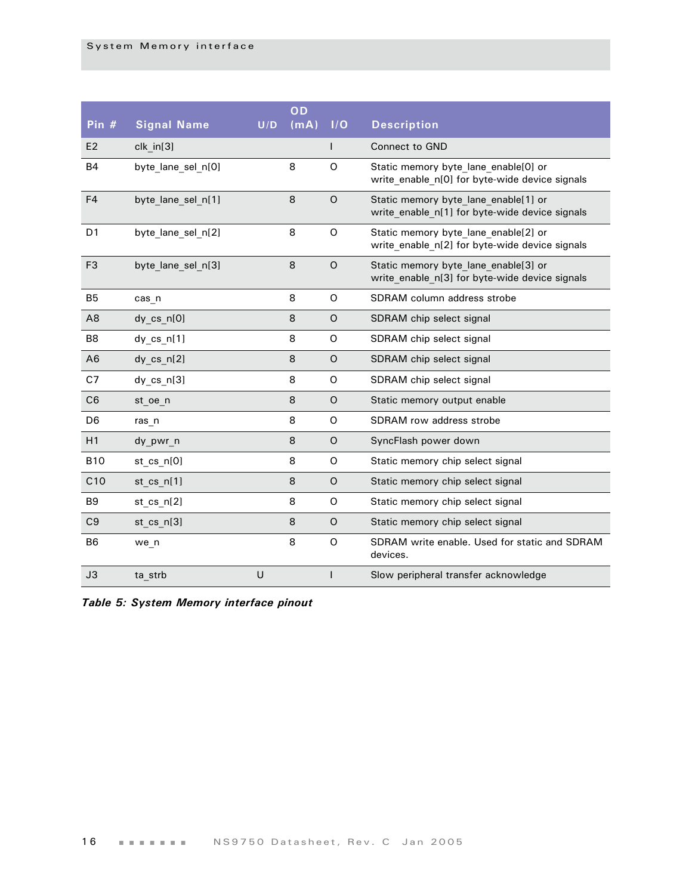| Pin #           | <b>Signal Name</b> | U/D | OD<br>(mA) | I/O          | <b>Description</b>                                                                     |
|-----------------|--------------------|-----|------------|--------------|----------------------------------------------------------------------------------------|
| E <sub>2</sub>  | $clk$ in $[3]$     |     |            | $\mathsf{I}$ | <b>Connect to GND</b>                                                                  |
|                 |                    |     |            |              |                                                                                        |
| <b>B4</b>       | byte lane sel n[0] |     | 8          | $\Omega$     | Static memory byte lane enable[0] or<br>write enable n[0] for byte-wide device signals |
| F <sub>4</sub>  | byte lane sel n[1] |     | 8          | $\circ$      | Static memory byte lane enable[1] or<br>write enable n[1] for byte-wide device signals |
| D <sub>1</sub>  | byte lane sel n[2] |     | 8          | O            | Static memory byte lane enable[2] or<br>write enable n[2] for byte-wide device signals |
| F <sub>3</sub>  | byte lane sel n[3] |     | 8          | $\circ$      | Static memory byte lane enable[3] or<br>write enable n[3] for byte-wide device signals |
| B <sub>5</sub>  | cas n              |     | 8          | O            | SDRAM column address strobe                                                            |
| A <sub>8</sub>  | dy_cs_n[0]         |     | 8          | $\circ$      | SDRAM chip select signal                                                               |
| B <sub>8</sub>  | dy $cs$ n[1]       |     | 8          | O            | SDRAM chip select signal                                                               |
| A <sub>6</sub>  | dy $cs$ $n[2]$     |     | 8          | O            | SDRAM chip select signal                                                               |
| C7              | $dy$ cs $n[3]$     |     | 8          | O            | SDRAM chip select signal                                                               |
| C <sub>6</sub>  | st oe n            |     | 8          | $\circ$      | Static memory output enable                                                            |
| D <sub>6</sub>  | ras n              |     | 8          | O            | SDRAM row address strobe                                                               |
| H1              | dy pwr n           |     | 8          | $\circ$      | SyncFlash power down                                                                   |
| <b>B10</b>      | st_cs_n[0]         |     | 8          | O            | Static memory chip select signal                                                       |
| C <sub>10</sub> | st cs n[1]         |     | 8          | O            | Static memory chip select signal                                                       |
| B <sub>9</sub>  | st cs $n[2]$       |     | 8          | O            | Static memory chip select signal                                                       |
| C <sub>9</sub>  | st cs n[3]         |     | 8          | $\circ$      | Static memory chip select signal                                                       |
| B <sub>6</sub>  | we n               |     | 8          | O            | SDRAM write enable. Used for static and SDRAM<br>devices.                              |
| J3              | ta strb            | U   |            | $\mathsf{I}$ | Slow peripheral transfer acknowledge                                                   |

*Table 5: System Memory interface pinout*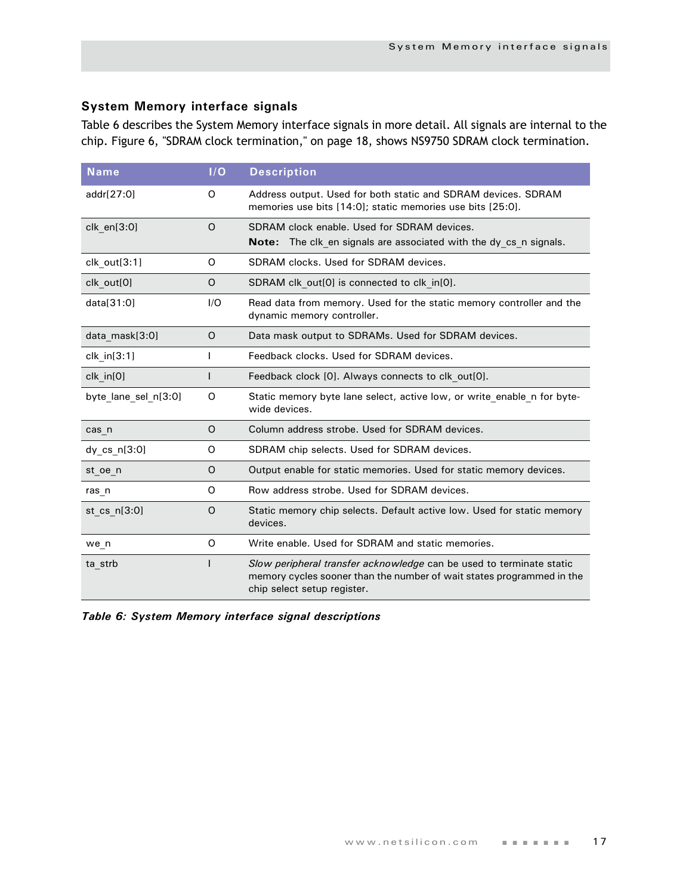### <span id="page-20-0"></span>**System Memory interface signals**

[Table 6](#page-20-1) describes the System Memory interface signals in more detail. All signals are internal to the chip. Figure 6, "SDRAM clock termination," on page 18, shows NS9750 SDRAM clock termination.

| $N$ ame              | I/O      | <b>Description</b>                                                                                                                                                           |
|----------------------|----------|------------------------------------------------------------------------------------------------------------------------------------------------------------------------------|
| addr[27:0]           | O        | Address output. Used for both static and SDRAM devices. SDRAM<br>memories use bits [14:0]; static memories use bits [25:0].                                                  |
| clk en[3:0]          | $\Omega$ | SDRAM clock enable. Used for SDRAM devices.<br>The clk en signals are associated with the dy cs n signals.<br>Note:                                                          |
| clk_out[3:1]         | $\Omega$ | SDRAM clocks. Used for SDRAM devices.                                                                                                                                        |
| clk out[0]           | O        | SDRAM clk out[0] is connected to clk in[0].                                                                                                                                  |
| data[31:0]           | I/O      | Read data from memory. Used for the static memory controller and the<br>dynamic memory controller.                                                                           |
| data mask[3:0]       | O        | Data mask output to SDRAMs. Used for SDRAM devices.                                                                                                                          |
| clk in [3:1]         |          | Feedback clocks. Used for SDRAM devices.                                                                                                                                     |
| clk_in[0]            | I        | Feedback clock [0]. Always connects to clk out[0].                                                                                                                           |
| byte lane sel n[3:0] | O        | Static memory byte lane select, active low, or write enable n for byte-<br>wide devices.                                                                                     |
| cas n                | $\Omega$ | Column address strobe. Used for SDRAM devices.                                                                                                                               |
| dy_cs_n[3:0]         | O        | SDRAM chip selects. Used for SDRAM devices.                                                                                                                                  |
| st oe n              | O        | Output enable for static memories. Used for static memory devices.                                                                                                           |
| ras_n                | O        | Row address strobe. Used for SDRAM devices.                                                                                                                                  |
| st_cs_n[3:0]         | $\Omega$ | Static memory chip selects. Default active low. Used for static memory<br>devices.                                                                                           |
| we n                 | O        | Write enable. Used for SDRAM and static memories.                                                                                                                            |
| ta strb              |          | Slow peripheral transfer acknowledge can be used to terminate static<br>memory cycles sooner than the number of wait states programmed in the<br>chip select setup register. |

<span id="page-20-1"></span>*Table 6: System Memory interface signal descriptions*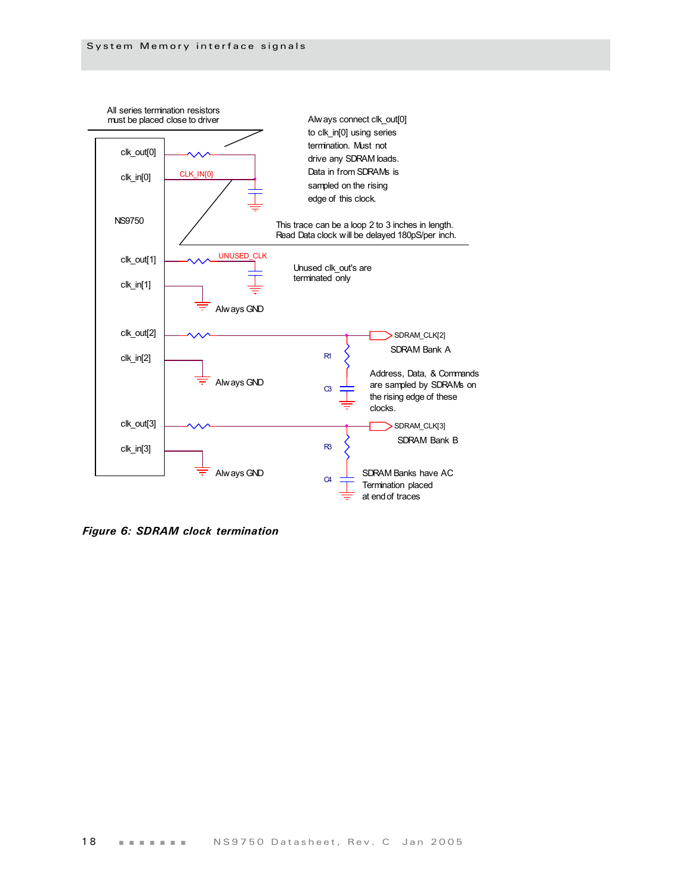

*Figure 6: SDRAM clock termination*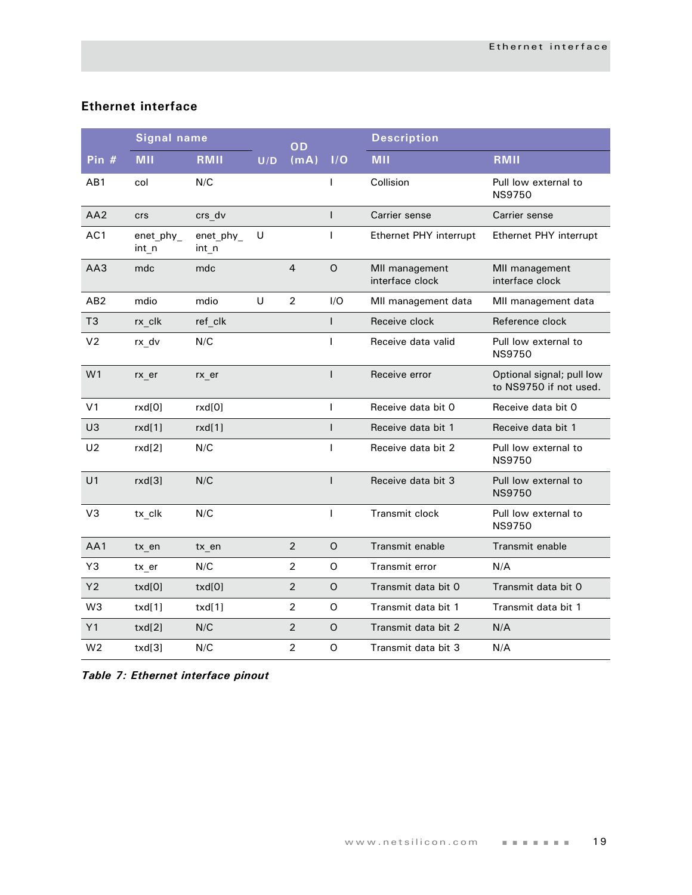#### <span id="page-22-0"></span>**Ethernet interface**

|                 | <b>Signal name</b>   |                      |     | OD             |              | <b>Description</b>                |                                                     |
|-----------------|----------------------|----------------------|-----|----------------|--------------|-----------------------------------|-----------------------------------------------------|
| Pin #           | <b>MII</b>           | RMII                 | U/D | (mA)           | I/O          | <b>MII</b>                        | RMII                                                |
| AB1             | col                  | N/C                  |     |                | $\mathbf{I}$ | Collision                         | Pull low external to<br><b>NS9750</b>               |
| AA <sub>2</sub> | <b>crs</b>           | crs dv               |     |                | $\mathsf{I}$ | Carrier sense                     | Carrier sense                                       |
| AC1             | enet_phy_<br>$int_n$ | enet_phy_<br>$int_n$ | U   |                | $\mathbf{I}$ | Ethernet PHY interrupt            | Ethernet PHY interrupt                              |
| AA3             | mdc                  | mdc                  |     | 4              | $\circ$      | MII management<br>interface clock | MII management<br>interface clock                   |
| AB <sub>2</sub> | mdio                 | mdio                 | U   | $\overline{2}$ | I/O          | MII management data               | MII management data                                 |
| T <sub>3</sub>  | rx clk               | ref clk              |     |                | ı            | Receive clock                     | Reference clock                                     |
| V <sub>2</sub>  | rx_dv                | N/C                  |     |                | T            | Receive data valid                | Pull low external to<br><b>NS9750</b>               |
| W <sub>1</sub>  | $rx$ er              | $rx$ <sub>_er</sub>  |     |                | $\mathbf{I}$ | Receive error                     | Optional signal; pull low<br>to NS9750 if not used. |
| V <sub>1</sub>  | rxd[0]               | rxd[0]               |     |                | T            | Receive data bit 0                | Receive data bit 0                                  |
| U3              | rxd[1]               | rxd[1]               |     |                | $\mathsf{I}$ | Receive data bit 1                | Receive data bit 1                                  |
| U <sub>2</sub>  | rxd[2]               | N/C                  |     |                | T            | Receive data bit 2                | Pull low external to<br><b>NS9750</b>               |
| U <sub>1</sub>  | rxd[3]               | N/C                  |     |                | $\mathbf{I}$ | Receive data bit 3                | Pull low external to<br><b>NS9750</b>               |
| V <sub>3</sub>  | tx clk               | N/C                  |     |                | $\mathbf{I}$ | Transmit clock                    | Pull low external to<br><b>NS9750</b>               |
| AA1             | tx en                | tx en                |     | $\overline{2}$ | $\circ$      | Transmit enable                   | Transmit enable                                     |
| Y3              | tx er                | N/C                  |     | $\overline{2}$ | $\Omega$     | Transmit error                    | N/A                                                 |
| Y2              | txd[0]               | txd[0]               |     | $\overline{2}$ | $\mathsf O$  | Transmit data bit 0               | Transmit data bit 0                                 |
| W <sub>3</sub>  | txd[1]               | txd[1]               |     | $\overline{2}$ | O            | Transmit data bit 1               | Transmit data bit 1                                 |
| Y1              | txd[2]               | N/C                  |     | $\overline{2}$ | O            | Transmit data bit 2               | N/A                                                 |
| W <sub>2</sub>  | txd[3]               | N/C                  |     | $\overline{2}$ | O            | Transmit data bit 3               | N/A                                                 |

*Table 7: Ethernet interface pinout*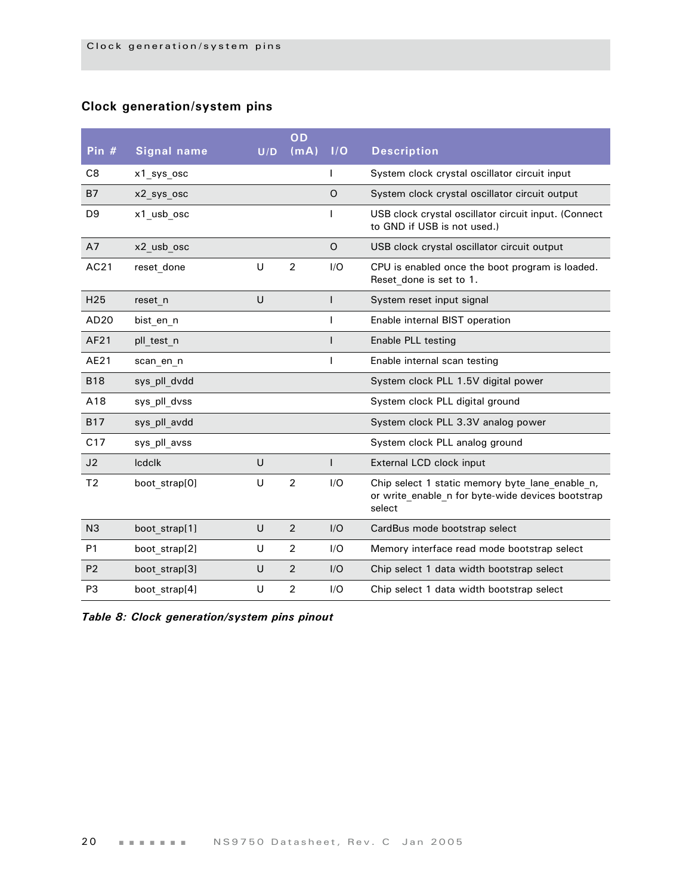# <span id="page-23-0"></span>**Clock generation/system pins**

| Pin $#$          | <b>Signal name</b> | U/D | OD<br>(mA)     | 1/O     | <b>Description</b>                                                                                             |
|------------------|--------------------|-----|----------------|---------|----------------------------------------------------------------------------------------------------------------|
|                  |                    |     |                |         |                                                                                                                |
| C <sub>8</sub>   | x1 sys osc         |     |                |         | System clock crystal oscillator circuit input                                                                  |
| <b>B7</b>        | x2 sys osc         |     |                | O       | System clock crystal oscillator circuit output                                                                 |
| D <sub>9</sub>   | x1 usb osc         |     |                |         | USB clock crystal oscillator circuit input. (Connect<br>to GND if USB is not used.)                            |
| A7               | x2 usb osc         |     |                | $\circ$ | USB clock crystal oscillator circuit output                                                                    |
| AC21             | reset done         | U   | $\overline{2}$ | I/O     | CPU is enabled once the boot program is loaded.<br>Reset done is set to 1.                                     |
| H <sub>25</sub>  | reset n            | U   |                |         | System reset input signal                                                                                      |
| AD <sub>20</sub> | bist en n          |     |                |         | Enable internal BIST operation                                                                                 |
| AF21             | pll test n         |     |                |         | Enable PLL testing                                                                                             |
| AE21             | scan en n          |     |                |         | Enable internal scan testing                                                                                   |
| <b>B18</b>       | sys pll dvdd       |     |                |         | System clock PLL 1.5V digital power                                                                            |
| A18              | sys_pll_dvss       |     |                |         | System clock PLL digital ground                                                                                |
| <b>B17</b>       | sys pll avdd       |     |                |         | System clock PLL 3.3V analog power                                                                             |
| C17              | sys_pll_avss       |     |                |         | System clock PLL analog ground                                                                                 |
| J2               | <b>Icdclk</b>      | U   |                |         | External LCD clock input                                                                                       |
| T <sub>2</sub>   | boot strap[0]      | U   | $\overline{2}$ | I/O     | Chip select 1 static memory byte lane enable n,<br>or write enable n for byte-wide devices bootstrap<br>select |
| N <sub>3</sub>   | boot strap[1]      | U   | $\overline{2}$ | I/O     | CardBus mode bootstrap select                                                                                  |
| P <sub>1</sub>   | boot strap[2]      | U   | $\overline{2}$ | I/O     | Memory interface read mode bootstrap select                                                                    |
| P <sub>2</sub>   | boot strap[3]      | U   | 2              | I/O     | Chip select 1 data width bootstrap select                                                                      |
| P <sub>3</sub>   | boot strap[4]      | U   | $\overline{2}$ | I/O     | Chip select 1 data width bootstrap select                                                                      |

*Table 8: Clock generation/system pins pinout*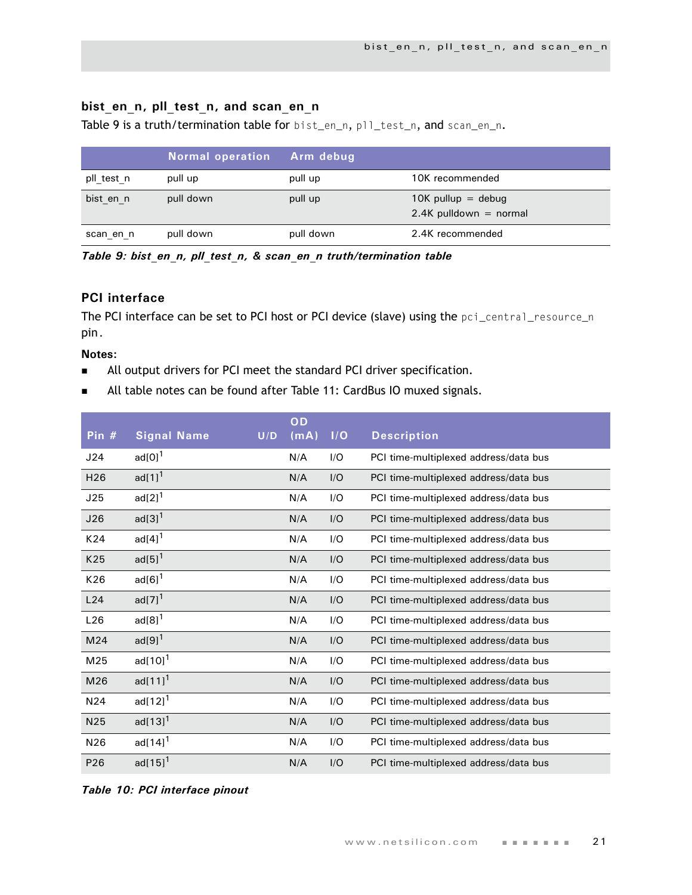# <span id="page-24-0"></span>bist en n, pll test n, and scan en n

[Table 9 i](#page-24-2)s a truth/termination table for bist\_en\_n, pll\_test\_n, and scan\_en\_n.

|            | <b>Normal operation</b> | Arm debug |                                                  |
|------------|-------------------------|-----------|--------------------------------------------------|
| pll test n | pull up                 | pull up   | 10K recommended                                  |
| bist en n  | pull down               | pull up   | $10K$ pullup = debug<br>$2.4K$ pulldown = normal |
| scan en n  | pull down               | pull down | 2.4K recommended                                 |

<span id="page-24-2"></span>*Table 9: bist\_en\_n, pll\_test\_n, & scan\_en\_n truth/termination table*

## <span id="page-24-1"></span>**PCI interface**

The PCI interface can be set to PCI host or PCI device (slave) using the pci\_central\_resource\_n pin.

#### **Notes:**

- All output drivers for PCI meet the standard PCI driver specification.
- All table notes can be found after [Table 11: CardBus IO muxed signals](#page-27-1).

| Pin $#$         | <b>Signal Name</b>          | U/D | OD<br>(mA) | I/O | <b>Description</b>                    |
|-----------------|-----------------------------|-----|------------|-----|---------------------------------------|
| J24             | $\text{ad}[0]$ <sup>1</sup> |     | N/A        | I/O | PCI time-multiplexed address/data bus |
| H <sub>26</sub> | ad $[1]$ <sup>1</sup>       |     | N/A        | I/O | PCI time-multiplexed address/data bus |
| J25             | $ad[2]$ <sup>1</sup>        |     | N/A        | I/O | PCI time-multiplexed address/data bus |
| J26             | $\text{ad}[3]$ <sup>1</sup> |     | N/A        | I/O | PCI time-multiplexed address/data bus |
| K24             | $ad[4]$ <sup>1</sup>        |     | N/A        | I/O | PCI time-multiplexed address/data bus |
| K25             | ad $[5]$ <sup>1</sup>       |     | N/A        | I/O | PCI time-multiplexed address/data bus |
| K26             | $ad[6]$ <sup>1</sup>        |     | N/A        | I/O | PCI time-multiplexed address/data bus |
| L24             | $ad[7]$ <sup>1</sup>        |     | N/A        | I/O | PCI time-multiplexed address/data bus |
| L26             | $ad[8]$ <sup>1</sup>        |     | N/A        | I/O | PCI time-multiplexed address/data bus |
| M24             | $ad[9]$ <sup>1</sup>        |     | N/A        | I/O | PCI time-multiplexed address/data bus |
| M25             | $ad[10]$ <sup>1</sup>       |     | N/A        | I/O | PCI time-multiplexed address/data bus |
| M26             | $ad[11]^{1}$                |     | N/A        | I/O | PCI time-multiplexed address/data bus |
| N <sub>24</sub> | ad $[12]$ <sup>1</sup>      |     | N/A        | I/O | PCI time-multiplexed address/data bus |
| N25             | $ad[13]^{1}$                |     | N/A        | I/O | PCI time-multiplexed address/data bus |
| N26             | ad $[14]$ <sup>1</sup>      |     | N/A        | I/O | PCI time-multiplexed address/data bus |
| P <sub>26</sub> | $ad[15]$ <sup>1</sup>       |     | N/A        | I/O | PCI time-multiplexed address/data bus |

*Table 10: PCI interface pinout*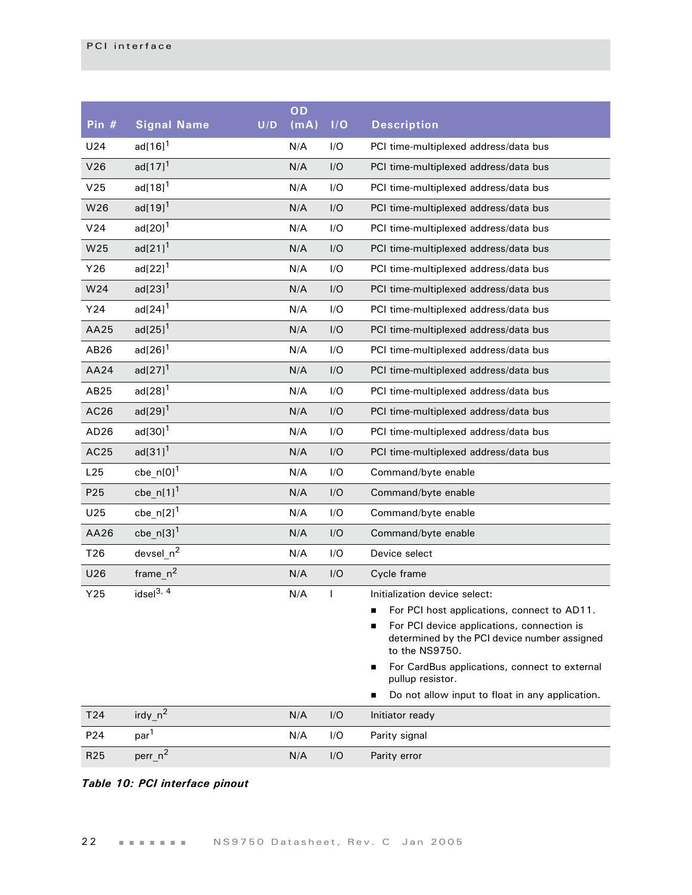| Pin $#$          | <b>Signal Name</b>      | U/D | OD<br>(mA) | 1/O          | <b>Description</b>                                                                                                                                                                                                                                                                                                             |
|------------------|-------------------------|-----|------------|--------------|--------------------------------------------------------------------------------------------------------------------------------------------------------------------------------------------------------------------------------------------------------------------------------------------------------------------------------|
| U24              | ad[ $16$ ] <sup>1</sup> |     | N/A        | I/O          | PCI time-multiplexed address/data bus                                                                                                                                                                                                                                                                                          |
| V26              | $ad[17]^{1}$            |     | N/A        | I/O          | PCI time-multiplexed address/data bus                                                                                                                                                                                                                                                                                          |
| V <sub>25</sub>  | ad[ $18$ ] $1$          |     | N/A        | I/O          | PCI time-multiplexed address/data bus                                                                                                                                                                                                                                                                                          |
| W26              | $ad[19]$ <sup>1</sup>   |     | N/A        | I/O          | PCI time-multiplexed address/data bus                                                                                                                                                                                                                                                                                          |
| V24              | $ad[20]$ <sup>1</sup>   |     | N/A        | I/O          | PCI time-multiplexed address/data bus                                                                                                                                                                                                                                                                                          |
| W25              | $ad[21]$ <sup>1</sup>   |     | N/A        | I/O          | PCI time-multiplexed address/data bus                                                                                                                                                                                                                                                                                          |
| Y26              | $ad[22]$ <sup>1</sup>   |     | N/A        | I/O          | PCI time-multiplexed address/data bus                                                                                                                                                                                                                                                                                          |
| W24              | $ad[23]$ <sup>1</sup>   |     | N/A        | I/O          | PCI time-multiplexed address/data bus                                                                                                                                                                                                                                                                                          |
| Y24              | $ad[24]$ <sup>1</sup>   |     | N/A        | I/O          | PCI time-multiplexed address/data bus                                                                                                                                                                                                                                                                                          |
| AA25             | $ad[25]$ <sup>1</sup>   |     | N/A        | I/O          | PCI time-multiplexed address/data bus                                                                                                                                                                                                                                                                                          |
| AB26             | $ad[26]$ <sup>1</sup>   |     | N/A        | I/O          | PCI time-multiplexed address/data bus                                                                                                                                                                                                                                                                                          |
| AA24             | $ad[27]$ <sup>1</sup>   |     | N/A        | I/O          | PCI time-multiplexed address/data bus                                                                                                                                                                                                                                                                                          |
| AB25             | $ad[28]$ <sup>1</sup>   |     | N/A        | I/O          | PCI time-multiplexed address/data bus                                                                                                                                                                                                                                                                                          |
| AC26             | $ad[29]$ <sup>1</sup>   |     | N/A        | I/O          | PCI time-multiplexed address/data bus                                                                                                                                                                                                                                                                                          |
| AD <sub>26</sub> | $ad[30]$ <sup>1</sup>   |     | N/A        | I/O          | PCI time-multiplexed address/data bus                                                                                                                                                                                                                                                                                          |
| AC25             | $ad[31]$ <sup>1</sup>   |     | N/A        | I/O          | PCI time-multiplexed address/data bus                                                                                                                                                                                                                                                                                          |
| L25              | $cbe_n[0]^1$            |     | N/A        | I/O          | Command/byte enable                                                                                                                                                                                                                                                                                                            |
| P <sub>25</sub>  | cbe $n[1]$ <sup>1</sup> |     | N/A        | I/O          | Command/byte enable                                                                                                                                                                                                                                                                                                            |
| U25              | cbe_n[2] $1$            |     | N/A        | I/O          | Command/byte enable                                                                                                                                                                                                                                                                                                            |
| AA26             | cbe_n[3] $1$            |     | N/A        | I/O          | Command/byte enable                                                                                                                                                                                                                                                                                                            |
| T26              | devsel $n^2$            |     | N/A        | I/O          | Device select                                                                                                                                                                                                                                                                                                                  |
| U26              | $frame_n^2$             |     | N/A        | I/O          | Cycle frame                                                                                                                                                                                                                                                                                                                    |
| Y25              | idsel $3, 4$            |     | N/A        | $\mathsf{I}$ | Initialization device select:<br>For PCI host applications, connect to AD11.<br>For PCI device applications, connection is<br>determined by the PCI device number assigned<br>to the NS9750.<br>For CardBus applications, connect to external<br>■<br>pullup resistor.<br>Do not allow input to float in any application.<br>■ |
| T <sub>24</sub>  | irdy $n^2$              |     | N/A        | I/O          | Initiator ready                                                                                                                                                                                                                                                                                                                |
| P24              | par <sup>1</sup>        |     | N/A        | I/O          | Parity signal                                                                                                                                                                                                                                                                                                                  |
| R <sub>25</sub>  | perr_n <sup>2</sup>     |     | N/A        | I/O          | Parity error                                                                                                                                                                                                                                                                                                                   |

## *Table 10: PCI interface pinout*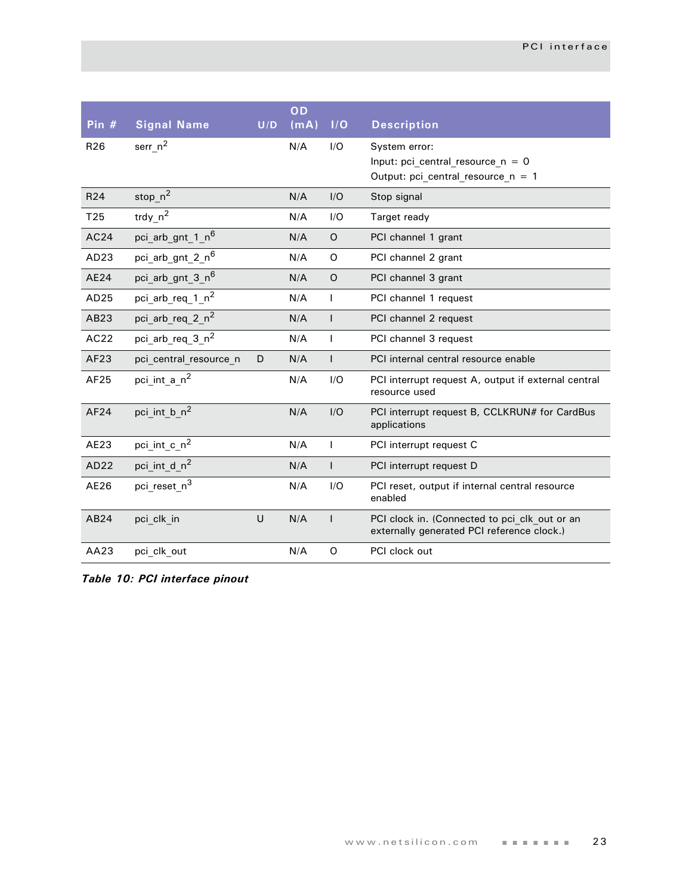| Pin $#$          | <b>Signal Name</b>           | U/D | OD<br>(mA) | I/O            | <b>Description</b>                                                                          |
|------------------|------------------------------|-----|------------|----------------|---------------------------------------------------------------------------------------------|
| R <sub>26</sub>  | $ser_n^2$                    |     | N/A        | I/O            | System error:<br>Input: pci central resource $n = 0$<br>Output: pci_central_resource_n = 1  |
| R <sub>24</sub>  | stop_ $n^2$                  |     | N/A        | I/O            | Stop signal                                                                                 |
| T25              | trdy_n <sup>2</sup>          |     | N/A        | I/O            | Target ready                                                                                |
| AC24             | pci arb gnt 1 n <sup>6</sup> |     | N/A        | $\circ$        | PCI channel 1 grant                                                                         |
| AD <sub>23</sub> | pci_arb_gnt_2_n <sup>6</sup> |     | N/A        | O              | PCI channel 2 grant                                                                         |
| AE24             | pci_arb_gnt_3_n <sup>6</sup> |     | N/A        | $\circ$        | PCI channel 3 grant                                                                         |
| AD25             | pci_arb_req_1_n <sup>2</sup> |     | N/A        | $\mathsf{I}$   | PCI channel 1 request                                                                       |
| AB23             | pci_arb_req_2_n <sup>2</sup> |     | N/A        | $\mathbf{I}$   | PCI channel 2 request                                                                       |
| AC22             | pci_arb_req_3_n <sup>2</sup> |     | N/A        | $\mathsf{I}$   | PCI channel 3 request                                                                       |
| AF23             | pci_central_resource_n       | D   | N/A        | $\mathsf{I}$   | PCI internal central resource enable                                                        |
| AF25             | pci int a n <sup>2</sup>     |     | N/A        | I/O            | PCI interrupt request A, output if external central<br>resource used                        |
| AF24             | pci int b n <sup>2</sup>     |     | N/A        | I/O            | PCI interrupt request B, CCLKRUN# for CardBus<br>applications                               |
| AE23             | pci_int_c_n <sup>2</sup>     |     | N/A        | $\overline{1}$ | PCI interrupt request C                                                                     |
| AD22             | pci int d n <sup>2</sup>     |     | N/A        | $\mathbf{I}$   | PCI interrupt request D                                                                     |
| AE26             | pci reset n <sup>3</sup>     |     | N/A        | I/O            | PCI reset, output if internal central resource<br>enabled                                   |
| AB24             | pci clk in                   | U   | N/A        | $\mathsf{I}$   | PCI clock in. (Connected to pci clk out or an<br>externally generated PCI reference clock.) |
| AA23             | pci clk out                  |     | N/A        | O              | PCI clock out                                                                               |

*Table 10: PCI interface pinout*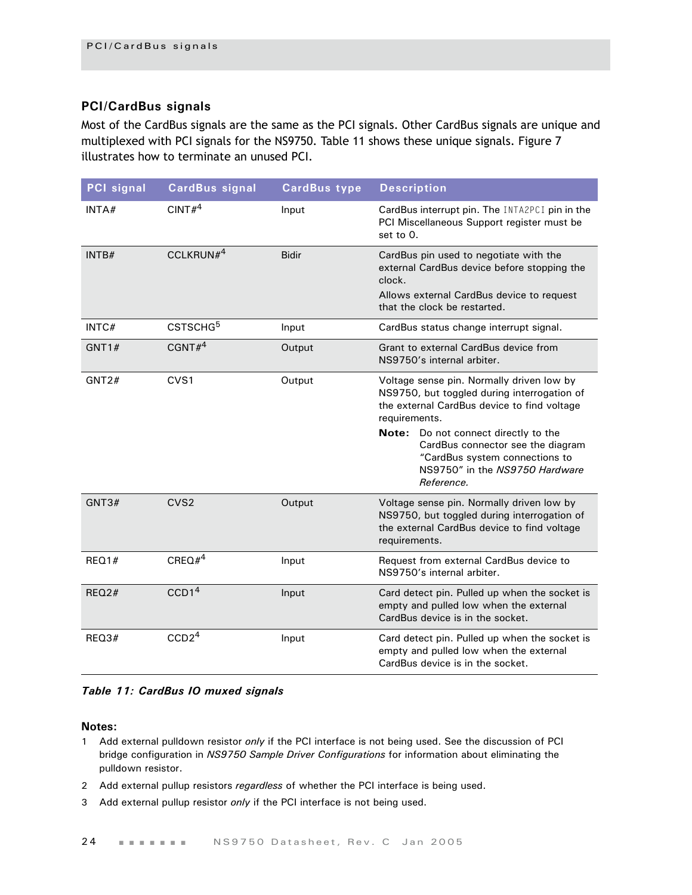#### <span id="page-27-0"></span>**PCI/CardBus signals**

Most of the CardBus signals are the same as the PCI signals. Other CardBus signals are unique and multiplexed with PCI signals for the NS9750. [Table 11](#page-27-1) shows these unique signals. Figure 7 illustrates how to terminate an unused PCI.

| <b>PCI</b> signal | <b>CardBus signal</b> | <b>CardBus type</b> | <b>Description</b>                                                                                                                                                                                                                                                                                                         |
|-------------------|-----------------------|---------------------|----------------------------------------------------------------------------------------------------------------------------------------------------------------------------------------------------------------------------------------------------------------------------------------------------------------------------|
| INTA#             | CINT# <sup>4</sup>    | Input               | CardBus interrupt pin. The INTA2PCI pin in the<br>PCI Miscellaneous Support register must be<br>set to 0.                                                                                                                                                                                                                  |
| INTB#             | CCLKRUN $#^4$         | <b>Bidir</b>        | CardBus pin used to negotiate with the<br>external CardBus device before stopping the<br>clock.<br>Allows external CardBus device to request<br>that the clock be restarted.                                                                                                                                               |
| INTC#             | CSTSCHG <sup>5</sup>  | Input               | CardBus status change interrupt signal.                                                                                                                                                                                                                                                                                    |
| GNT1#             | CGNT $#4$             | Output              | Grant to external CardBus device from<br>NS9750's internal arbiter.                                                                                                                                                                                                                                                        |
| GNT2#             | CVS <sub>1</sub>      | Output              | Voltage sense pin. Normally driven low by<br>NS9750, but toggled during interrogation of<br>the external CardBus device to find voltage<br>requirements.<br>Do not connect directly to the<br>Note:<br>CardBus connector see the diagram<br>"CardBus system connections to<br>NS9750" in the NS9750 Hardware<br>Reference. |
| GNT3#             | CVS <sub>2</sub>      | Output              | Voltage sense pin. Normally driven low by<br>NS9750, but toggled during interrogation of<br>the external CardBus device to find voltage<br>requirements.                                                                                                                                                                   |
| REQ1#             | CREQ# $4^4$           | Input               | Request from external CardBus device to<br>NS9750's internal arbiter.                                                                                                                                                                                                                                                      |
| REQ2#             | CCD1 <sup>4</sup>     | Input               | Card detect pin. Pulled up when the socket is<br>empty and pulled low when the external<br>CardBus device is in the socket.                                                                                                                                                                                                |
| REQ3#             | CCD2 <sup>4</sup>     | Input               | Card detect pin. Pulled up when the socket is<br>empty and pulled low when the external<br>CardBus device is in the socket.                                                                                                                                                                                                |

#### <span id="page-27-1"></span>*Table 11: CardBus IO muxed signals*

#### **Notes:**

- 1 Add external pulldown resistor *only* if the PCI interface is not being used. See the discussion of PCI bridge configuration in *NS9750 Sample Driver Configurations* for information about eliminating the pulldown resistor.
- 2 Add external pullup resistors *regardless* of whether the PCI interface is being used.
- 3 Add external pullup resistor *only* if the PCI interface is not being used.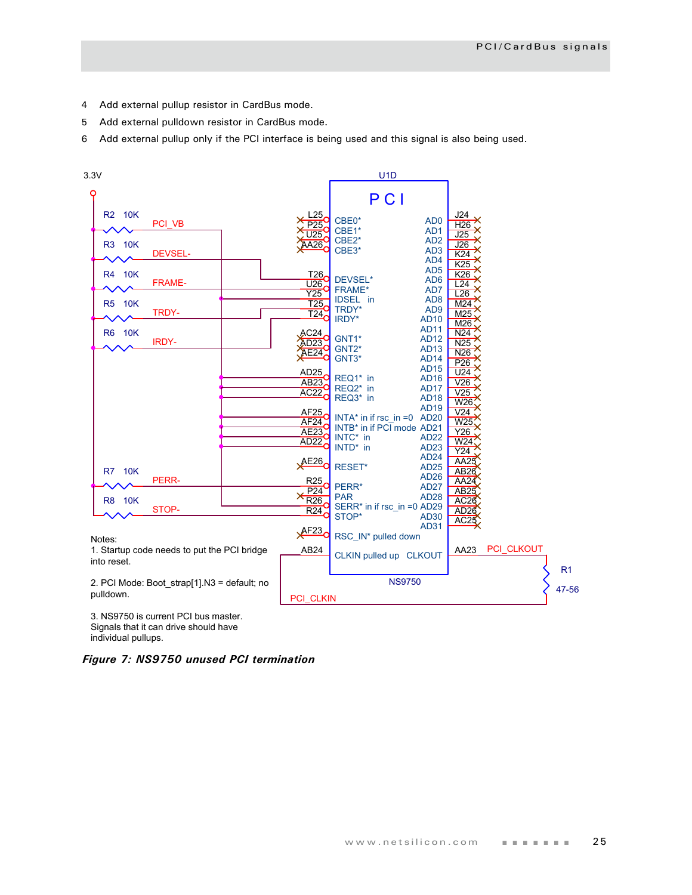- 4 Add external pullup resistor in CardBus mode.
- 5 Add external pulldown resistor in CardBus mode.
- 6 Add external pullup only if the PCI interface is being used and this signal is also being used.



3. NS9750 is current PCI bus master. Signals that it can drive should have individual pullups.

*Figure 7: NS9750 unused PCI termination*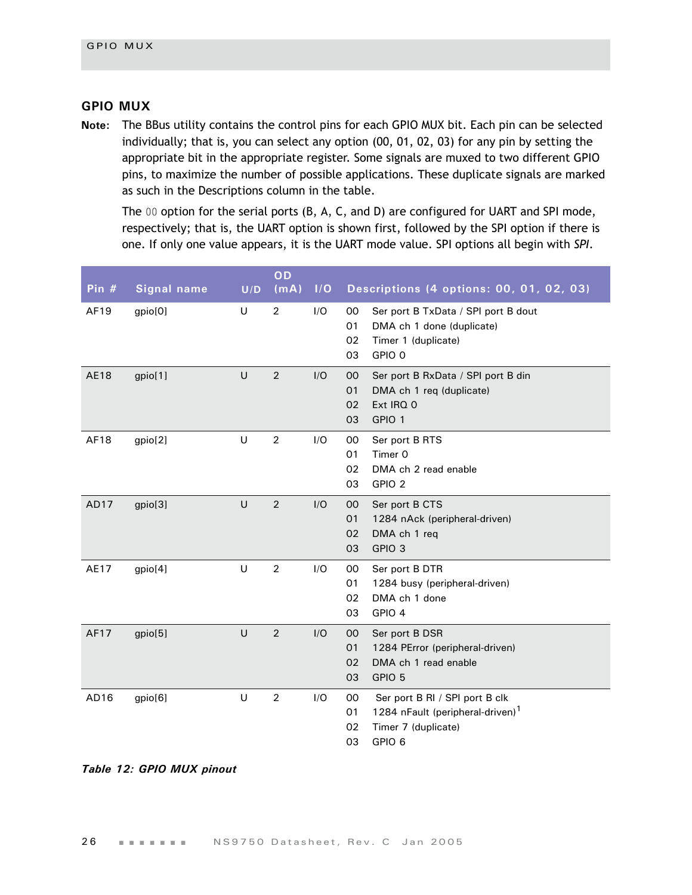#### <span id="page-29-0"></span>**GPIO MUX**

**Note:** The BBus utility contains the control pins for each GPIO MUX bit. Each pin can be selected individually; that is, you can select any option (00, 01, 02, 03) for any pin by setting the appropriate bit in the appropriate register. Some signals are muxed to two different GPIO pins, to maximize the number of possible applications. These duplicate signals are marked as such in the Descriptions column in the table.

The 00 option for the serial ports (B, A, C, and D) are configured for UART and SPI mode, respectively; that is, the UART option is shown first, followed by the SPI option if there is one. If only one value appears, it is the UART mode value. SPI options all begin with *SPI*.

| Pin $#$          | <b>Signal name</b> | U/D | OD<br>(mA)     | I/O | Descriptions (4 options: 00, 01, 02, 03)                                                                                                           |
|------------------|--------------------|-----|----------------|-----|----------------------------------------------------------------------------------------------------------------------------------------------------|
| AF19             | gpio[0]            | U   | $\overline{2}$ | I/O | 00<br>Ser port B TxData / SPI port B dout<br>01<br>DMA ch 1 done (duplicate)<br>Timer 1 (duplicate)<br>02<br>GPIO 0<br>03                          |
| <b>AE18</b>      | gpio[1]            | U   | $\overline{2}$ | I/O | 00<br>Ser port B RxData / SPI port B din<br>01<br>DMA ch 1 req (duplicate)<br>Ext IRQ 0<br>02<br>GPIO 1<br>03                                      |
| AF18             | gpio[2]            | U   | $\overline{2}$ | I/O | Ser port B RTS<br>$00 \,$<br>Timer 0<br>01<br>02<br>DMA ch 2 read enable<br>03<br>GPIO <sub>2</sub>                                                |
| AD17             | gpio[3]            | U   | 2              | I/O | Ser port B CTS<br>00<br>01<br>1284 nAck (peripheral-driven)<br>02<br>DMA ch 1 req<br>GPIO <sub>3</sub><br>03                                       |
| AE17             | gpio[4]            | U   | $\overline{2}$ | I/O | 00<br>Ser port B DTR<br>01<br>1284 busy (peripheral-driven)<br>02<br>DMA ch 1 done<br>GPIO 4<br>03                                                 |
| AF17             | gpio[5]            | U   | $\overline{2}$ | I/O | $00 \,$<br>Ser port B DSR<br>01<br>1284 PError (peripheral-driven)<br>DMA ch 1 read enable<br>02<br>03<br>GPIO 5                                   |
| AD <sub>16</sub> | gpio[6]            | U   | $\overline{2}$ | I/O | 00<br>Ser port B RI / SPI port B clk<br>1284 nFault (peripheral-driven) <sup>1</sup><br>01<br>02<br>Timer 7 (duplicate)<br>03<br>GPIO <sub>6</sub> |

#### *Table 12: GPIO MUX pinout*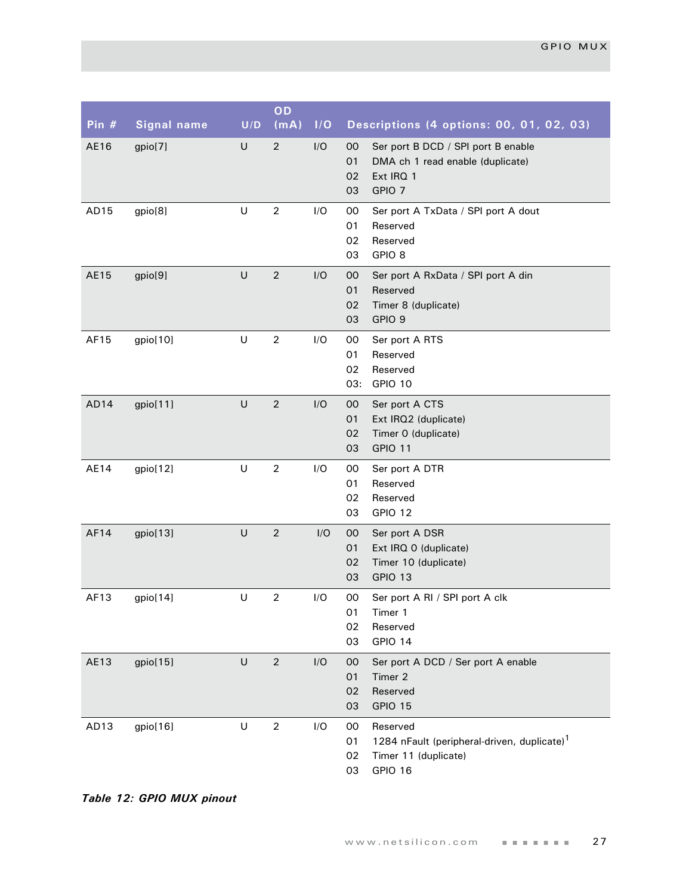| Pin $#$ | <b>Signal name</b> | U/D     | OD<br>(mA)     | I/O | Descriptions (4 options: 00, 01, 02, 03)                                                                                         |
|---------|--------------------|---------|----------------|-----|----------------------------------------------------------------------------------------------------------------------------------|
| AE16    | gpio[7]            | $\cup$  | $\overline{2}$ | I/O | 00<br>Ser port B DCD / SPI port B enable<br>01<br>DMA ch 1 read enable (duplicate)<br>02<br>Ext IRQ 1<br>GPIO <sub>7</sub><br>03 |
| AD15    | gpio[8]            | $\sf U$ | $\overline{2}$ | I/O | 00<br>Ser port A TxData / SPI port A dout<br>01<br>Reserved<br>02<br>Reserved<br>GPIO <sub>8</sub><br>03                         |
| AE15    | gpio[9]            | U       | $\overline{2}$ | I/O | 00<br>Ser port A RxData / SPI port A din<br>01<br>Reserved<br>02<br>Timer 8 (duplicate)<br>03<br>GPIO <sub>9</sub>               |
| AF15    | gpio[10]           | U       | $\sqrt{2}$     | I/O | 00<br>Ser port A RTS<br>01<br>Reserved<br>02<br>Reserved<br>GPIO 10<br>03:                                                       |
| AD14    | gpio[11]           | $\sf U$ | $\overline{2}$ | I/O | 00<br>Ser port A CTS<br>01<br>Ext IRQ2 (duplicate)<br>02<br>Timer 0 (duplicate)<br>GPIO 11<br>03                                 |
| AE14    | gpio[12]           | $\sf U$ | $\overline{2}$ | I/O | 00<br>Ser port A DTR<br>01<br>Reserved<br>02<br>Reserved<br>GPIO 12<br>03                                                        |
| AF14    | gpio[13]           | $\sf U$ | $\sqrt{2}$     | I/O | 00<br>Ser port A DSR<br>01<br>Ext IRQ 0 (duplicate)<br>Timer 10 (duplicate)<br>02<br>GPIO 13<br>03                               |
| AF13    | gpio[14]           | U       | $\sqrt{2}$     | I/O | 00<br>Ser port A RI / SPI port A clk<br>01<br>Timer 1<br>02<br>Reserved<br>GPIO 14<br>03                                         |
| AE13    | gpio[15]           | U       | $\sqrt{2}$     | I/O | Ser port A DCD / Ser port A enable<br>00<br>01<br>Timer 2<br>Reserved<br>02<br>GPIO 15<br>03                                     |
| AD13    | gpio[16]           | U       | $\overline{c}$ | I/O | 00<br>Reserved<br>1284 nFault (peripheral-driven, duplicate) <sup>1</sup><br>01<br>02<br>Timer 11 (duplicate)<br>GPIO 16<br>03   |

*Table 12: GPIO MUX pinout*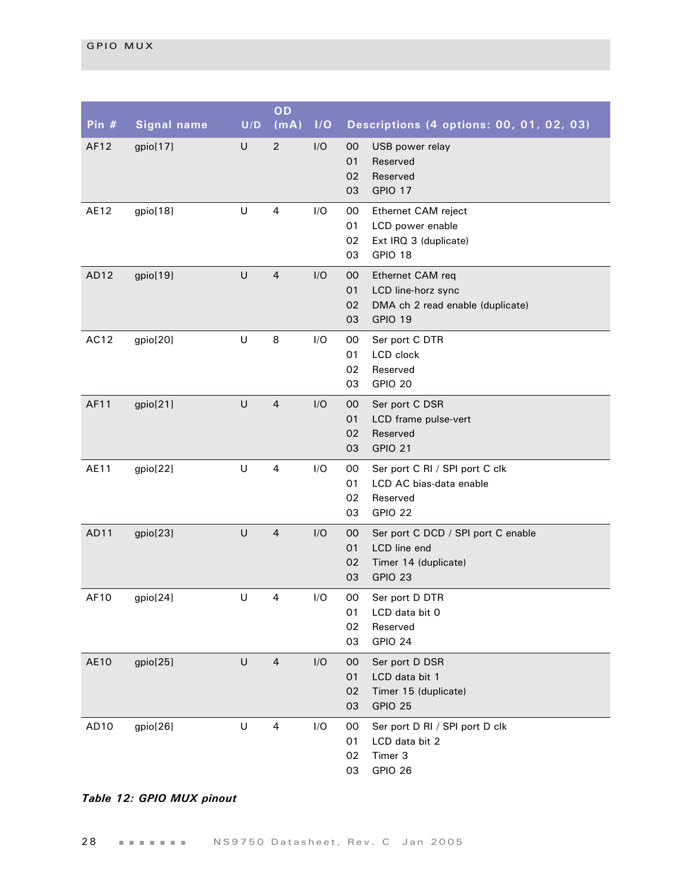| Pin # | <b>Signal name</b> | U/D | OD<br>(mA)              | 1/O | Descriptions (4 options: 00, 01, 02, 03)                                                                             |
|-------|--------------------|-----|-------------------------|-----|----------------------------------------------------------------------------------------------------------------------|
| AF12  | gpio[17]           | U   | $\overline{2}$          | I/O | 00<br>USB power relay<br>01<br>Reserved<br>02<br>Reserved<br>03<br><b>GPIO 17</b>                                    |
| AE12  | gpio[18]           | U   | 4                       | I/O | 00<br>Ethernet CAM reject<br>01<br>LCD power enable<br>Ext IRQ 3 (duplicate)<br>02<br>GPIO 18<br>03                  |
| AD12  | gpio[19]           | U   | $\overline{4}$          | I/O | 00<br>Ethernet CAM req<br>01<br>LCD line-horz sync<br>02<br>DMA ch 2 read enable (duplicate)<br>GPIO 19<br>03        |
| AC12  | gpio[20]           | U   | 8                       | I/O | 00<br>Ser port C DTR<br>01<br>LCD clock<br>02<br>Reserved<br>03<br>GPIO 20                                           |
| AF11  | gpio[21]           | U   | $\overline{4}$          | I/O | 00<br>Ser port C DSR<br>01<br>LCD frame pulse-vert<br>Reserved<br>02<br><b>GPIO 21</b><br>03                         |
| AE11  | gpio[22]           | U   | $\overline{4}$          | I/O | 00<br>Ser port C RI / SPI port C clk<br>01<br>LCD AC bias-data enable<br>02<br>Reserved<br>03<br>GPIO 22             |
| AD11  | gpio[23]           | U   | $\overline{4}$          | I/O | 00<br>Ser port C DCD / SPI port C enable<br>01<br><b>LCD</b> line end<br>Timer 14 (duplicate)<br>02<br>03<br>GPIO 23 |
| AF10  | gpio[24]           | U   | 4                       | I/O | Ser port D DTR<br>00<br>LCD data bit 0<br>01<br>02<br>Reserved<br>03<br>GPIO 24                                      |
| AE10  | gpio[25]           | U   | $\overline{4}$          | I/O | 00<br>Ser port D DSR<br>01<br>LCD data bit 1<br>Timer 15 (duplicate)<br>02<br>03<br>GPIO 25                          |
| AD10  | gpio[26]           | U   | $\overline{\mathbf{4}}$ | I/O | Ser port D RI / SPI port D clk<br>00<br>LCD data bit 2<br>01<br>Timer 3<br>02<br>GPIO 26<br>03                       |

## *Table 12: GPIO MUX pinout*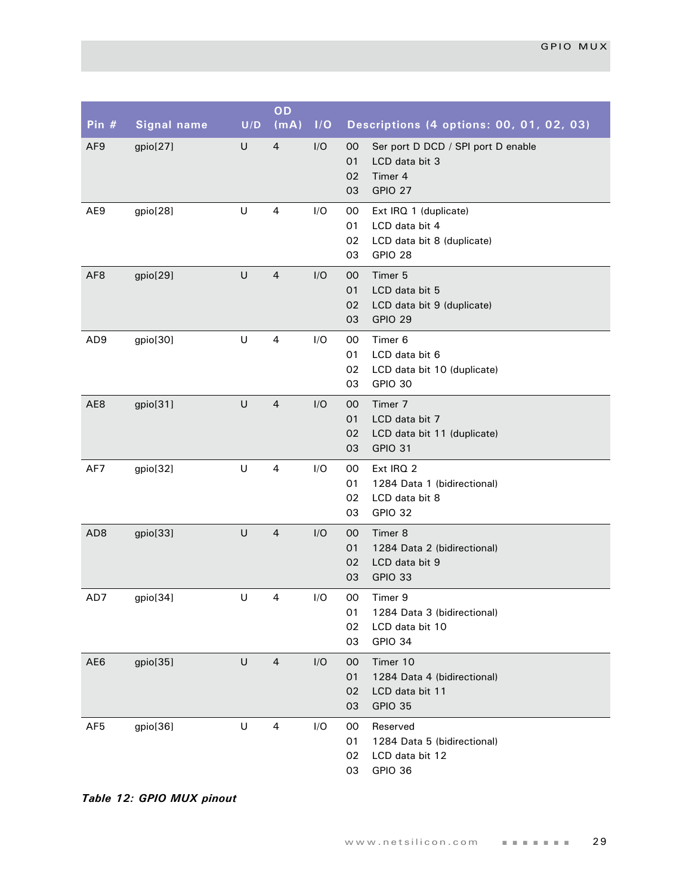| Pin $#$         | <b>Signal name</b> | U/D     | OD<br>(mA)              | I/O | Descriptions (4 options: 00, 01, 02, 03)                                                                 |
|-----------------|--------------------|---------|-------------------------|-----|----------------------------------------------------------------------------------------------------------|
| AF <sub>9</sub> | gpio[27]           | U       | $\overline{4}$          | I/O | 00<br>Ser port D DCD / SPI port D enable<br>LCD data bit 3<br>01<br>02<br>Timer 4<br>GPIO 27<br>03       |
| AE9             | gpio[28]           | U       | 4                       | I/O | 00<br>Ext IRQ 1 (duplicate)<br>01<br>LCD data bit 4<br>LCD data bit 8 (duplicate)<br>02<br>GPIO 28<br>03 |
| AF <sub>8</sub> | gpio[29]           | U       | $\overline{4}$          | I/O | Timer 5<br>$00\,$<br>01<br>LCD data bit 5<br>02<br>LCD data bit 9 (duplicate)<br>GPIO 29<br>03           |
| AD9             | gpio[30]           | $\sf U$ | $\overline{\mathbf{4}}$ | I/O | $00\,$<br>Timer 6<br>01<br>LCD data bit 6<br>02<br>LCD data bit 10 (duplicate)<br>GPIO 30<br>03          |
| AE8             | gpio[31]           | $\cup$  | $\overline{4}$          | I/O | 00<br>Timer 7<br>01<br>LCD data bit 7<br>02<br>LCD data bit 11 (duplicate)<br><b>GPIO 31</b><br>03       |
| AF7             | gpio[32]           | $\sf U$ | $\overline{\mathbf{4}}$ | I/O | Ext IRQ 2<br>00<br>1284 Data 1 (bidirectional)<br>01<br>02<br>LCD data bit 8<br>GPIO 32<br>03            |
| AD <sub>8</sub> | gpio[33]           | U       | $\overline{4}$          | I/O | Timer 8<br>$00\,$<br>01<br>1284 Data 2 (bidirectional)<br>02<br>LCD data bit 9<br>03<br>GPIO 33          |
| AD7             | gpio[34]           | U       | 4                       | I/O | $00\,$<br>Timer 9<br>1284 Data 3 (bidirectional)<br>01<br>02<br>LCD data bit 10<br>03<br>GPIO 34         |
| AE6             | gpio[35]           | $\cup$  | $\overline{4}$          | I/O | Timer 10<br>$00\,$<br>01<br>1284 Data 4 (bidirectional)<br>02<br>LCD data bit 11<br>03<br>GPIO 35        |
| AF <sub>5</sub> | gpio[36]           | $\sf U$ | 4                       | I/O | 00<br>Reserved<br>01<br>1284 Data 5 (bidirectional)<br>02<br>LCD data bit 12<br>03<br>GPIO 36            |

*Table 12: GPIO MUX pinout*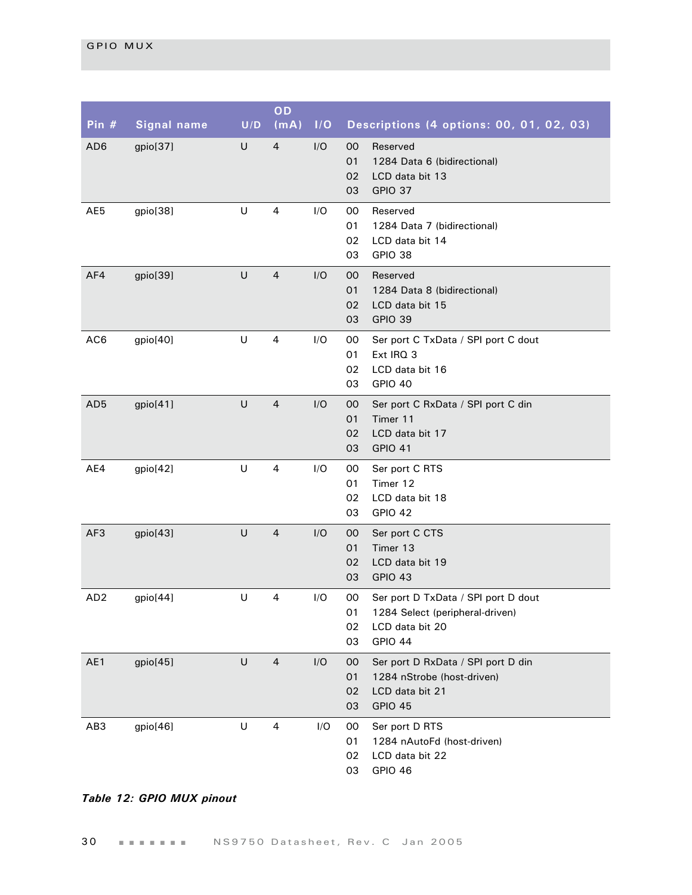| Pin $#$         | <b>Signal name</b> | U/D | OD<br>(mA)     | I/O | Descriptions (4 options: 00, 01, 02, 03)                                                                                            |
|-----------------|--------------------|-----|----------------|-----|-------------------------------------------------------------------------------------------------------------------------------------|
| AD <sub>6</sub> | gpio[37]           | U   | 4              | I/O | Reserved<br>00<br>01<br>1284 Data 6 (bidirectional)<br>02<br>LCD data bit 13<br>GPIO 37<br>03                                       |
| AE5             | gpio[38]           | U   | 4              | I/O | 00<br>Reserved<br>01<br>1284 Data 7 (bidirectional)<br>02<br>LCD data bit 14<br>GPIO 38<br>03                                       |
| AF4             | gpio[39]           | U   | 4              | I/O | 00<br>Reserved<br>01<br>1284 Data 8 (bidirectional)<br>02<br>LCD data bit 15<br>GPIO 39<br>03                                       |
| AC6             | gpio[40]           | U   | 4              | I/O | 00<br>Ser port C TxData / SPI port C dout<br>Ext IRQ 3<br>01<br>02<br>LCD data bit 16<br>GPIO 40<br>03                              |
| AD <sub>5</sub> | gpio[41]           | U   | $\overline{4}$ | I/O | $00\,$<br>Ser port C RxData / SPI port C din<br>01<br>Timer 11<br>02<br>LCD data bit 17<br><b>GPIO 41</b><br>03                     |
| AE4             | gpio[42]           | U   | 4              | I/O | 00<br>Ser port C RTS<br>Timer 12<br>01<br>LCD data bit 18<br>02<br><b>GPIO 42</b><br>03                                             |
| AF3             | gpio[43]           | U   | 4              | I/O | $00\,$<br>Ser port C CTS<br>Timer 13<br>01<br>02<br>LCD data bit 19<br>GPIO 43<br>03                                                |
| AD <sub>2</sub> | gpio[44]           | U   | 4              | I/O | 00<br>Ser port D TxData / SPI port D dout<br>1284 Select (peripheral-driven)<br>01<br>02<br>LCD data bit 20<br><b>GPIO 44</b><br>03 |
| AE1             | gpio[45]           | U   | $\overline{4}$ | I/O | 00<br>Ser port D RxData / SPI port D din<br>01<br>1284 nStrobe (host-driven)<br>02<br>LCD data bit 21<br>GPIO 45<br>03              |
| AB <sub>3</sub> | gpio[46]           | U   | 4              | I/O | 00<br>Ser port D RTS<br>01<br>1284 nAutoFd (host-driven)<br>02<br>LCD data bit 22<br>GPIO 46<br>03                                  |

# *Table 12: GPIO MUX pinout*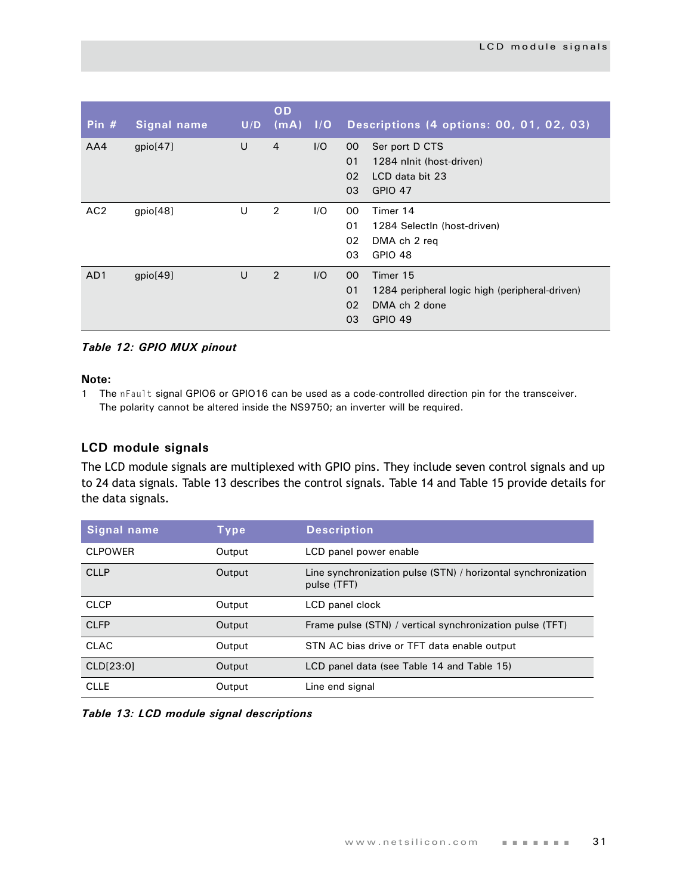| Pin $#$         | Signal name | U/D | OD<br>(mA)     | 1/O | Descriptions (4 options: 00, 01, 02, 03)                                                                                           |
|-----------------|-------------|-----|----------------|-----|------------------------------------------------------------------------------------------------------------------------------------|
| AA4             | gpio[47]    | U   | $\overline{4}$ | I/O | Ser port D CTS<br>00<br>01<br>1284 nlnit (host-driven)<br>02<br>LCD data bit 23<br>03<br><b>GPIO 47</b>                            |
| AC <sub>2</sub> | gpio[48]    | U   | $\overline{2}$ | 1/O | 00<br>Timer 14<br>01<br>1284 SelectIn (host-driven)<br>02<br>DMA ch 2 reg<br>03<br><b>GPIO 48</b>                                  |
| AD <sub>1</sub> | gpio[49]    | U   | 2              | I/O | 00 <sup>°</sup><br>Timer 15<br>01<br>1284 peripheral logic high (peripheral-driven)<br>02<br>DMA ch 2 done<br>03<br><b>GPIO 49</b> |

#### *Table 12: GPIO MUX pinout*

#### **Note:**

1 The nFault signal GPIO6 or GPIO16 can be used as a code-controlled direction pin for the transceiver. The polarity cannot be altered inside the NS9750; an inverter will be required.

#### <span id="page-34-0"></span>**LCD module signals**

The LCD module signals are multiplexed with GPIO pins. They include seven control signals and up to 24 data signals. [Table 13](#page-34-1) describes the control signals. [Table 14](#page-35-0) and [Table 15](#page-36-0) provide details for the data signals.

| Signal name    | Type   | <b>Description</b>                                                           |
|----------------|--------|------------------------------------------------------------------------------|
| <b>CLPOWER</b> | Output | LCD panel power enable                                                       |
| <b>CLLP</b>    | Output | Line synchronization pulse (STN) / horizontal synchronization<br>pulse (TFT) |
| <b>CLCP</b>    | Output | LCD panel clock                                                              |
| <b>CLFP</b>    | Output | Frame pulse (STN) / vertical synchronization pulse (TFT)                     |
| <b>CLAC</b>    | Output | STN AC bias drive or TFT data enable output                                  |
| CLD[23:0]      | Output | LCD panel data (see Table 14 and Table 15)                                   |
| <b>CLLE</b>    | Output | Line end signal                                                              |

<span id="page-34-1"></span>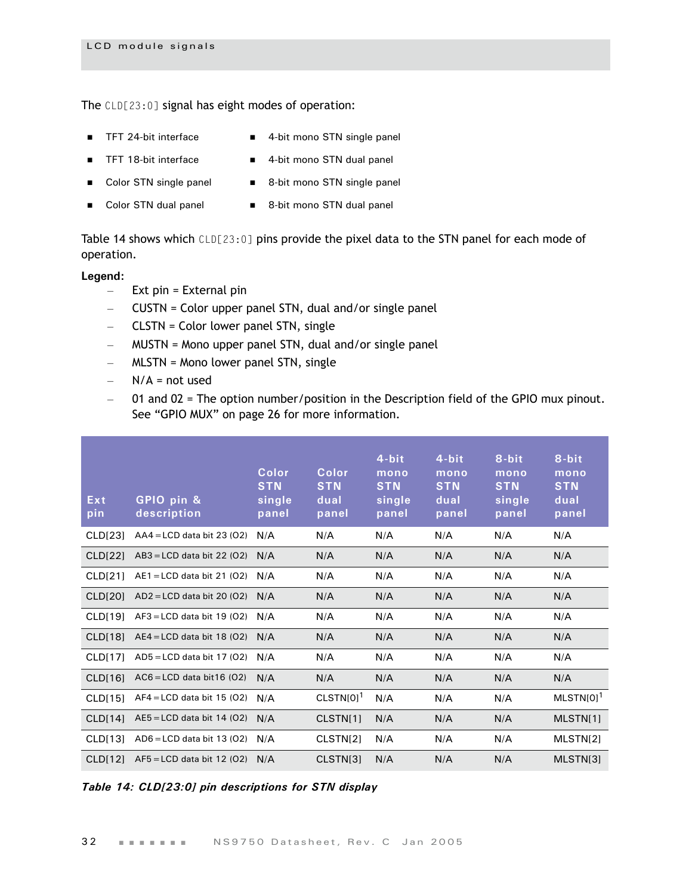The CLD[23:0] signal has eight modes of operation:

- TFT 24-bit interface 4-bit mono STN single panel
	-
- TFT 18-bit interface 4-bit mono STN dual panel
- 
- 
- Color STN single panel 8-bit mono STN single panel
- Color STN dual panel 8-bit mono STN dual panel

[Table 14](#page-35-0) shows which CLD[23:0] pins provide the pixel data to the STN panel for each mode of operation.

#### **Legend:**

- $-$  Ext pin = External pin
- CUSTN = Color upper panel STN, dual and/or single panel
- CLSTN = Color lower panel STN, single
- MUSTN = Mono upper panel STN, dual and/or single panel
- MLSTN = Mono lower panel STN, single
- $N/A$  = not used
- 01 and 02 = The option number/position in the Description field of the GPIO mux pinout. See ["GPIO MUX" on page 26](#page-29-0) for more information.

| Ext<br>pin          | GPIO pin &<br>description    | Color<br><b>STN</b><br>single<br>panel | Color<br><b>STN</b><br>dual<br>panel | 4-bit<br>mono<br><b>STN</b><br>single<br>panel | 4-bit<br>mono<br><b>STN</b><br>dual<br>panel | 8-bit<br>mono<br><b>STN</b><br>single<br>panel | 8-bit<br>mono<br><b>STN</b><br>dual<br>panel |
|---------------------|------------------------------|----------------------------------------|--------------------------------------|------------------------------------------------|----------------------------------------------|------------------------------------------------|----------------------------------------------|
| CLD <sub>[23]</sub> | $AAA = LCD$ data bit 23 (O2) | N/A                                    | N/A                                  | N/A                                            | N/A                                          | N/A                                            | N/A                                          |
| <b>CLD[22]</b>      | $AB3 = LCD$ data bit 22 (O2) | N/A                                    | N/A                                  | N/A                                            | N/A                                          | N/A                                            | N/A                                          |
| CLD[21]             | $AE1 = LCD$ data bit 21 (O2) | N/A                                    | N/A                                  | N/A                                            | N/A                                          | N/A                                            | N/A                                          |
| <b>CLD[20]</b>      | $AD2 = LCD$ data bit 20 (O2) | N/A                                    | N/A                                  | N/A                                            | N/A                                          | N/A                                            | N/A                                          |
| CLD[19]             | $AF3 = LCD$ data bit 19 (02) | N/A                                    | N/A                                  | N/A                                            | N/A                                          | N/A                                            | N/A                                          |
| CLD[18]             | $AE4 = LCD$ data bit 18 (O2) | N/A                                    | N/A                                  | N/A                                            | N/A                                          | N/A                                            | N/A                                          |
| CLD[17]             | $AD5 = LCD$ data bit 17 (O2) | N/A                                    | N/A                                  | N/A                                            | N/A                                          | N/A                                            | N/A                                          |
| CLD[16]             | $AC6 = LCD$ data bit 16 (02) | N/A                                    | N/A                                  | N/A                                            | N/A                                          | N/A                                            | N/A                                          |
| CLD[15]             | $AF4 = LCD$ data bit 15 (O2) | N/A                                    | $CLSTN[0]$ <sup>1</sup>              | N/A                                            | N/A                                          | N/A                                            | $MLSTN[0]$ <sup>1</sup>                      |
| <b>CLD[14]</b>      | $AE5 = LCD$ data bit 14 (O2) | N/A                                    | CLSTN[1]                             | N/A                                            | N/A                                          | N/A                                            | MLSTN[1]                                     |
| CLD[13]             | $AD6 = LCD$ data bit 13 (O2) | N/A                                    | CLSTN[2]                             | N/A                                            | N/A                                          | N/A                                            | MLSTN[2]                                     |
| CLD[12]             | $AF5 = LCD$ data bit 12 (O2) | N/A                                    | CLSTN[3]                             | N/A                                            | N/A                                          | N/A                                            | MLSTN[3]                                     |

<span id="page-35-0"></span>*Table 14: CLD[23:0] pin descriptions for STN display*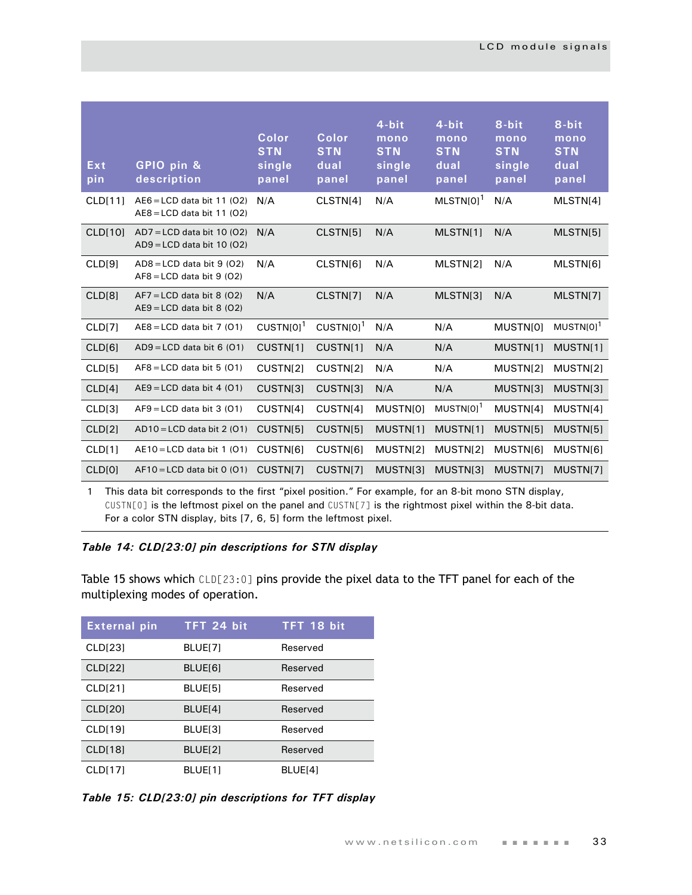| Ext<br>pin         | GPIO pin &<br>description                                    | Color<br><b>STN</b><br>single<br>panel | Color<br><b>STN</b><br>dual<br>panel | 4-bit<br>mono<br><b>STN</b><br>single<br>panel | 4-bit<br>mono<br><b>STN</b><br>dual<br>panel | 8-bit<br>mono<br><b>STN</b><br>single<br>panel | 8-bit<br>mono<br><b>STN</b><br>dual<br>panel |
|--------------------|--------------------------------------------------------------|----------------------------------------|--------------------------------------|------------------------------------------------|----------------------------------------------|------------------------------------------------|----------------------------------------------|
| <b>CLD[11]</b>     | $AEG = LCD$ data bit 11 (O2)<br>$AEB = LCD$ data bit 11 (O2) | N/A                                    | CLSTN[4]                             | N/A                                            | $MLSTN[0]$ <sup>1</sup>                      | N/A                                            | MLSTN[4]                                     |
| <b>CLD[10]</b>     | $AD7 = LCD$ data bit 10 (O2)<br>$AD9 = LCD$ data bit 10 (O2) | N/A                                    | CLSTN[5]                             | N/A                                            | MLSTN[1]                                     | N/A                                            | MLSTN[5]                                     |
| CLD[9]             | $AD8 = LCD$ data bit 9 (02)<br>$AF8 = LCD$ data bit 9 (O2)   | N/A                                    | CLSTN[6]                             | N/A                                            | MLSTN[2]                                     | N/A                                            | MLSTN[6]                                     |
| CLD <sub>[8]</sub> | $AF7 = LCD$ data bit 8 (O2)<br>$AE9 = LCD$ data bit 8 (02)   | N/A                                    | CLSTN[7]                             | N/A                                            | MLSTN[3]                                     | N/A                                            | MLSTN[7]                                     |
| CLD[7]             | $AEB = LCD$ data bit 7 (01)                                  | $CUSTN[0]$ <sup>1</sup>                | $CUSTN[0]$ <sup>1</sup>              | N/A                                            | N/A                                          | MUSTN[0]                                       | MUSTN[0] <sup>1</sup>                        |
| CLD[6]             | $AD9 = LCD$ data bit 6 (01)                                  | CUSTN[1]                               | CUSTN[1]                             | N/A                                            | N/A                                          | MUSTN[1]                                       | MUSTN[1]                                     |
| CLD[5]             | $AF8 = LCD$ data bit 5 (01)                                  | CUSTN[2]                               | CUSTN[2]                             | N/A                                            | N/A                                          | MUSTN[2]                                       | MUSTN[2]                                     |
| CLD[4]             | $AE9 = LCD$ data bit 4 (01)                                  | CUSTN[3]                               | CUSTN[3]                             | N/A                                            | N/A                                          | MUSTN[3]                                       | MUSTN[3]                                     |
| CLD[3]             | $AF9 = LCD$ data bit 3 (01)                                  | CUSTN[4]                               | CUSTN[4]                             | MUSTN[0]                                       | $MUSTN[0]$ <sup>1</sup>                      | MUSTN[4]                                       | MUSTN[4]                                     |
| CLD[2]             | $AD10 = LCD$ data bit 2 (O1)                                 | CUSTN[5]                               | CUSTN[5]                             | MUSTN[1]                                       | MUSTN[1]                                     | MUSTN[5]                                       | MUSTN[5]                                     |
| CLD[1]             | $AE10 = LCD$ data bit 1 (01)                                 | CUSTN[6]                               | CUSTN[6]                             | MUSTN[2]                                       | MUSTN[2]                                     | MUSTN[6]                                       | MUSTN[6]                                     |
| CLD[0]             | $AF10 = LCD$ data bit 0 (01)                                 | CUSTN[7]                               | CUSTN[7]                             | MUSTN[3]                                       | MUSTN[3]                                     | MUSTN[7]                                       | MUSTN[7]                                     |
|                    |                                                              |                                        |                                      |                                                |                                              |                                                |                                              |

1 This data bit corresponds to the first "pixel position." For example, for an 8-bit mono STN display, CUSTN[0] is the leftmost pixel on the panel and CUSTN[7] is the rightmost pixel within the 8-bit data. For a color STN display, bits [7, 6, 5] form the leftmost pixel.

## *Table 14: CLD[23:0] pin descriptions for STN display*

[Table 15](#page-36-0) shows which CLD[23:0] pins provide the pixel data to the TFT panel for each of the multiplexing modes of operation.

| <b>External pin</b> | TFT 24 bit | TFT 18 bit |
|---------------------|------------|------------|
| CLD[23]             | BLUE[7]    | Reserved   |
| <b>CLD[22]</b>      | BLUE[6]    | Reserved   |
| CLD[21]             | BLUE[5]    | Reserved   |
| <b>CLD[20]</b>      | BLUE[4]    | Reserved   |
| <b>CLD[19]</b>      | BLUE[3]    | Reserved   |
| <b>CLD[18]</b>      | BLUE[2]    | Reserved   |
| <b>CLD[17]</b>      | BLUE[1]    | BLUE[4]    |

<span id="page-36-0"></span>*Table 15: CLD[23:0] pin descriptions for TFT display*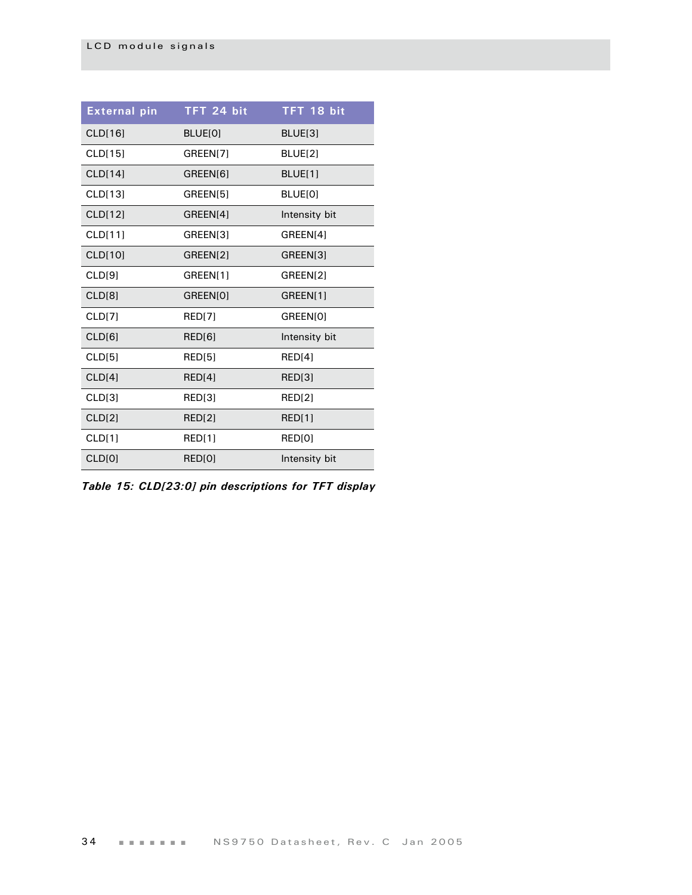| <b>External pin</b> | TFT 24 bit    | TFT 18 bit    |
|---------------------|---------------|---------------|
| <b>CLD[16]</b>      | BLUE[0]       | BLUE[3]       |
| CLD[15]             | GREEN[7]      | BLUE[2]       |
| CLD[14]             | GREEN[6]      | BLUE[1]       |
| CLD[13]             | GREEN[5]      | BLUE[0]       |
| CLD[12]             | GREEN[4]      | Intensity bit |
| CLD[11]             | GREEN[3]      | GREEN[4]      |
| CLD[10]             | GREEN[2]      | GREEN[3]      |
| CLD[9]              | GREEN[1]      | GREEN[2]      |
| CLD[8]              | GREEN[0]      | GREEN[1]      |
| CLD[7]              | <b>RED[7]</b> | GREEN[0]      |
| CLD[6]              | RED[6]        | Intensity bit |
| CLD[5]              | RED[5]        | RED[4]        |
| CLD[4]              | RED[4]        | RED[3]        |
| CLD[3]              | RED[3]        | <b>RED[2]</b> |
| CLD[2]              | <b>RED[2]</b> | RED[1]        |
| CLD[1]              | RED[1]        | RED[0]        |
| <b>CLD[0]</b>       | RED[0]        | Intensity bit |

*Table 15: CLD[23:0] pin descriptions for TFT display*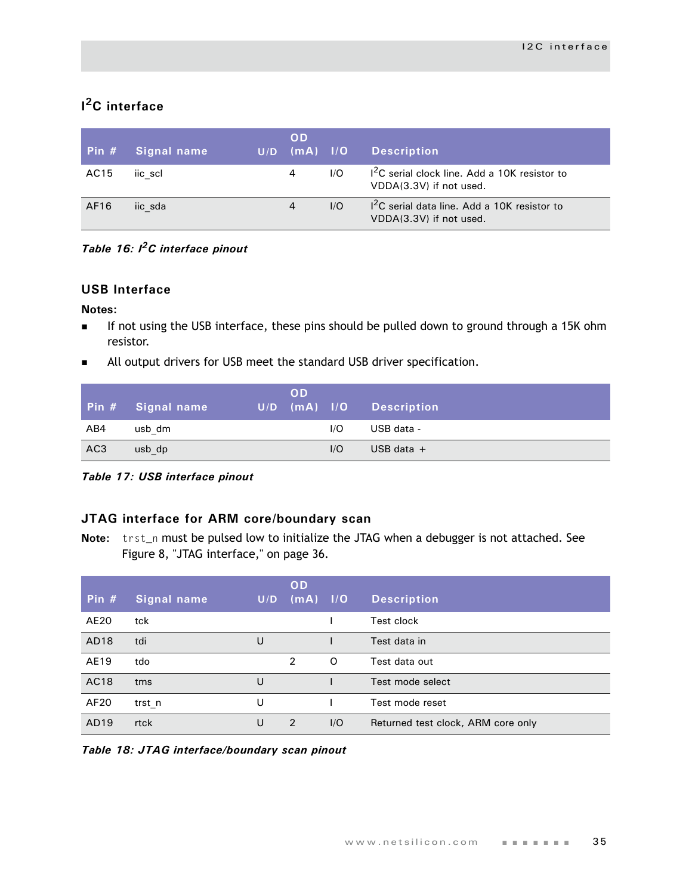## **I 2C interface**

| Pin $#$ | Signal name | U/D | <b>OD</b><br>$(mA)$ $1/O$ |     | <b>Description</b>                                                        |
|---------|-------------|-----|---------------------------|-----|---------------------------------------------------------------------------|
| AC15    | iic scl     |     | 4                         | 1/O | $12C$ serial clock line. Add a 10K resistor to<br>VDDA(3.3V) if not used. |
| AF16    | iic sda     |     | $\overline{4}$            | 1/O | $12C$ serial data line. Add a 10K resistor to<br>VDDA(3.3V) if not used.  |

*Table 16: I2C interface pinout*

## **USB Interface**

### **Notes:**

- If not using the USB interface, these pins should be pulled down to ground through a 15K ohm resistor.
- **All output drivers for USB meet the standard USB driver specification.**

|                 | Pin # Signal name | <b>OD</b><br>$U/D$ (mA) $I/O$ |     | <b>Description</b> |
|-----------------|-------------------|-------------------------------|-----|--------------------|
| AB4             | usb dm            |                               | 1/O | USB data -         |
| AC <sub>3</sub> | usb dp            |                               | 1/O | USB data $+$       |

*Table 17: USB interface pinout*

## **JTAG interface for ARM core/boundary scan**

**Note:** trst\_n must be pulsed low to initialize the JTAG when a debugger is not attached. See Figure 8, "JTAG interface," on page 36.

| Pin $#$     | Signal name | U/D | <b>OD</b><br>$\sqrt{(mA)}$ $1/O$ |          | <b>Description</b>                 |
|-------------|-------------|-----|----------------------------------|----------|------------------------------------|
| AE20        | tck         |     |                                  |          | Test clock                         |
| AD18        | tdi         | U   |                                  |          | Test data in                       |
| AE19        | tdo         |     | 2                                | $\Omega$ | Test data out                      |
| <b>AC18</b> | tms         | U   |                                  |          | Test mode select                   |
| AF20        | trst n      | U   |                                  |          | Test mode reset                    |
| AD19        | rtck        | U   | 2                                | I/O      | Returned test clock, ARM core only |

*Table 18: JTAG interface/boundary scan pinout*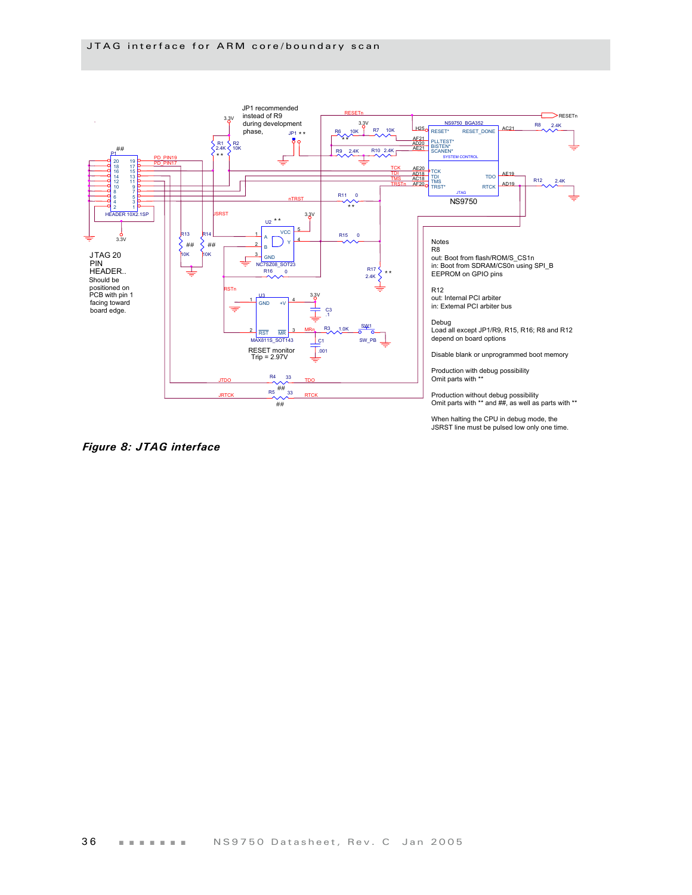

*Figure 8: JTAG interface*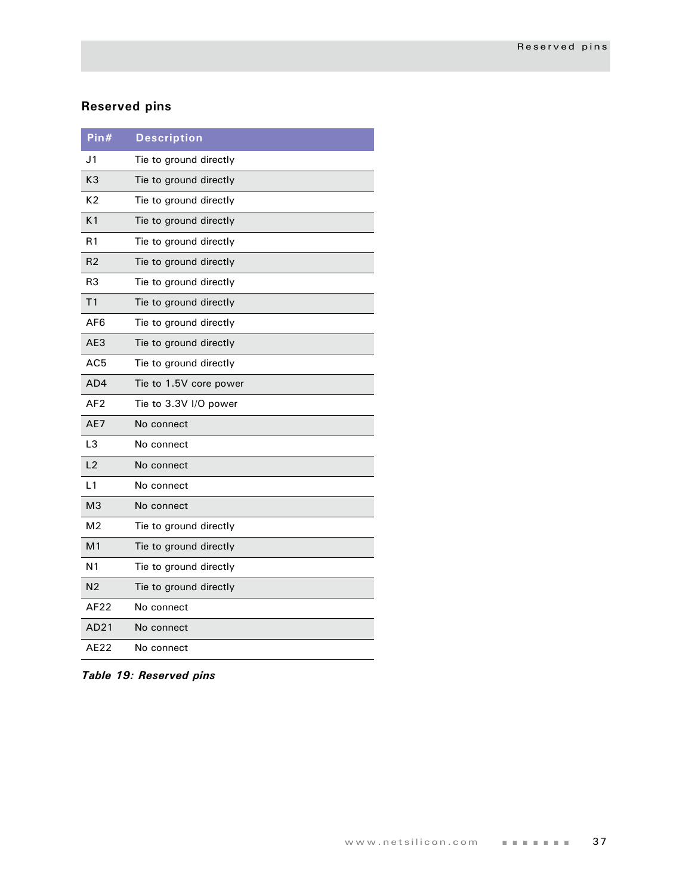## **Reserved pins**

| Pin#            | <b>Description</b>     |
|-----------------|------------------------|
| J <sub>1</sub>  | Tie to ground directly |
| K <sub>3</sub>  | Tie to ground directly |
| K <sub>2</sub>  | Tie to ground directly |
| K <sub>1</sub>  | Tie to ground directly |
| R <sub>1</sub>  | Tie to ground directly |
| R <sub>2</sub>  | Tie to ground directly |
| R3              | Tie to ground directly |
| T <sub>1</sub>  | Tie to ground directly |
| AF6             | Tie to ground directly |
| AE3             | Tie to ground directly |
| AC <sub>5</sub> | Tie to ground directly |
| AD4             | Tie to 1.5V core power |
| AF <sub>2</sub> | Tie to 3.3V I/O power  |
| AE7             | No connect             |
| L3              | No connect             |
| L2              | No connect             |
| L1              | No connect             |
| MЗ              | No connect             |
| M <sub>2</sub>  | Tie to ground directly |
| M <sub>1</sub>  | Tie to ground directly |
| N1              | Tie to ground directly |
| N <sub>2</sub>  | Tie to ground directly |
| AF22            | No connect             |
| AD21            | No connect             |
| AE22            | No connect             |

*Table 19: Reserved pins*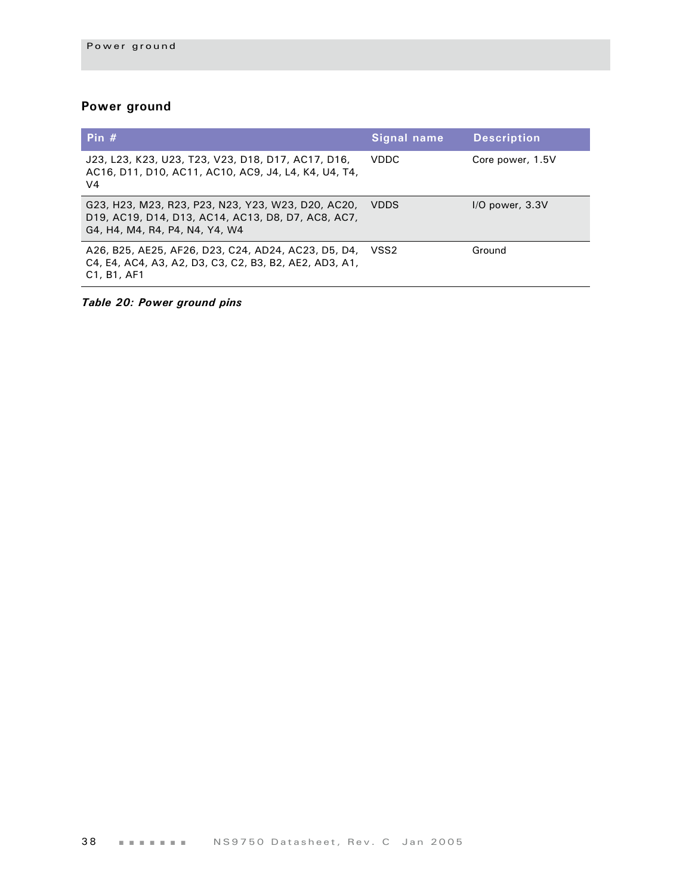## **Power ground**

| Pin $#$                                                                                                                                                            | Signal name | <b>Description</b>  |
|--------------------------------------------------------------------------------------------------------------------------------------------------------------------|-------------|---------------------|
| J23, L23, K23, U23, T23, V23, D18, D17, AC17, D16,<br>AC16, D11, D10, AC11, AC10, AC9, J4, L4, K4, U4, T4,<br>V <sub>4</sub>                                       | VDDC.       | Core power, 1.5V    |
| G23, H23, M23, R23, P23, N23, Y23, W23, D20, AC20,<br>D19, AC19, D14, D13, AC14, AC13, D8, D7, AC8, AC7,<br>G4, H4, M4, R4, P4, N4, Y4, W4                         | <b>VDDS</b> | $I/O$ power, $3.3V$ |
| A26, B25, AE25, AF26, D23, C24, AD24, AC23, D5, D4,<br>C4, E4, AC4, A3, A2, D3, C3, C2, B3, B2, AE2, AD3, A1,<br>C <sub>1</sub> , B <sub>1</sub> , AF <sub>1</sub> | VSS2        | Ground              |

*Table 20: Power ground pins*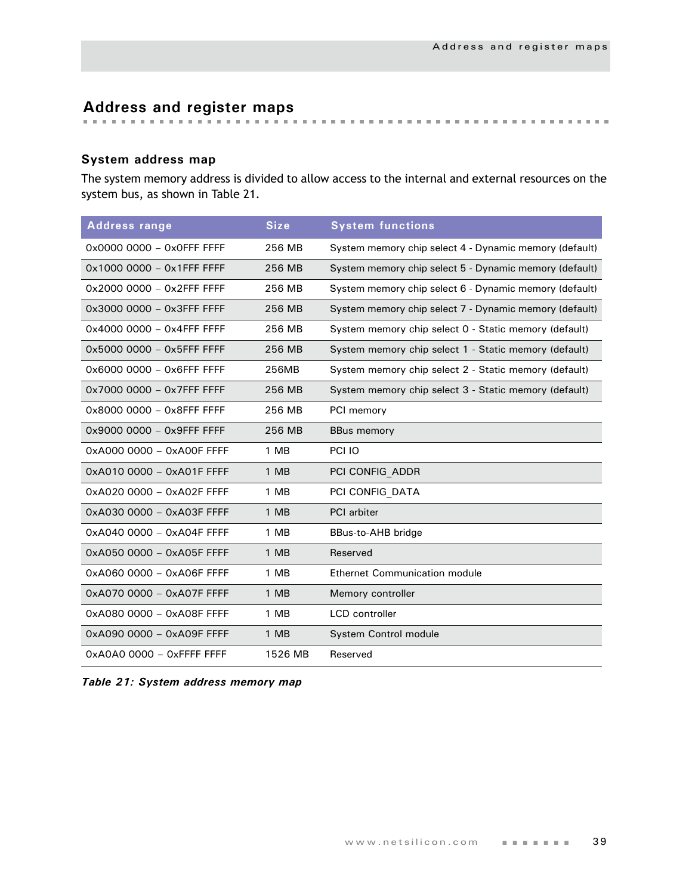# **Address and register maps**

## **System address map**

The system memory address is divided to allow access to the internal and external resources on the system bus, as shown in [Table 21](#page-42-0).

| <b>Address range</b>      | <b>Size</b> | <b>System functions</b>                                |
|---------------------------|-------------|--------------------------------------------------------|
| 0x0000 0000 - 0x0FFF FFFF | 256 MB      | System memory chip select 4 - Dynamic memory (default) |
| 0x1000 0000 - 0x1FFF FFFF | 256 MB      | System memory chip select 5 - Dynamic memory (default) |
| 0x2000 0000 - 0x2FFF FFFF | 256 MB      | System memory chip select 6 - Dynamic memory (default) |
| 0x3000 0000 - 0x3FFF FFFF | 256 MB      | System memory chip select 7 - Dynamic memory (default) |
| 0x4000 0000 - 0x4FFF FFFF | 256 MB      | System memory chip select 0 - Static memory (default)  |
| 0x5000 0000 - 0x5FFF FFFF | 256 MB      | System memory chip select 1 - Static memory (default)  |
| 0x6000 0000 - 0x6FFF FFFF | 256MB       | System memory chip select 2 - Static memory (default)  |
| 0x7000 0000 - 0x7FFF FFFF | 256 MB      | System memory chip select 3 - Static memory (default)  |
| 0x8000 0000 - 0x8FFF FFFF | 256 MB      | PCI memory                                             |
| 0x9000 0000 - 0x9FFF FFFF | 256 MB      | <b>BBus memory</b>                                     |
| 0xA000 0000 - 0xA00F FFFF | 1 MB        | PCI IO                                                 |
| 0xA010 0000 - 0xA01F FFFF | 1 MB        | PCI CONFIG ADDR                                        |
| 0xA020 0000 - 0xA02F FFFF | 1 MB        | PCI CONFIG DATA                                        |
| 0xA030 0000 - 0xA03F FFFF | 1 MB        | <b>PCI</b> arbiter                                     |
| 0xA040 0000 - 0xA04F FFFF | 1 MB        | BBus-to-AHB bridge                                     |
| 0xA050 0000 - 0xA05F FFFF | 1 MB        | Reserved                                               |
| 0xA060 0000 - 0xA06F FFFF | 1 MB        | <b>Ethernet Communication module</b>                   |
| 0xA070 0000 - 0xA07F FFFF | 1 MB        | Memory controller                                      |
| 0xA080 0000 - 0xA08F FFFF | 1 MB        | <b>LCD</b> controller                                  |
| 0xA090 0000 - 0xA09F FFFF | 1 MB        | System Control module                                  |
| 0xA0A0 0000 - 0xFFFF FFFF | 1526 MB     | Reserved                                               |

<span id="page-42-0"></span>

|  |  |  |  |  | Table 21: System address memory map |  |
|--|--|--|--|--|-------------------------------------|--|
|--|--|--|--|--|-------------------------------------|--|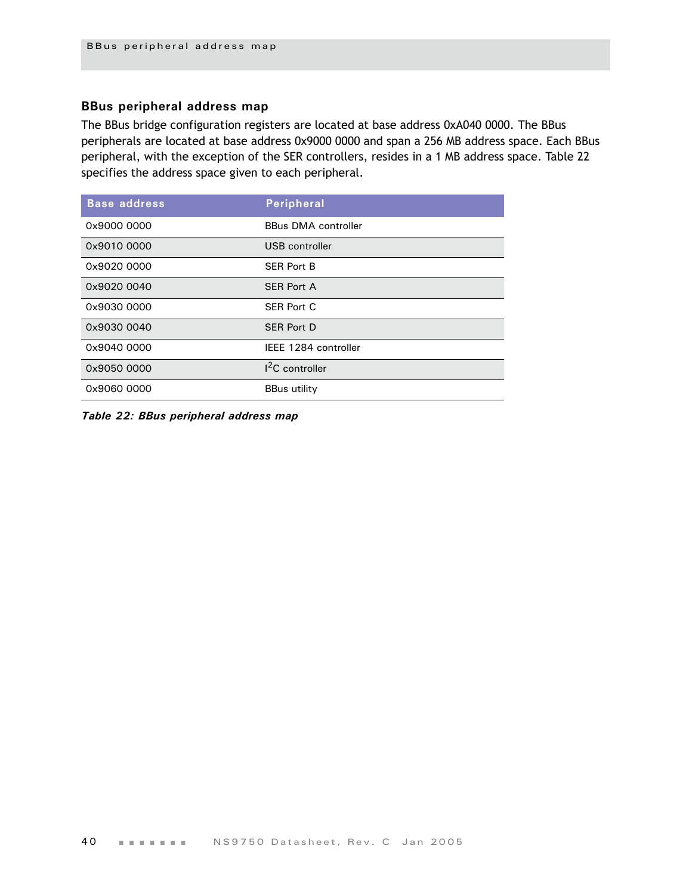## **BBus peripheral address map**

The BBus bridge configuration registers are located at base address 0xA040 0000. The BBus peripherals are located at base address 0x9000 0000 and span a 256 MB address space. Each BBus peripheral, with the exception of the SER controllers, resides in a 1 MB address space. [Table 22](#page-43-0)  specifies the address space given to each peripheral.

| <b>Base address</b> | <b>Peripheral</b>          |
|---------------------|----------------------------|
| 0x9000 0000         | <b>BBus DMA controller</b> |
| 0x9010 0000         | USB controller             |
| 0x9020 0000         | <b>SER Port B</b>          |
| 0x9020 0040         | <b>SER Port A</b>          |
| 0x9030 0000         | <b>SER Port C</b>          |
| 0x9030 0040         | <b>SER Port D</b>          |
| 0x9040 0000         | IEEE 1284 controller       |
| 0x9050 0000         | <sup>2</sup> C controller  |
| 0x9060 0000         | <b>BBus utility</b>        |

<span id="page-43-0"></span>*Table 22: BBus peripheral address map*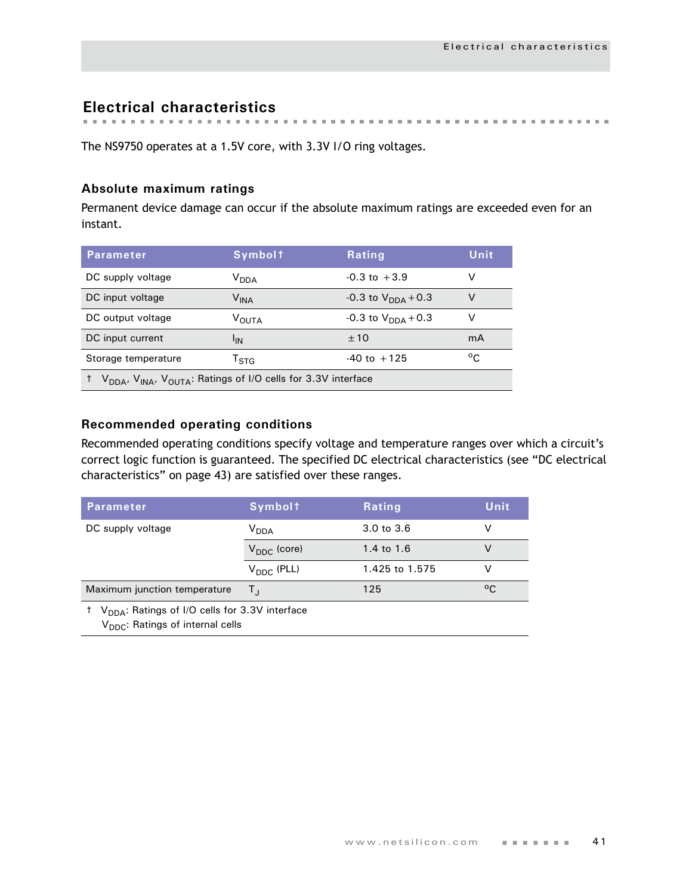**Electrical characteristics**

The NS9750 operates at a 1.5V core, with 3.3V I/O ring voltages.

## **Absolute maximum ratings**

Permanent device damage can occur if the absolute maximum ratings are exceeded even for an instant.

| <b>Parameter</b>                                                                                  | <b>Symbolt</b>              | Rating                         | Unit         |  |  |
|---------------------------------------------------------------------------------------------------|-----------------------------|--------------------------------|--------------|--|--|
| DC supply voltage                                                                                 | V <sub>DDA</sub>            | $-0.3$ to $+3.9$               | v            |  |  |
| DC input voltage                                                                                  | $\mathsf{V}_{\mathsf{INA}}$ | -0.3 to $V_{\text{DNA}} + 0.3$ | V            |  |  |
| DC output voltage                                                                                 | <b>VOUTA</b>                | $-0.3$ to $V_{DDA}$ + 0.3      | v            |  |  |
| DC input current                                                                                  | 'IN                         | ±10                            | mA           |  |  |
| Storage temperature                                                                               | $\mathsf{T}_{\text{STA}}$   | $-40$ to $+125$                | $^{\circ}$ C |  |  |
| V <sub>DDA</sub> , V <sub>INA</sub> , V <sub>OUTA</sub> : Ratings of I/O cells for 3.3V interface |                             |                                |              |  |  |

## **Recommended operating conditions**

Recommended operating conditions specify voltage and temperature ranges over which a circuit's correct logic function is guaranteed. The specified DC electrical characteristics (see ["DC electrical](#page-46-0)  [characteristics" on page 43\)](#page-46-0) are satisfied over these ranges.

| <b>Parameter</b>                                                                                                        | <b>Symbolt</b>          | <b>Rating</b>  | Unit |  |  |  |
|-------------------------------------------------------------------------------------------------------------------------|-------------------------|----------------|------|--|--|--|
| DC supply voltage                                                                                                       | <b>V</b> <sub>DDA</sub> | 3.0 to 3.6     |      |  |  |  |
|                                                                                                                         | $V_{DDC}$ (core)        | 1.4 to 1.6     | v    |  |  |  |
|                                                                                                                         | $V_{\text{DDC}}$ (PLL)  | 1.425 to 1.575 |      |  |  |  |
| Maximum junction temperature                                                                                            | Τı                      | 125            | °C   |  |  |  |
| <sup>†</sup> V <sub>DDA</sub> : Ratings of I/O cells for 3.3V interface<br>V <sub>DDC</sub> : Ratings of internal cells |                         |                |      |  |  |  |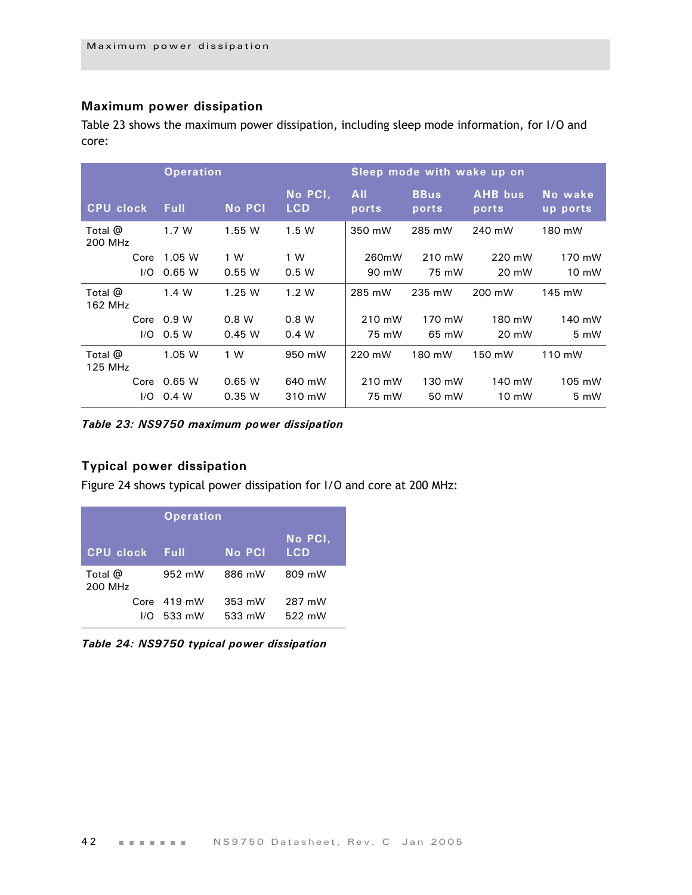## **Maximum power dissipation**

[Table 23](#page-45-0) shows the maximum power dissipation, including sleep mode information, for I/O and core:

|                           |      | <b>Operation</b> |               |                       | Sleep mode with wake up on |                      |                         |                     |
|---------------------------|------|------------------|---------------|-----------------------|----------------------------|----------------------|-------------------------|---------------------|
| <b>CPU clock</b>          |      | <b>Full</b>      | <b>No PCI</b> | No PCI,<br><b>LCD</b> | <b>All</b><br>ports        | <b>BBus</b><br>ports | <b>AHB</b> bus<br>ports | No wake<br>up ports |
| Total $\omega$<br>200 MHz |      | 1.7W             | 1.55 W        | 1.5W                  | 350 mW                     | 285 mW               | 240 mW                  | 180 mW              |
|                           | Core | 1.05 W           | 1 W           | 1 W                   | 260mW                      | 210 mW               | 220 mW                  | 170 mW              |
|                           | 1/O  | 0.65 W           | 0.55 W        | 0.5 W                 | 90 mW                      | 75 mW                | 20 mW                   | 10 mW               |
| Total $@$<br>162 MHz      |      | 1.4 W            | 1.25W         | 1.2 W                 | 285 mW                     | 235 mW               | 200 mW                  | 145 mW              |
|                           |      | Core $0.9 W$     | 0.8 W         | 0.8 W                 | 210 mW                     | 170 mW               | 180 mW                  | 140 mW              |
|                           | 1/O  | 0.5 W            | 0.45W         | 0.4 W                 | 75 mW                      | 65 mW                | 20 mW                   | $5 \, \text{mW}$    |
| Total @<br>125 MHz        |      | 1.05 W           | 1 W           | 950 mW                | 220 mW                     | 180 mW               | 150 mW                  | 110 mW              |
|                           | Core | 0.65 W           | 0.65 W        | 640 mW                | 210 mW                     | 130 mW               | 140 mW                  | 105 mW              |
|                           | 1/O  | 0.4 W            | 0.35 W        | 310 mW                | 75 mW                      | 50 mW                | 10 mW                   | 5 mW                |

<span id="page-45-0"></span>*Table 23: NS9750 maximum power dissipation*

## **Typical power dissipation**

Figure 24 shows typical power dissipation for I/O and core at 200 MHz:

|                    | <b>Operation</b>                |                  |                       |  |  |
|--------------------|---------------------------------|------------------|-----------------------|--|--|
| <b>CPU clock</b>   | Full                            | No PCI           | No PCI,<br><b>LCD</b> |  |  |
| Total @<br>200 MHz | 952 mW                          | 886 mW           | 809 mW                |  |  |
| I/O                | Core $419 \text{ mW}$<br>533 mW | 353 mW<br>533 mW | 287 mW<br>522 mW      |  |  |

*Table 24: NS9750 typical power dissipation*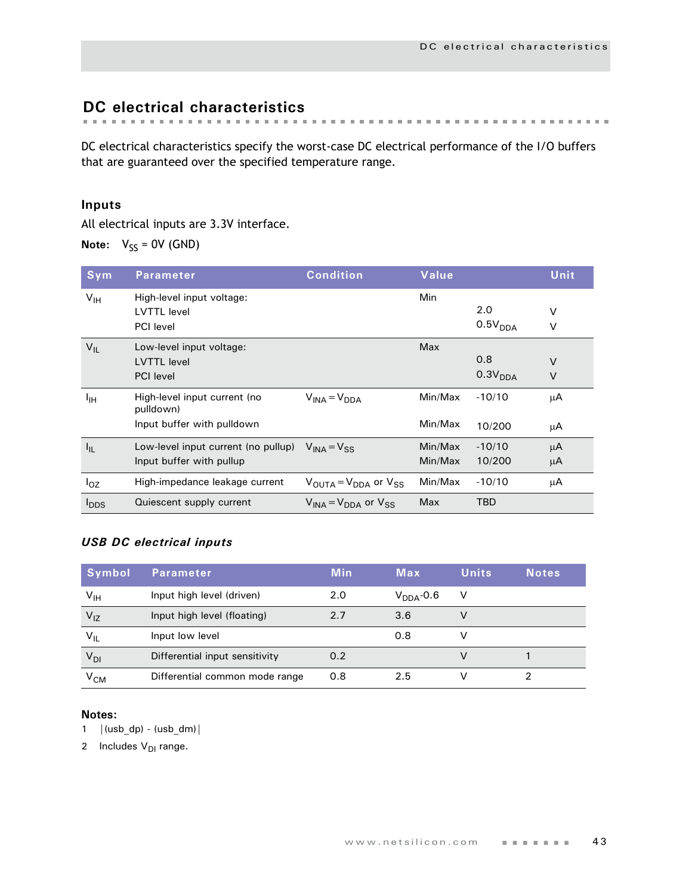# <span id="page-46-0"></span>**DC electrical characteristics**

DC electrical characteristics specify the worst-case DC electrical performance of the I/O buffers that are guaranteed over the specified temperature range.

## **Inputs**

All electrical inputs are 3.3V interface.

**Note:**  $V_{SS} = 0V$  (GND)

| <b>Sym</b>       | <b>Parameter</b>                          | <b>Condition</b>                                      | Value   |                     | Unit   |
|------------------|-------------------------------------------|-------------------------------------------------------|---------|---------------------|--------|
| V <sub>IH</sub>  | High-level input voltage:                 |                                                       | Min     |                     |        |
|                  | <b>LVTTL</b> level                        |                                                       |         | 2.0                 | $\vee$ |
|                  | <b>PCI</b> level                          |                                                       |         | 0.5V <sub>DDA</sub> | $\vee$ |
| $V_{IL}$         | Low-level input voltage:                  |                                                       | Max     |                     |        |
|                  | <b>LVTTL</b> level                        |                                                       |         | 0.8                 | $\vee$ |
|                  | <b>PCI</b> level                          |                                                       |         | 0.3V <sub>DDA</sub> | $\vee$ |
| ŀщ               | High-level input current (no<br>pulldown) | $V_{INA} = V_{DDA}$                                   | Min/Max | $-10/10$            | μA     |
|                  | Input buffer with pulldown                |                                                       | Min/Max | 10/200              | μA     |
| $I_{IL}$         | Low-level input current (no pullup)       | $V_{INA} = V_{SG}$                                    | Min/Max | $-10/10$            | μA     |
|                  | Input buffer with pullup                  |                                                       | Min/Max | 10/200              | μA     |
| $I_{OZ}$         | High-impedance leakage current            | $V_{\text{OUTA}} = V_{\text{DDA}}$ or $V_{\text{SS}}$ | Min/Max | $-10/10$            | μA     |
| $I_{\text{DDS}}$ | Quiescent supply current                  | $V_{INA} = V_{DDA}$ or $V_{SS}$                       | Max     | TBD                 |        |

## *USB DC electrical inputs*

| Symbol                                         | Parameter                      | <b>Min</b> | Max            | <b>Units</b> | <b>Notes</b> |
|------------------------------------------------|--------------------------------|------------|----------------|--------------|--------------|
| $\mathsf{v}_{\scriptscriptstyle{\mathsf{IH}}}$ | Input high level (driven)      | 2.0        | $V_{DDA}$ -0.6 | V            |              |
| $V_{IZ}$                                       | Input high level (floating)    | 2.7        | 3.6            | v            |              |
| $V_{IL}$                                       | Input low level                |            | 0.8            | v            |              |
| $V_{DI}$                                       | Differential input sensitivity | 0.2        |                |              |              |
| V <sub>CM</sub>                                | Differential common mode range | 0.8        | 2.5            |              |              |

## **Notes:**

1  $|(usb\ dp) - (usb\ dm)|$ 

2 Includes  $V_{DI}$  range.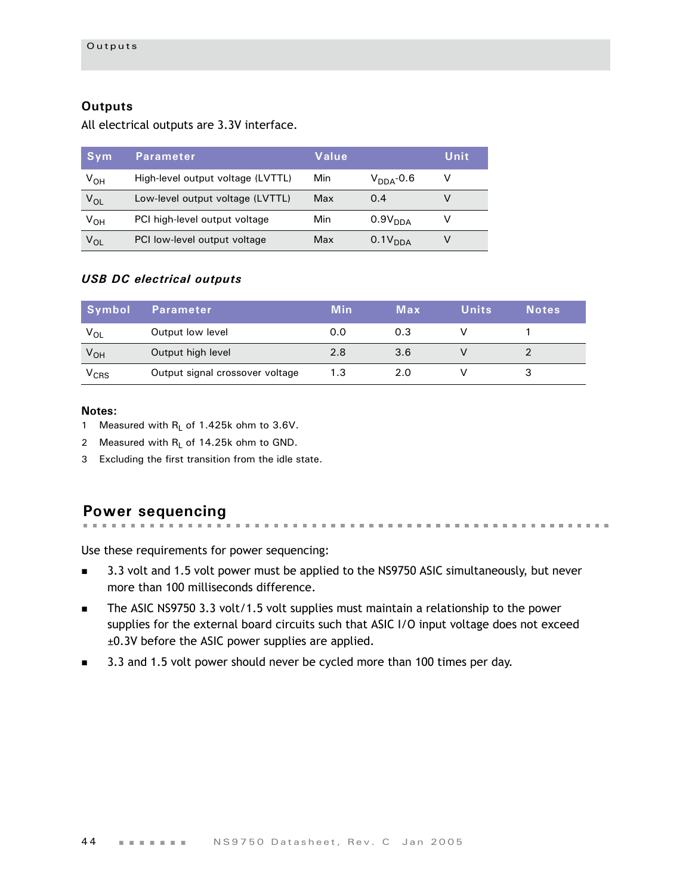## **Outputs**

All electrical outputs are 3.3V interface.

| Sym             | Parameter                         | Value |                     | Unit |
|-----------------|-----------------------------------|-------|---------------------|------|
| V <sub>он</sub> | High-level output voltage (LVTTL) | Min   | $V_{DDA}$ -0.6      | v    |
| $V_{OL}$        | Low-level output voltage (LVTTL)  | Max   | 0.4                 |      |
| V <sub>он</sub> | PCI high-level output voltage     | Min   | 0.9V <sub>DDA</sub> |      |
| $V_{OL}$        | PCI low-level output voltage      | Max   | 0.1V <sub>DDA</sub> |      |

## *USB DC electrical outputs*

| Symbol          | <b>Parameter</b>                | <b>Min</b> | Max | <b>Units</b> | <b>Notes</b> |
|-----------------|---------------------------------|------------|-----|--------------|--------------|
| $V_{OL}$        | Output low level                | 0.0        | 0.3 |              |              |
| V <sub>OH</sub> | Output high level               | 2.8        | 3.6 |              |              |
| $V_{CRS}$       | Output signal crossover voltage | 1.3        | 2.0 |              |              |

#### **Notes:**

- 1 Measured with  $R_L$  of 1.425k ohm to 3.6V.
- 2 Measured with  $R_1$  of 14.25k ohm to GND.
- 3 Excluding the first transition from the idle state.

#### **Power sequencing** . . . . . . . . . . . . . . . .

- Use these requirements for power sequencing: 3.3 volt and 1.5 volt power must be applied to the NS9750 ASIC simultaneously, but never
- more than 100 milliseconds difference. The ASIC NS9750 3.3 volt/1.5 volt supplies must maintain a relationship to the power
- supplies for the external board circuits such that ASIC I/O input voltage does not exceed ±0.3V before the ASIC power supplies are applied.
- 3.3 and 1.5 volt power should never be cycled more than 100 times per day.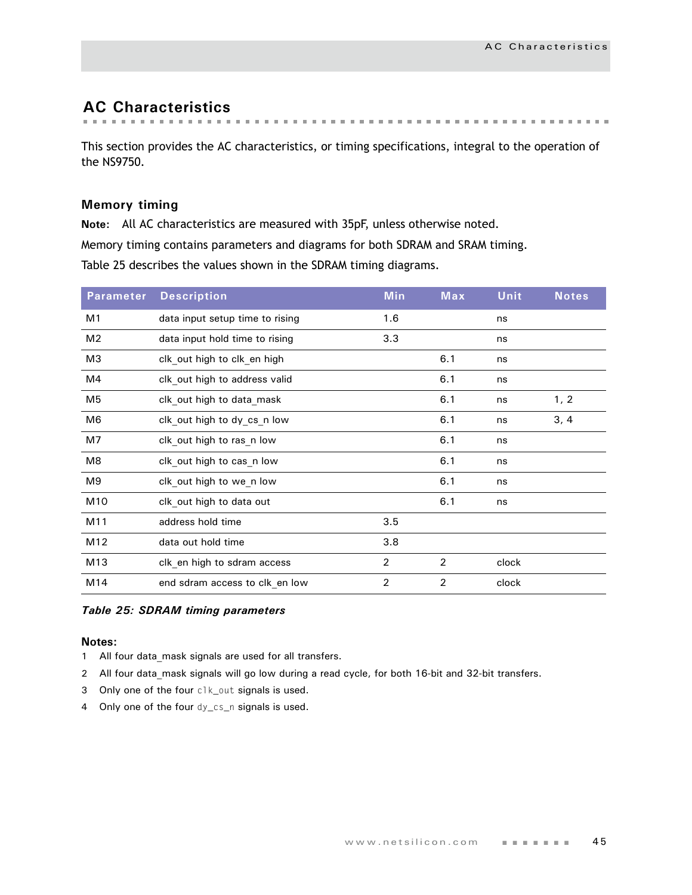# **AC Characteristics**

This section provides the AC characteristics, or timing specifications, integral to the operation of the NS9750.

## **Memory timing**

**Note:** All AC characteristics are measured with 35pF, unless otherwise noted.

Memory timing contains parameters and diagrams for both SDRAM and SRAM timing.

Table 25 describes the values shown in the SDRAM timing diagrams.

| <b>Parameter</b> | <b>Description</b>              | <b>Min</b>     | Max            | <b>Unit</b> | <b>Notes</b> |
|------------------|---------------------------------|----------------|----------------|-------------|--------------|
| M <sub>1</sub>   | data input setup time to rising | 1.6            |                | ns          |              |
| M <sub>2</sub>   | data input hold time to rising  | 3.3            |                | ns          |              |
| M <sub>3</sub>   | clk out high to clk en high     |                | 6.1            | ns          |              |
| M4               | clk out high to address valid   |                | 6.1            | ns          |              |
| M <sub>5</sub>   | clk out high to data mask       |                | 6.1            | ns          | 1, 2         |
| M6               | clk out high to dy cs_n low     |                | 6.1            | ns          | 3, 4         |
| M7               | clk out high to ras n low       |                | 6.1            | ns          |              |
| M8               | clk out high to cas n low       |                | 6.1            | ns          |              |
| M9               | clk out high to we n low        |                | 6.1            | ns          |              |
| M <sub>10</sub>  | clk out high to data out        |                | 6.1            | ns          |              |
| M11              | address hold time               | 3.5            |                |             |              |
| M12              | data out hold time              | 3.8            |                |             |              |
| M13              | clk_en high to sdram access     | $\overline{2}$ | $\overline{2}$ | clock       |              |
| M14              | end sdram access to clk_en low  | $\overline{2}$ | 2              | clock       |              |

#### *Table 25: SDRAM timing parameters*

- 1 All four data mask signals are used for all transfers.
- 2 All four data mask signals will go low during a read cycle, for both 16-bit and 32-bit transfers.
- 3 Only one of the four clk\_out signals is used.
- 4 Only one of the four dy\_cs\_n signals is used.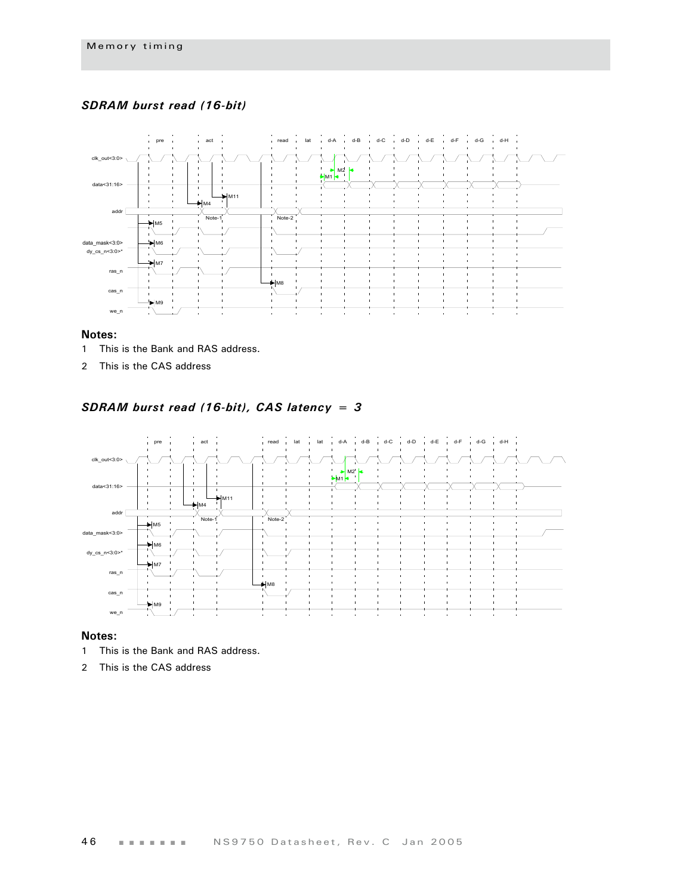## *SDRAM burst read (16-bit)*



#### **Notes:**

- 1 This is the Bank and RAS address.
- 2 This is the CAS address

## *SDRAM burst read (16-bit), CAS latency = 3*



- 1 This is the Bank and RAS address.
- 2 This is the CAS address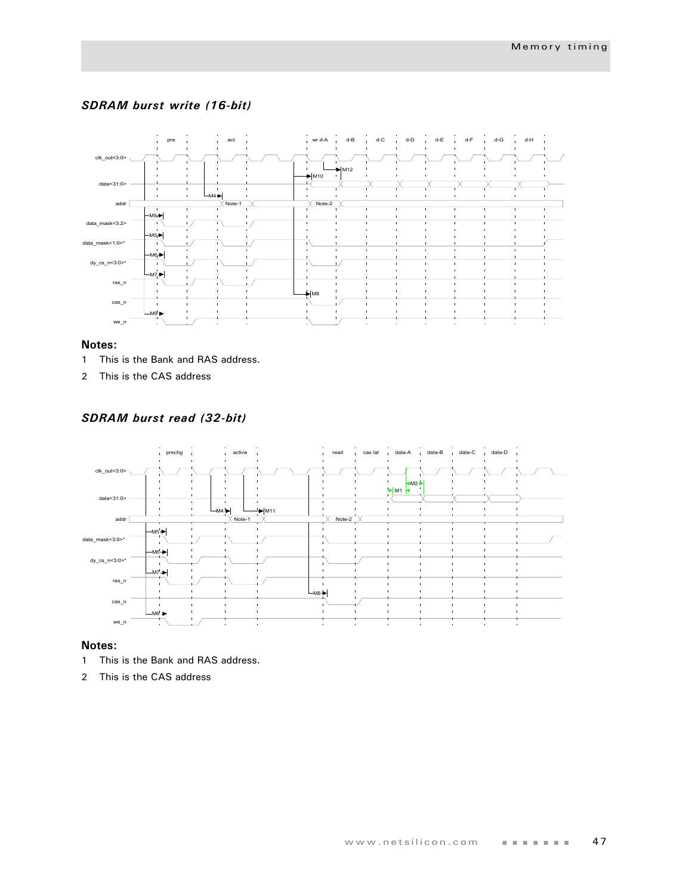## *SDRAM burst write (16-bit)*



#### **Notes:**

- 1 This is the Bank and RAS address.
- 2 This is the CAS address

## *SDRAM burst read (32-bit)*



- 1 This is the Bank and RAS address.
- 2 This is the CAS address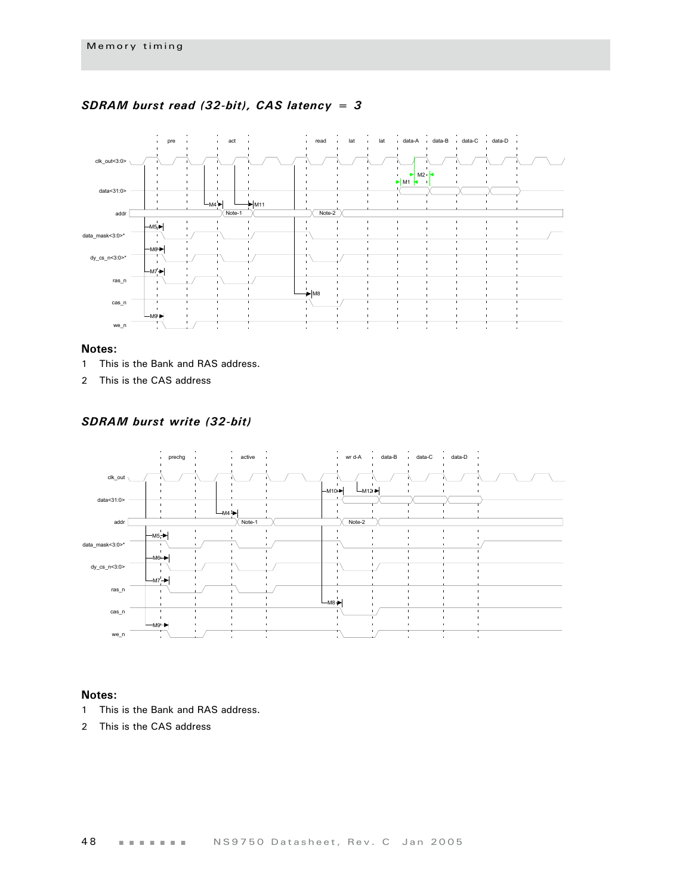

### *SDRAM burst read (32-bit), CAS latency = 3*

#### **Notes:**

- 1 This is the Bank and RAS address.
- 2 This is the CAS address

*SDRAM burst write (32-bit)*



- 1 This is the Bank and RAS address.
- 2 This is the CAS address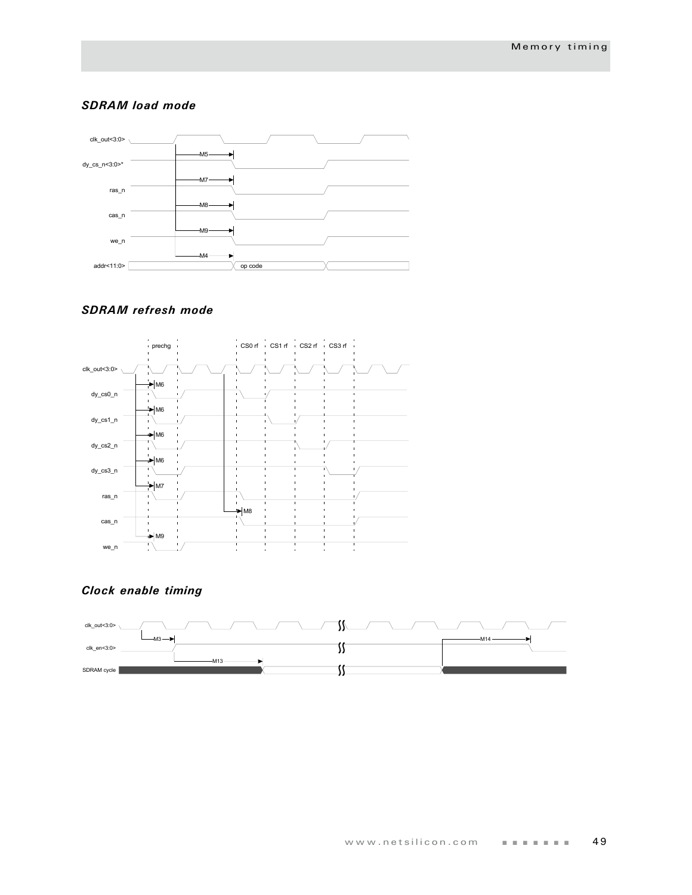#### *SDRAM load mode*



## *SDRAM refresh mode*



## *Clock enable timing*

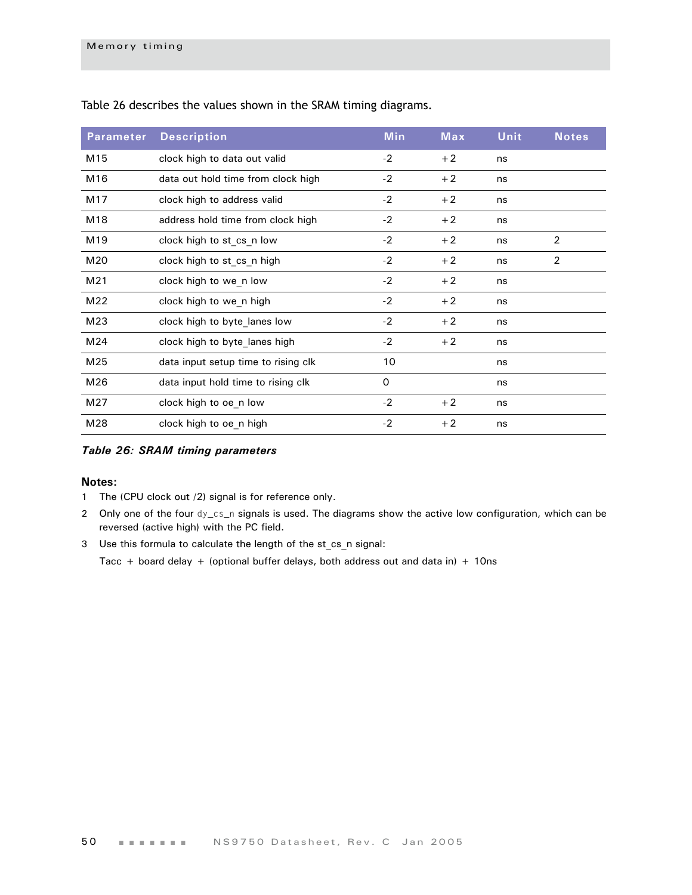| <b>Parameter</b> | <b>Description</b>                  | <b>Min</b> | <b>Max</b> | <b>Unit</b> | <b>Notes</b>   |
|------------------|-------------------------------------|------------|------------|-------------|----------------|
| M15              | clock high to data out valid        | $-2$       | $+2$       | ns          |                |
| M16              | data out hold time from clock high  | $-2$       | $+2$       | ns          |                |
| M17              | clock high to address valid         | $-2$       | $+2$       | ns          |                |
| M18              | address hold time from clock high   | $-2$       | $+2$       | ns          |                |
| M19              | clock high to st cs n low           | $-2$       | $+2$       | ns          | 2              |
| M20              | clock high to st cs n high          | $-2$       | $+2$       | ns          | $\overline{2}$ |
| M21              | clock high to we n low              | $-2$       | $+2$       | ns          |                |
| M22              | clock high to we n high             | $-2$       | $+2$       | ns          |                |
| M23              | clock high to byte lanes low        | $-2$       | $+2$       | ns          |                |
| M24              | clock high to byte lanes high       | $-2$       | $+2$       | ns          |                |
| M25              | data input setup time to rising clk | 10         |            | ns          |                |
| M26              | data input hold time to rising clk  | 0          |            | ns          |                |
| M27              | clock high to oe n low              | $-2$       | $+2$       | ns          |                |
| M28              | clock high to oe n high             | $-2$       | $+2$       | ns          |                |

[Table 26](#page-53-0) describes the values shown in the SRAM timing diagrams.

#### <span id="page-53-0"></span>*Table 26: SRAM timing parameters*

#### **Notes:**

- 1 The (CPU clock out /2) signal is for reference only.
- 2 Only one of the four dy\_cs\_n signals is used. The diagrams show the active low configuration, which can be reversed (active high) with the PC field.
- 3 Use this formula to calculate the length of the st\_cs\_n signal:

Tacc + board delay + (optional buffer delays, both address out and data in) + 10ns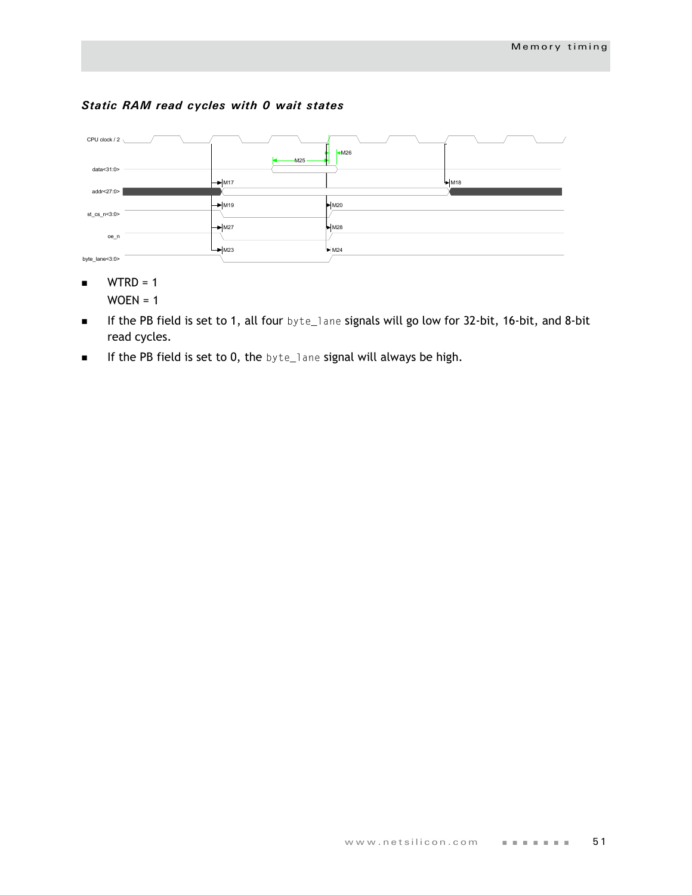## *Static RAM read cycles with 0 wait states*



- $WTRD = 1$  $WOEN = 1$
- If the PB field is set to 1, all four byte\_lane signals will go low for 32-bit, 16-bit, and 8-bit read cycles.
- **If the PB field is set to 0, the byte\_lane signal will always be high.**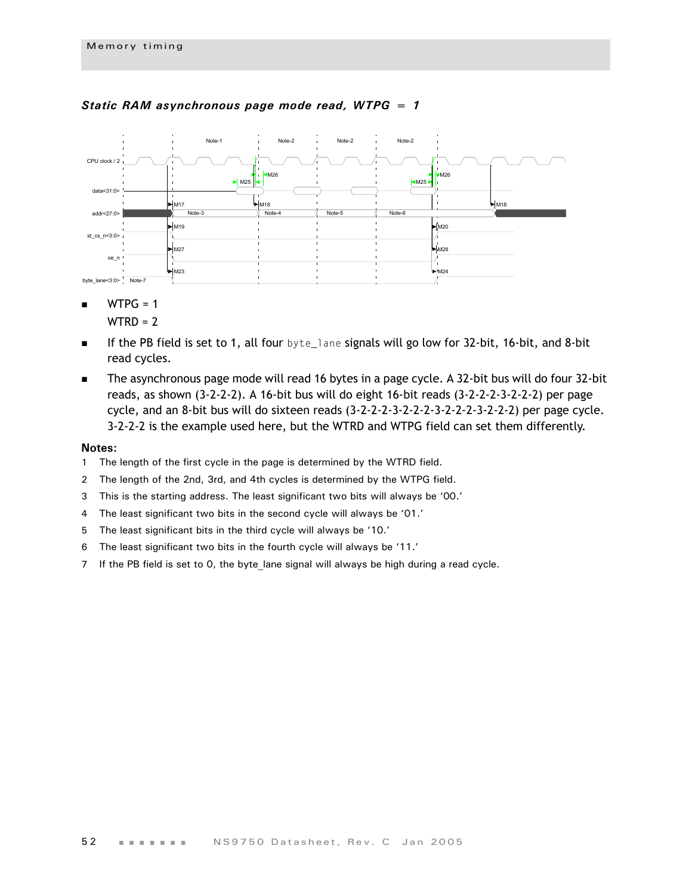

#### *Static RAM asynchronous page mode read, WTPG = 1*

 $WTPG = 1$ 

 $WTRD = 2$ 

- If the PB field is set to 1, all four byte\_lane signals will go low for 32-bit, 16-bit, and 8-bit read cycles.
- The asynchronous page mode will read 16 bytes in a page cycle. A 32-bit bus will do four 32-bit reads, as shown (3-2-2-2). A 16-bit bus will do eight 16-bit reads (3-2-2-2-3-2-2-2) per page cycle, and an 8-bit bus will do sixteen reads (3-2-2-2-3-2-2-2-3-2-2-2-3-2-2-2) per page cycle. 3-2-2-2 is the example used here, but the WTRD and WTPG field can set them differently.

- 1 The length of the first cycle in the page is determined by the WTRD field.
- 2 The length of the 2nd, 3rd, and 4th cycles is determined by the WTPG field.
- 3 This is the starting address. The least significant two bits will always be '00.'
- 4 The least significant two bits in the second cycle will always be '01.'
- 5 The least significant bits in the third cycle will always be '10.'
- 6 The least significant two bits in the fourth cycle will always be '11.'
- 7 If the PB field is set to 0, the byte\_lane signal will always be high during a read cycle.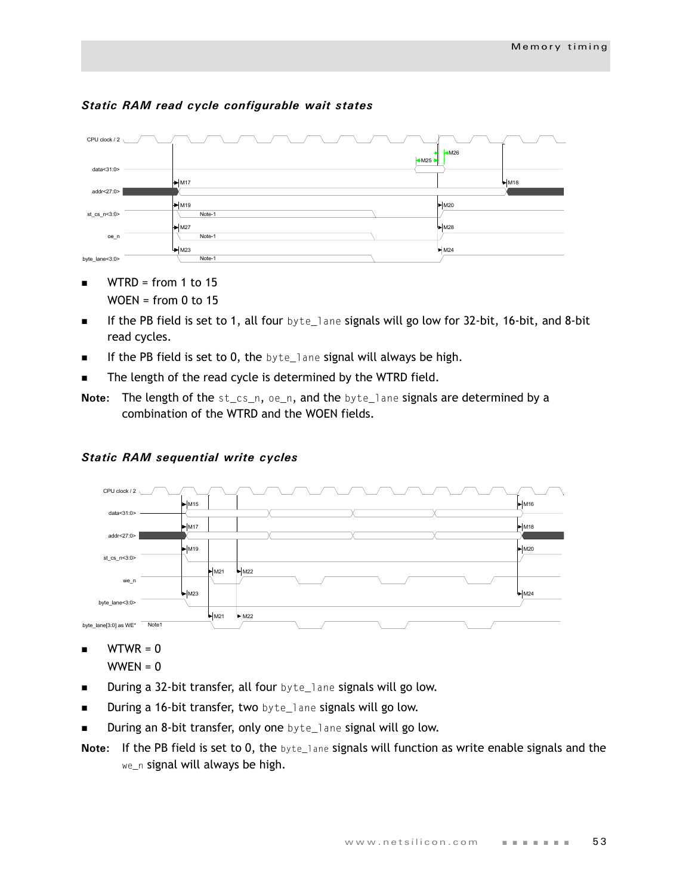

## *Static RAM read cycle configurable wait states*

- $\blacksquare$  WTRD = from 1 to 15  $WOEN = from 0 to 15$
- If the PB field is set to 1, all four  $byte$  and signals will go low for 32-bit, 16-bit, and 8-bit read cycles.
- If the PB field is set to 0, the byte\_lane signal will always be high.
- The length of the read cycle is determined by the WTRD field.
- **Note:** The length of the st\_cs\_n, oe\_n, and the byte\_lane signals are determined by a combination of the WTRD and the WOEN fields.



## *Static RAM sequential write cycles*

 $\blacksquare$  WTWR = 0

- During a 32-bit transfer, all four byte\_lane signals will go low.
- **During a 16-bit transfer, two** byte\_lane signals will go low.
- During an 8-bit transfer, only one byte\_lane signal will go low.
- **Note:** If the PB field is set to 0, the byte\_lane signals will function as write enable signals and the we\_n signal will always be high.

 $WWEN = 0$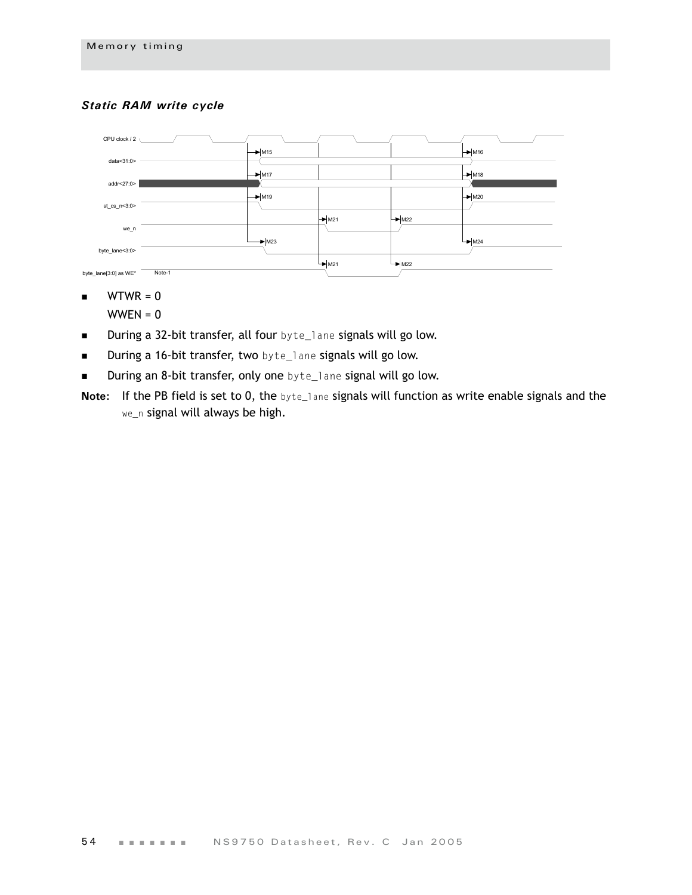## *Static RAM write cycle*



- $\blacksquare$  WTWR = 0
	- $WWEN = 0$
- **During a 32-bit transfer, all four** byte\_lane signals will go low.
- **During a 16-bit transfer, two** byte\_lane signals will go low.
- **During an 8-bit transfer, only one** byte\_lane signal will go low.
- **Note:** If the PB field is set to 0, the byte\_lane signals will function as write enable signals and the we\_n signal will always be high.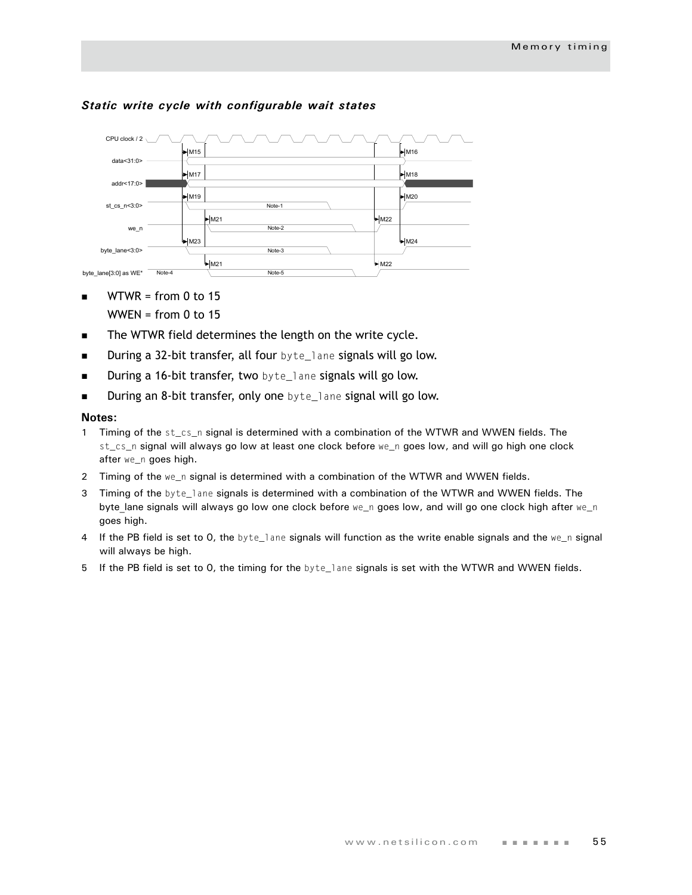

#### *Static write cycle with configurable wait states*

- $\blacksquare$  WTWR = from 0 to 15 WWEN = from  $0$  to 15
- The WTWR field determines the length on the write cycle.
- **During a 32-bit transfer, all four** byte\_lane signals will go low.
- **During a 16-bit transfer, two** byte\_lane signals will go low.
- **During an 8-bit transfer, only one** byte\_lane signal will go low.

- 1 Timing of the st\_cs\_n signal is determined with a combination of the WTWR and WWEN fields. The st\_cs\_n signal will always go low at least one clock before we\_n goes low, and will go high one clock after we\_n goes high.
- 2 Timing of the we\_n signal is determined with a combination of the WTWR and WWEN fields.
- 3 Timing of the byte\_lane signals is determined with a combination of the WTWR and WWEN fields. The byte lane signals will always go low one clock before we\_n goes low, and will go one clock high after we\_n goes high.
- 4 If the PB field is set to 0, the byte\_lane signals will function as the write enable signals and the we\_n signal will always be high.
- 5 If the PB field is set to 0, the timing for the byte\_lane signals is set with the WTWR and WWEN fields.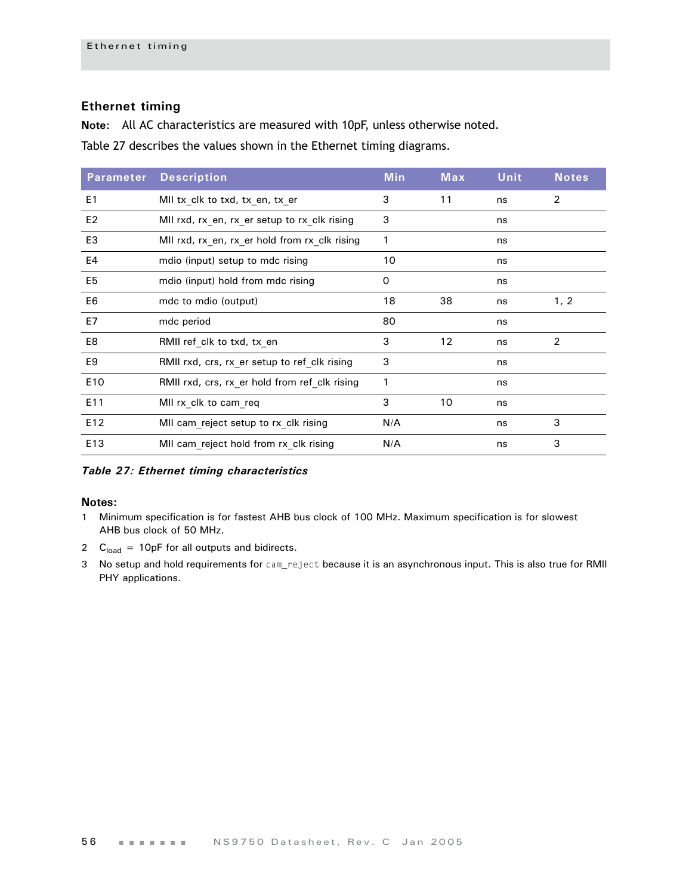## **Ethernet timing**

**Note:** All AC characteristics are measured with 10pF, unless otherwise noted.

[Table 27](#page-59-0) describes the values shown in the Ethernet timing diagrams.

| <b>Parameter</b> | <b>Description</b>                            | <b>Min</b> | Max | <b>Unit</b> | <b>Notes</b> |
|------------------|-----------------------------------------------|------------|-----|-------------|--------------|
| E <sub>1</sub>   | MII tx_clk to txd, tx_en, tx_er               | 3          | 11  | ns          | 2            |
| E <sub>2</sub>   | MII rxd, rx en, rx er setup to rx clk rising  | 3          |     | ns          |              |
| E <sub>3</sub>   | MII rxd, rx en, rx er hold from rx clk rising | 1          |     | ns          |              |
| E4               | mdio (input) setup to mdc rising              | 10         |     | ns          |              |
| E <sub>5</sub>   | mdio (input) hold from mdc rising             | 0          |     | ns          |              |
| E6               | mdc to mdio (output)                          | 18         | 38  | ns          | 1, 2         |
| E7               | mdc period                                    | 80         |     | ns          |              |
| E8               | RMII ref clk to txd, tx en                    | 3          | 12  | ns          | 2            |
| E <sub>9</sub>   | RMII rxd, crs, rx er setup to ref clk rising  | 3          |     | ns          |              |
| E10              | RMII rxd, crs, rx er hold from ref clk rising | 1          |     | ns          |              |
| E11              | MII rx clk to cam req                         | 3          | 10  | ns          |              |
| E12              | MII cam reject setup to rx clk rising         | N/A        |     | ns          | 3            |
| E13              | MII cam reject hold from rx clk rising        | N/A        |     | ns          | 3            |

<span id="page-59-0"></span>*Table 27: Ethernet timing characteristics*

- 1 Minimum specification is for fastest AHB bus clock of 100 MHz. Maximum specification is for slowest AHB bus clock of 50 MHz.
- 2  $C<sub>load</sub> = 10pF$  for all outputs and bidirects.
- 3 No setup and hold requirements for cam\_reject because it is an asynchronous input. This is also true for RMII PHY applications.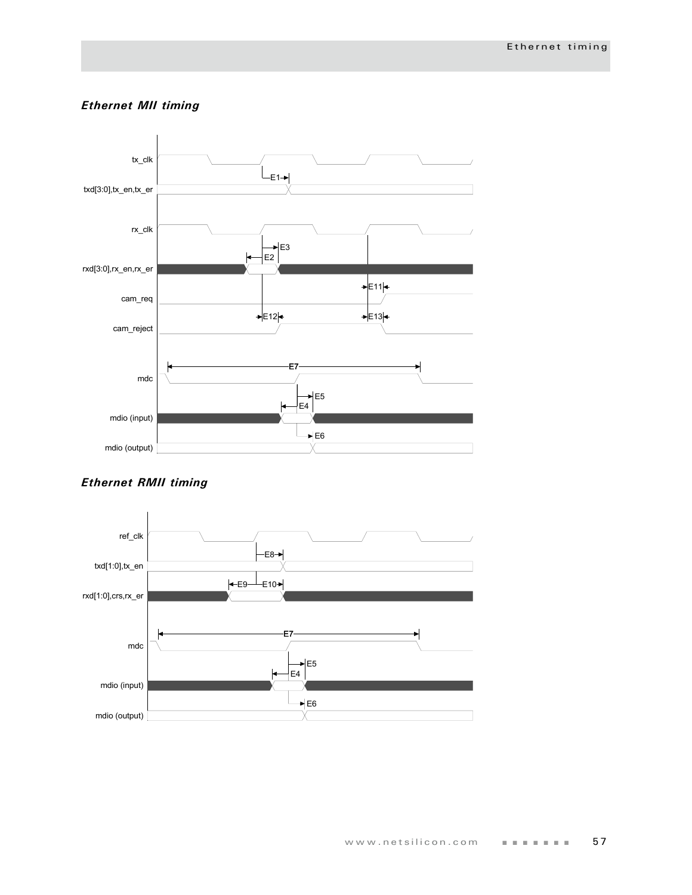## *Ethernet MII timing*



## *Ethernet RMII timing*

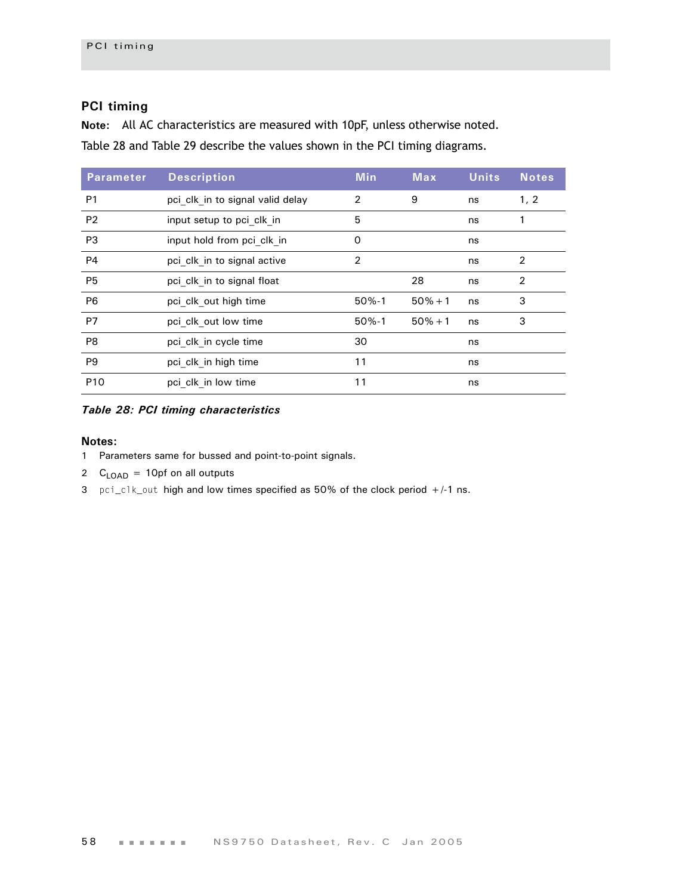## **PCI timing**

**Note:** All AC characteristics are measured with 10pF, unless otherwise noted. [Table 28](#page-61-0) and Table 29 describe the values shown in the PCI timing diagrams.

| <b>Parameter</b> | <b>Description</b>               | <b>Min</b>     | <b>Max</b> | <b>Units</b> | <b>Notes</b>   |
|------------------|----------------------------------|----------------|------------|--------------|----------------|
| P <sub>1</sub>   | pci clk in to signal valid delay | 2              | 9          | ns           | 1, 2           |
| P <sub>2</sub>   | input setup to pci clk in        | 5              |            | ns           |                |
| P <sub>3</sub>   | input hold from pci clk in       | 0              |            | ns           |                |
| <b>P4</b>        | pci clk in to signal active      | $\overline{2}$ |            | ns           | 2              |
| P <sub>5</sub>   | pci clk in to signal float       |                | 28         | ns           | $\overline{2}$ |
| P <sub>6</sub>   | pci clk out high time            | $50% - 1$      | $50% + 1$  | ns           | 3              |
| P7               | pci clk out low time             | $50% - 1$      | $50% + 1$  | ns           | 3              |
| P <sub>8</sub>   | pci clk in cycle time            | 30             |            | ns           |                |
| P <sub>9</sub>   | pci clk in high time             | 11             |            | ns           |                |
| P <sub>10</sub>  | pci clk in low time              | 11             |            | ns           |                |

### <span id="page-61-0"></span>*Table 28: PCI timing characteristics*

- 1 Parameters same for bussed and point-to-point signals.
- 2  $C_{\text{LOAD}} = 10 \text{p}$  fon all outputs
- 3 pci\_clk\_out high and low times specified as 50% of the clock period +/-1 ns.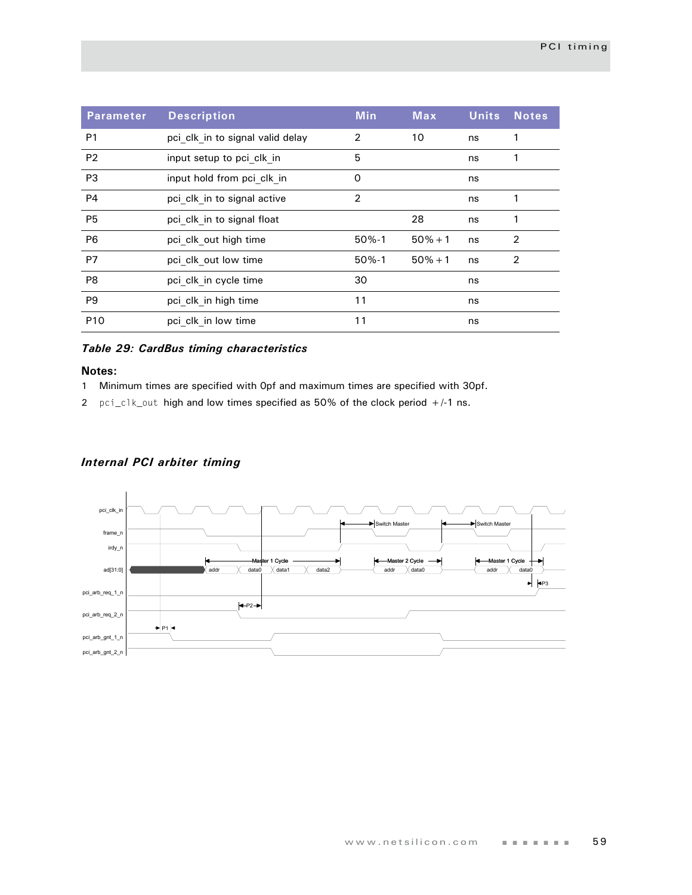| <b>Parameter</b> | <b>Description</b>               | <b>Min</b> | <b>Max</b> | <b>Units</b> | <b>Notes</b>   |
|------------------|----------------------------------|------------|------------|--------------|----------------|
| P <sub>1</sub>   | pci clk in to signal valid delay | 2          | 10         | ns           | 1              |
| P <sub>2</sub>   | input setup to pci clk in        | 5          |            | ns           |                |
| P <sub>3</sub>   | input hold from pci clk in       | 0          |            | ns           |                |
| <b>P4</b>        | pci clk in to signal active      | 2          |            | ns           |                |
| P <sub>5</sub>   | pci clk in to signal float       |            | 28         | ns           | 1              |
| P <sub>6</sub>   | pci clk out high time            | $50% - 1$  | $50% + 1$  | ns           | 2              |
| P7               | pci clk out low time             | $50% - 1$  | $50% + 1$  | ns           | $\overline{2}$ |
| P <sub>8</sub>   | pci clk in cycle time            | 30         |            | ns           |                |
| P <sub>9</sub>   | pci clk in high time             | 11         |            | ns           |                |
| P <sub>10</sub>  | pci clk in low time              | 11         |            | ns           |                |

## *Table 29: CardBus timing characteristics*

#### **Notes:**

- 1 Minimum times are specified with 0pf and maximum times are specified with 30pf.
- 2 pci\_clk\_out high and low times specified as 50% of the clock period +/-1 ns.

## *Internal PCI arbiter timing*

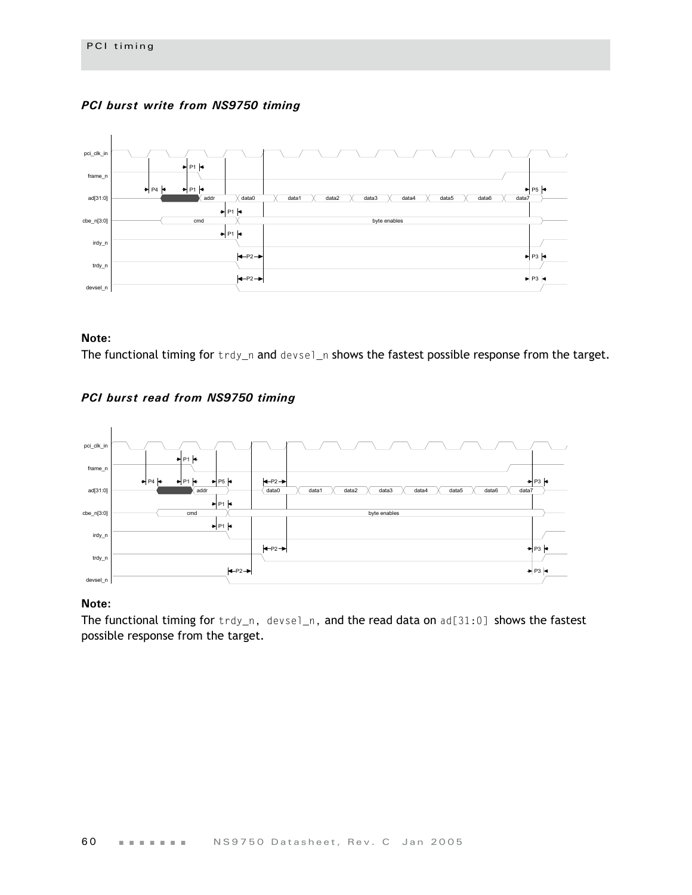



#### **Note:**

The functional timing for trdy\_n and devsel\_n shows the fastest possible response from the target.





## **Note:**

The functional timing for trdy\_n, devsel\_n, and the read data on ad[31:0] shows the fastest possible response from the target.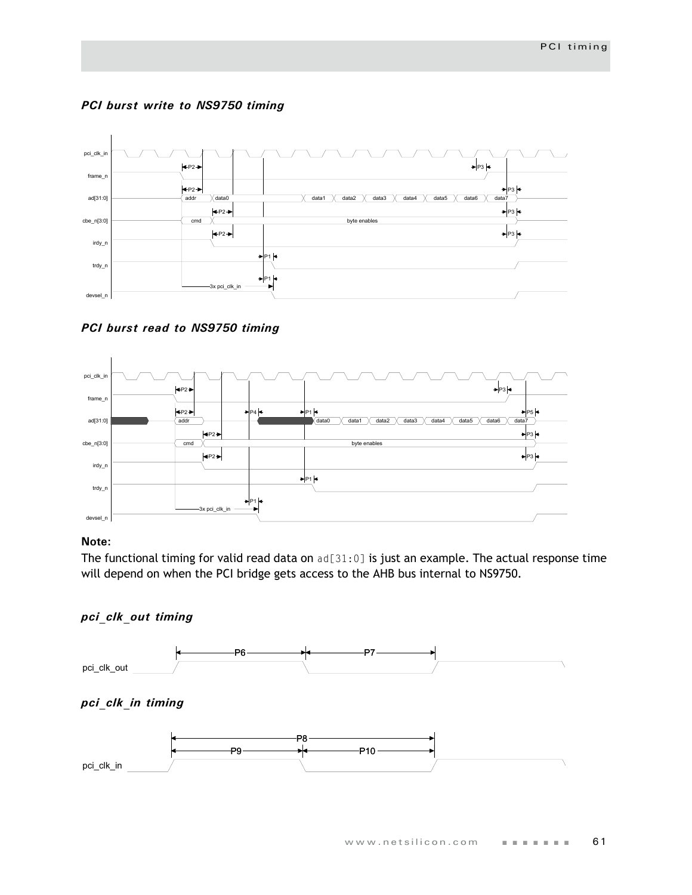

### *PCI burst write to NS9750 timing*

*PCI burst read to NS9750 timing*



### **Note:**

The functional timing for valid read data on ad[31:0] is just an example. The actual response time will depend on when the PCI bridge gets access to the AHB bus internal to NS9750.

## *pci\_clk\_out timing*

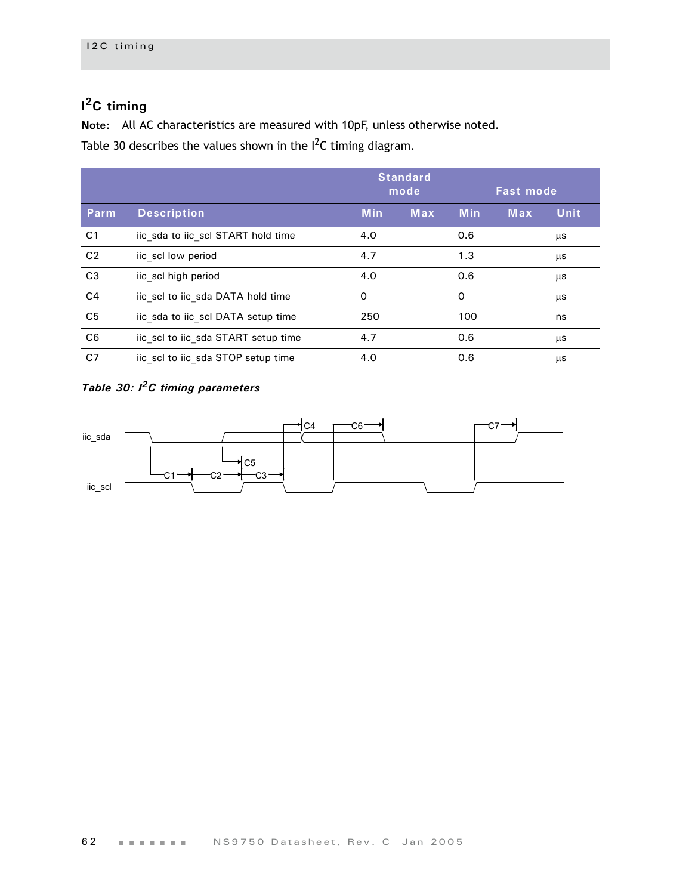## **I 2C timing**

**Note:** All AC characteristics are measured with 10pF, unless otherwise noted.

[Table 30](#page-65-0) describes the values shown in the  $I^2C$  timing diagram.

|                |                                     | <b>Standard</b><br>mode |            | <b>Fast mode</b> |            |             |
|----------------|-------------------------------------|-------------------------|------------|------------------|------------|-------------|
| Parm           | <b>Description</b>                  | <b>Min</b>              | <b>Max</b> | <b>Min</b>       | <b>Max</b> | <b>Unit</b> |
| C <sub>1</sub> | iic sda to iic scl START hold time  | 4.0                     |            | 0.6              |            | μs          |
| C <sub>2</sub> | iic scl low period                  | 4.7                     |            | 1.3              |            | μs          |
| C <sub>3</sub> | iic scl high period                 | 4.0                     |            | 0.6              |            | μs          |
| C <sub>4</sub> | iic scl to iic sda DATA hold time   | $\Omega$                |            | $\Omega$         |            | μs          |
| C <sub>5</sub> | iic sda to iic scl DATA setup time  | 250                     |            | 100              |            | ns          |
| C <sub>6</sub> | iic scl to iic sda START setup time | 4.7                     |            | 0.6              |            | μs          |
| C <sub>7</sub> | iic scl to iic sda STOP setup time  | 4.0                     |            | 0.6              |            | μs          |

## <span id="page-65-0"></span>*Table 30: I2C timing parameters*

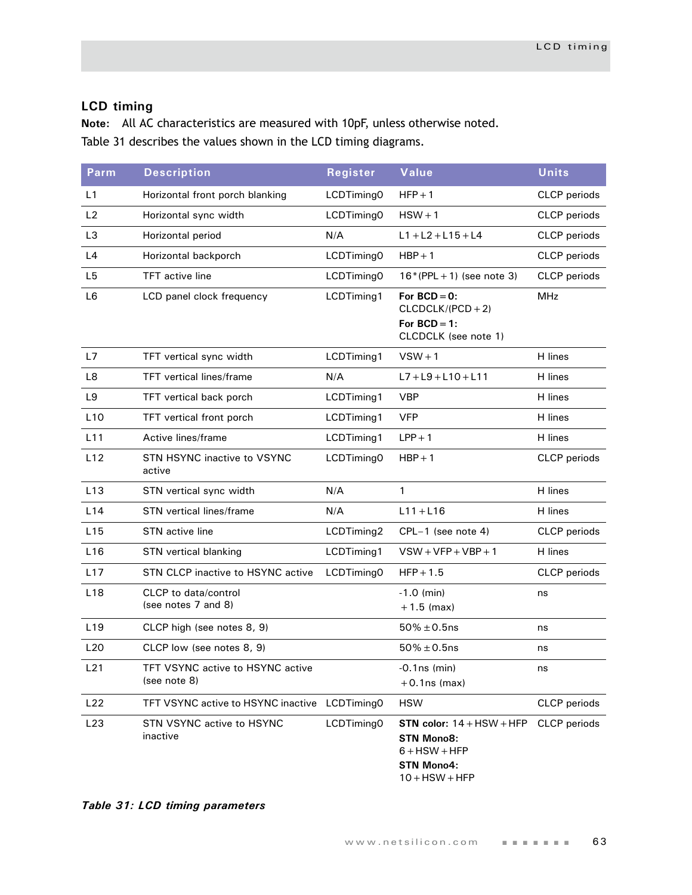## **LCD timing**

**Note:** All AC characteristics are measured with 10pF, unless otherwise noted. [Table 31](#page-66-0) describes the values shown in the LCD timing diagrams.

| <b>Parm</b>     | <b>Description</b>                                 | Register   | Value                                                                                                        | <b>Units</b>        |
|-----------------|----------------------------------------------------|------------|--------------------------------------------------------------------------------------------------------------|---------------------|
| L1              | Horizontal front porch blanking                    | LCDTiming0 | $HFP + 1$                                                                                                    | <b>CLCP</b> periods |
| L2              | Horizontal sync width                              | LCDTiming0 | $HSW + 1$                                                                                                    | CLCP periods        |
| L <sub>3</sub>  | Horizontal period                                  | N/A        | $L1 + L2 + L15 + L4$                                                                                         | CLCP periods        |
| L4              | Horizontal backporch                               | LCDTiming0 | $HBP + 1$                                                                                                    | CLCP periods        |
| L <sub>5</sub>  | <b>TFT</b> active line                             | LCDTiming0 | $16*(PPL + 1)$ (see note 3)                                                                                  | CLCP periods        |
| L <sub>6</sub>  | LCD panel clock frequency                          | LCDTiming1 | For $BCD = 0$ :<br>$CLCDCLK/(PCD + 2)$<br>For $BCD = 1$ :<br>CLCDCLK (see note 1)                            | <b>MHz</b>          |
| L7              | TFT vertical sync width                            | LCDTiming1 | $VSW + 1$                                                                                                    | H lines             |
| L8              | <b>TFT</b> vertical lines/frame                    | N/A        | $L7 + L9 + L10 + L11$                                                                                        | H lines             |
| L9              | TFT vertical back porch                            | LCDTiming1 | <b>VBP</b>                                                                                                   | H lines             |
| L10             | TFT vertical front porch                           | LCDTiming1 | <b>VFP</b>                                                                                                   | H lines             |
| L11             | Active lines/frame                                 | LCDTiming1 | $LPP + 1$                                                                                                    | H lines             |
| L12             | STN HSYNC inactive to VSYNC<br>active              | LCDTiming0 | $HBP + 1$                                                                                                    | <b>CLCP</b> periods |
| L13             | STN vertical sync width                            | N/A        | $\mathbf{1}$                                                                                                 | H lines             |
| L14             | <b>STN</b> vertical lines/frame                    | N/A        | $L11 + L16$                                                                                                  | H lines             |
| L15             | STN active line                                    | LCDTiming2 | CPL-1 (see note 4)                                                                                           | <b>CLCP</b> periods |
| L16             | STN vertical blanking                              | LCDTiming1 | $VSW+VFP+VBP+1$                                                                                              | H lines             |
| L17             | STN CLCP inactive to HSYNC active                  | LCDTiming0 | $HFP + 1.5$                                                                                                  | <b>CLCP</b> periods |
| L <sub>18</sub> | <b>CLCP</b> to data/control<br>(see notes 7 and 8) |            | $-1.0$ (min)<br>$+1.5$ (max)                                                                                 | ns                  |
| L <sub>19</sub> | CLCP high (see notes 8, 9)                         |            | $50\% \pm 0.5$ ns                                                                                            | ns                  |
| L20             | CLCP low (see notes 8, 9)                          |            | $50\% \pm 0.5$ ns                                                                                            | ns                  |
| L21             | TFT VSYNC active to HSYNC active<br>(see note 8)   |            | $-0.1$ ns (min)<br>$+0.1$ ns (max)                                                                           | ns                  |
| L22             | TFT VSYNC active to HSYNC inactive                 | LCDTiming0 | <b>HSW</b>                                                                                                   | <b>CLCP</b> periods |
| L23             | STN VSYNC active to HSYNC<br>inactive              | LCDTiming0 | STN color: $14 + HSW + HFP$<br><b>STN Mono8:</b><br>$6 + HSW + HFP$<br><b>STN Mono4:</b><br>$10 +$ HSW + HFP | <b>CLCP</b> periods |

<span id="page-66-0"></span>*Table 31: LCD timing parameters*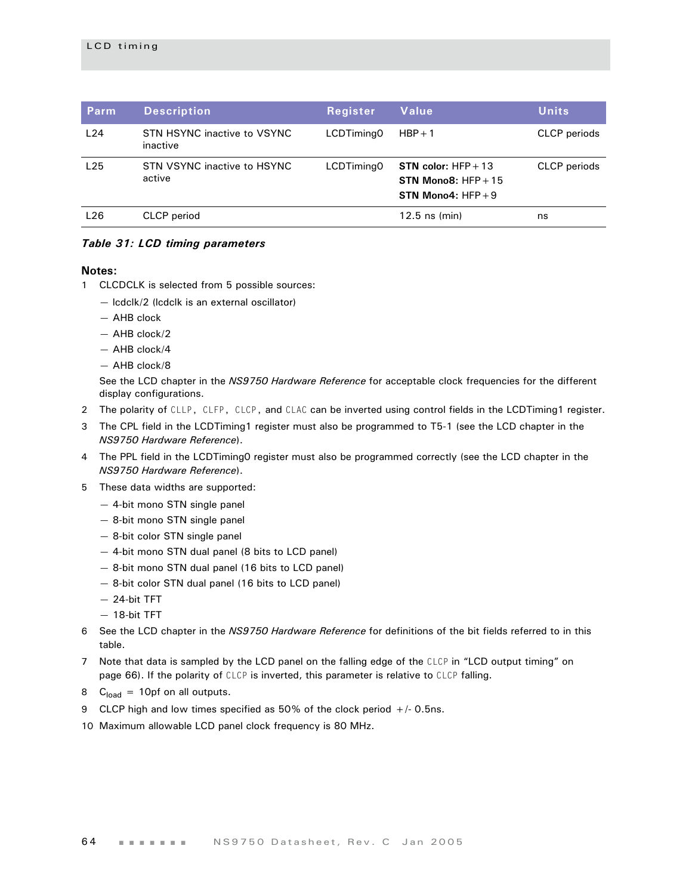| Parm | <b>Description</b>                      | <b>Register</b> | Value                                                                              | <b>Units</b>        |
|------|-----------------------------------------|-----------------|------------------------------------------------------------------------------------|---------------------|
| L24  | STN HSYNC inactive to VSYNC<br>inactive | LCDTiming0      | $HBP + 1$                                                                          | <b>CLCP</b> periods |
| L25  | STN VSYNC inactive to HSYNC<br>active   | LCDTiming0      | <b>STN</b> color: $HFP + 13$<br>STN Mono8: $HFP + 15$<br><b>STN Mono4: HFP + 9</b> | <b>CLCP</b> periods |
| L26  | <b>CLCP</b> period                      |                 | $12.5$ ns (min)                                                                    | ns                  |

#### *Table 31: LCD timing parameters*

#### **Notes:**

- 1 CLCDCLK is selected from 5 possible sources:
	- lcdclk/2 (lcdclk is an external oscillator)
	- AHB clock
	- AHB clock/2
	- AHB clock/4
	- AHB clock/8

See the LCD chapter in the *NS9750 Hardware Reference* for acceptable clock frequencies for the different display configurations.

- 2 The polarity of CLLP, CLFP, CLCP, and CLAC can be inverted using control fields in the LCDTiming1 register.
- 3 The CPL field in the LCDTiming1 register must also be programmed to T5-1 (see the LCD chapter in the *NS9750 Hardware Reference*).
- 4 The PPL field in the LCDTiming0 register must also be programmed correctly (see the LCD chapter in the *NS9750 Hardware Reference*).
- 5 These data widths are supported:
	- 4-bit mono STN single panel
	- 8-bit mono STN single panel
	- 8-bit color STN single panel
	- 4-bit mono STN dual panel (8 bits to LCD panel)
	- 8-bit mono STN dual panel (16 bits to LCD panel)
	- 8-bit color STN dual panel (16 bits to LCD panel)
	- 24-bit TFT
	- 18-bit TFT
- 6 See the LCD chapter in the *NS9750 Hardware Reference* for definitions of the bit fields referred to in this table.
- 7 Note that data is sampled by the LCD panel on the falling edge of the CLCP in "LCD output timing" on page 66). If the polarity of CLCP is inverted, this parameter is relative to CLCP falling.
- 8  $C<sub>load</sub> = 10pf$  on all outputs.
- 9 CLCP high and low times specified as 50% of the clock period +/- 0.5ns.
- 10 Maximum allowable LCD panel clock frequency is 80 MHz.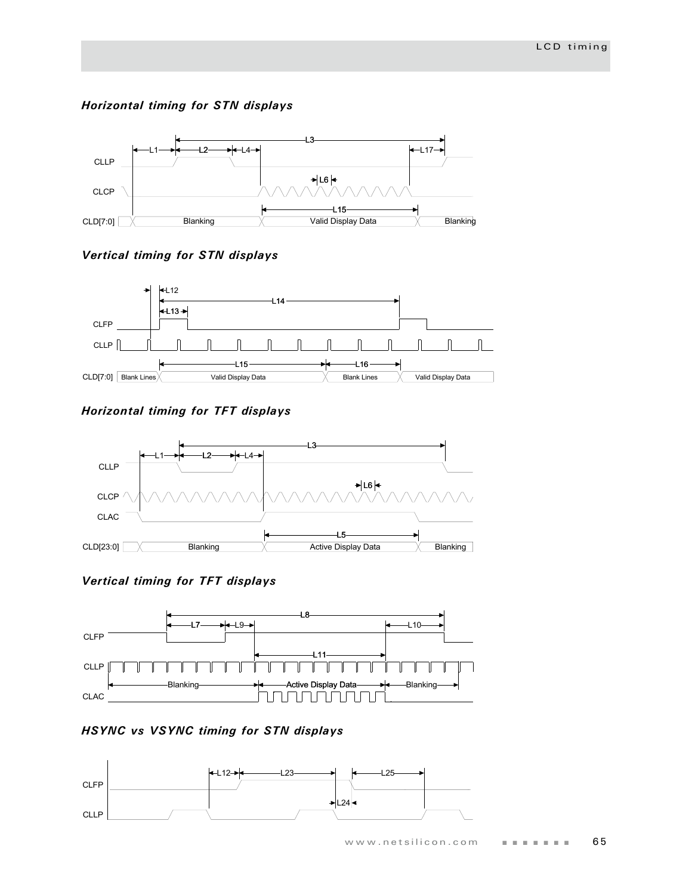## *Horizontal timing for STN displays*



## *Vertical timing for STN displays*



## *Horizontal timing for TFT displays*



## *Vertical timing for TFT displays*



## *HSYNC vs VSYNC timing for STN displays*

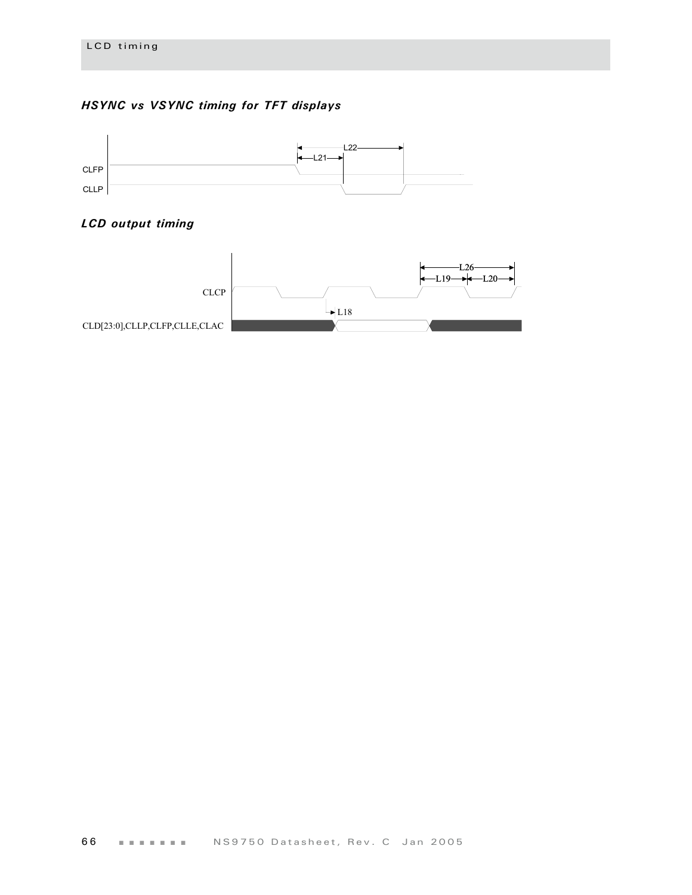## *HSYNC vs VSYNC timing for TFT displays*



## *LCD output timing*

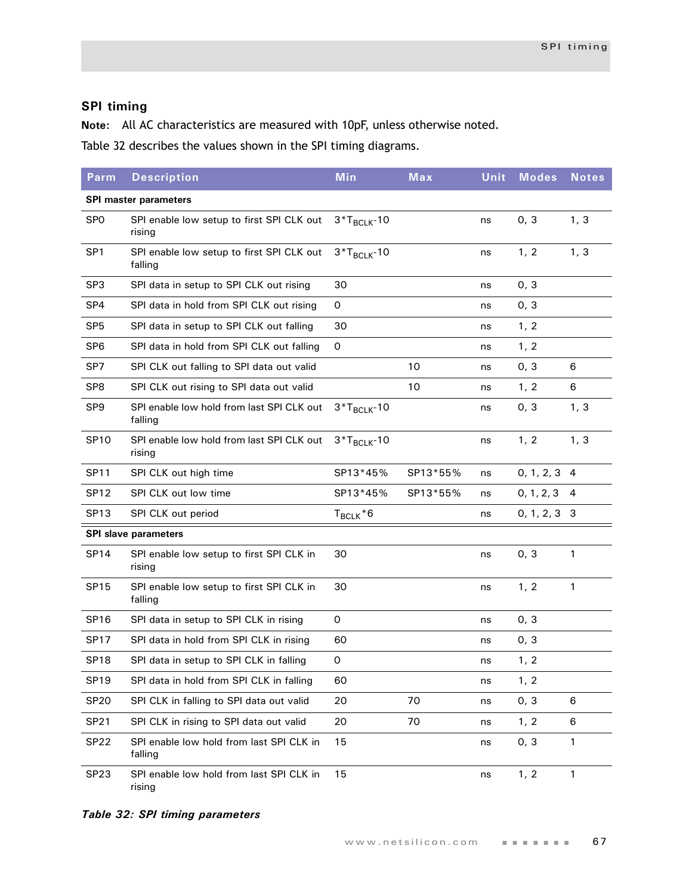## **SPI timing**

**Note:** All AC characteristics are measured with 10pF, unless otherwise noted.

[Table 32](#page-70-0) describes the values shown in the SPI timing diagrams.

| Parm                         | <b>Description</b>                                   | <b>Min</b>       | Max      | Unit | <b>Modes</b>   | <b>Notes</b>   |
|------------------------------|------------------------------------------------------|------------------|----------|------|----------------|----------------|
| <b>SPI master parameters</b> |                                                      |                  |          |      |                |                |
| <b>SPO</b>                   | SPI enable low setup to first SPI CLK out<br>rising  | $3*T_{BCLK}$ -10 |          | ns   | 0, 3           | 1, 3           |
| SP <sub>1</sub>              | SPI enable low setup to first SPI CLK out<br>falling | $3*T_{BCLK}$ -10 |          | ns   | 1, 2           | 1, 3           |
| SP <sub>3</sub>              | SPI data in setup to SPI CLK out rising              | 30               |          | ns   | 0, 3           |                |
| SP4                          | SPI data in hold from SPI CLK out rising             | 0                |          | ns   | 0, 3           |                |
| SP <sub>5</sub>              | SPI data in setup to SPI CLK out falling             | 30               |          | ns   | 1, 2           |                |
| SP <sub>6</sub>              | SPI data in hold from SPI CLK out falling            | 0                |          | ns   | 1, 2           |                |
| SP7                          | SPI CLK out falling to SPI data out valid            |                  | 10       | ns   | 0, 3           | 6              |
| SP <sub>8</sub>              | SPI CLK out rising to SPI data out valid             |                  | 10       | ns   | 1, 2           | 6              |
| SP <sub>9</sub>              | SPI enable low hold from last SPI CLK out<br>falling | $3*T_{BCLK}$ -10 |          | ns   | 0, 3           | 1, 3           |
| <b>SP10</b>                  | SPI enable low hold from last SPI CLK out<br>rising  | $3*T_{BCLK}$ -10 |          | ns   | 1, 2           | 1, 3           |
| <b>SP11</b>                  | SPI CLK out high time                                | SP13*45%         | SP13*55% | ns   | $0, 1, 2, 3$ 4 |                |
| <b>SP12</b>                  | SPI CLK out low time                                 | SP13*45%         | SP13*55% | ns   | 0, 1, 2, 3     | $\overline{4}$ |
| SP <sub>13</sub>             | SPI CLK out period                                   | $T_{BCLK}$ *6    |          | ns   | $0, 1, 2, 3$ 3 |                |
|                              | <b>SPI slave parameters</b>                          |                  |          |      |                |                |
| <b>SP14</b>                  | SPI enable low setup to first SPI CLK in<br>rising   | 30               |          | ns   | 0, 3           | $\mathbf{1}$   |
| <b>SP15</b>                  | SPI enable low setup to first SPI CLK in<br>falling  | 30               |          | ns   | 1, 2           | $\mathbf{1}$   |
| <b>SP16</b>                  | SPI data in setup to SPI CLK in rising               | 0                |          | ns   | 0, 3           |                |
| <b>SP17</b>                  | SPI data in hold from SPI CLK in rising              | 60               |          | ns   | 0, 3           |                |
| <b>SP18</b>                  | SPI data in setup to SPI CLK in falling              | 0                |          | ns   | 1, 2           |                |
| <b>SP19</b>                  | SPI data in hold from SPI CLK in falling             | 60               |          | ns   | 1, 2           |                |
| <b>SP20</b>                  | SPI CLK in falling to SPI data out valid             | 20               | 70       | ns   | 0, 3           | 6              |
| <b>SP21</b>                  | SPI CLK in rising to SPI data out valid              | 20               | 70       | ns   | 1, 2           | 6              |
| <b>SP22</b>                  | SPI enable low hold from last SPI CLK in<br>falling  | 15               |          | ns   | 0, 3           | $\mathbf{1}$   |
| SP <sub>23</sub>             | SPI enable low hold from last SPI CLK in<br>rising   | 15               |          | ns   | 1, 2           | $\mathbf{1}$   |

<span id="page-70-0"></span>*Table 32: SPI timing parameters*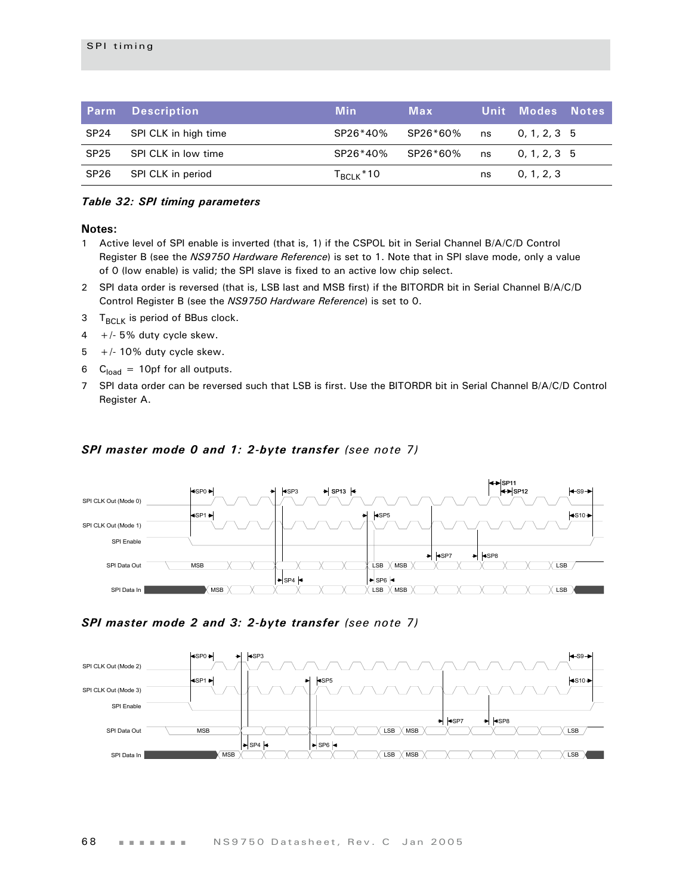|                  | <b>Parm</b> Description | Min                | Max |    | <u>Unit Modes Notes</u> |  |
|------------------|-------------------------|--------------------|-----|----|-------------------------|--|
| SP <sub>24</sub> | SPI CLK in high time    | SP26*40% SP26*60%  |     | ns | 0, 1, 2, 3, 5           |  |
| SP <sub>25</sub> | SPI CLK in low time     | SP26*40% SP26*60%  |     | ns | 0, 1, 2, 3, 5           |  |
| SP <sub>26</sub> | SPI CLK in period       | $T_{\rm BCLK}$ *10 |     | ns | 0, 1, 2, 3              |  |

#### *Table 32: SPI timing parameters*

#### **Notes:**

- 1 Active level of SPI enable is inverted (that is, 1) if the CSPOL bit in Serial Channel B/A/C/D Control Register B (see the *NS9750 Hardware Reference*) is set to 1. Note that in SPI slave mode, only a value of 0 (low enable) is valid; the SPI slave is fixed to an active low chip select.
- 2 SPI data order is reversed (that is, LSB last and MSB first) if the BITORDR bit in Serial Channel B/A/C/D Control Register B (see the *NS9750 Hardware Reference*) is set to 0.
- 3  $T_{BCl K}$  is period of BBus clock.
- $4 +/- 5\%$  duty cycle skew.
- $5 +/- 10\%$  duty cycle skew.
- 6  $C_{load}$  = 10pf for all outputs.
- 7 SPI data order can be reversed such that LSB is first. Use the BITORDR bit in Serial Channel B/A/C/D Control Register A.

#### *SPI master mode 0 and 1: 2-byte transfer (see note 7)*



#### *SPI master mode 2 and 3: 2-byte transfer (see note 7)*

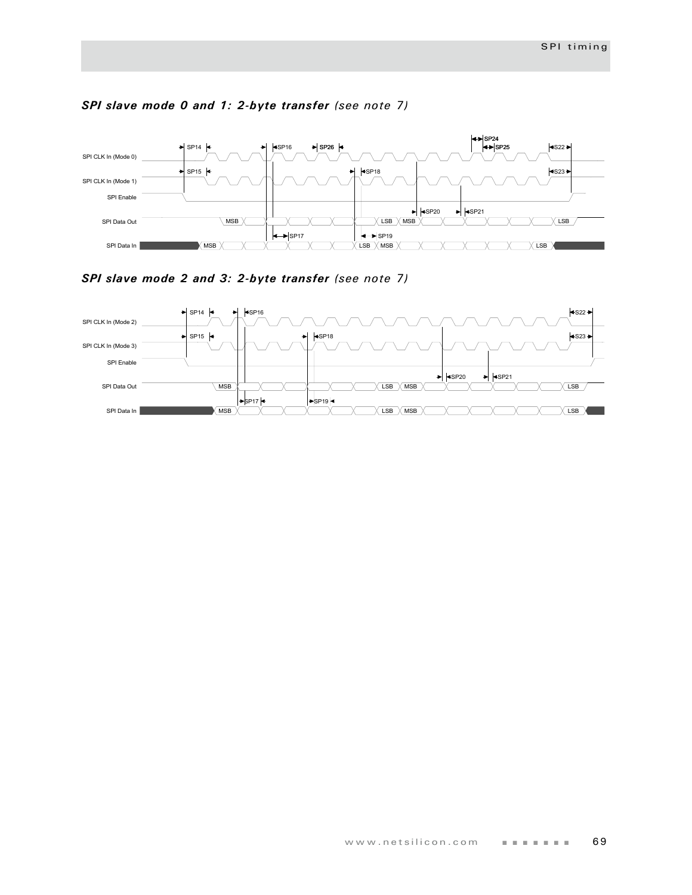

## *SPI slave mode 0 and 1: 2-byte transfer (see note 7)*

*SPI slave mode 2 and 3: 2-byte transfer (see note 7)*

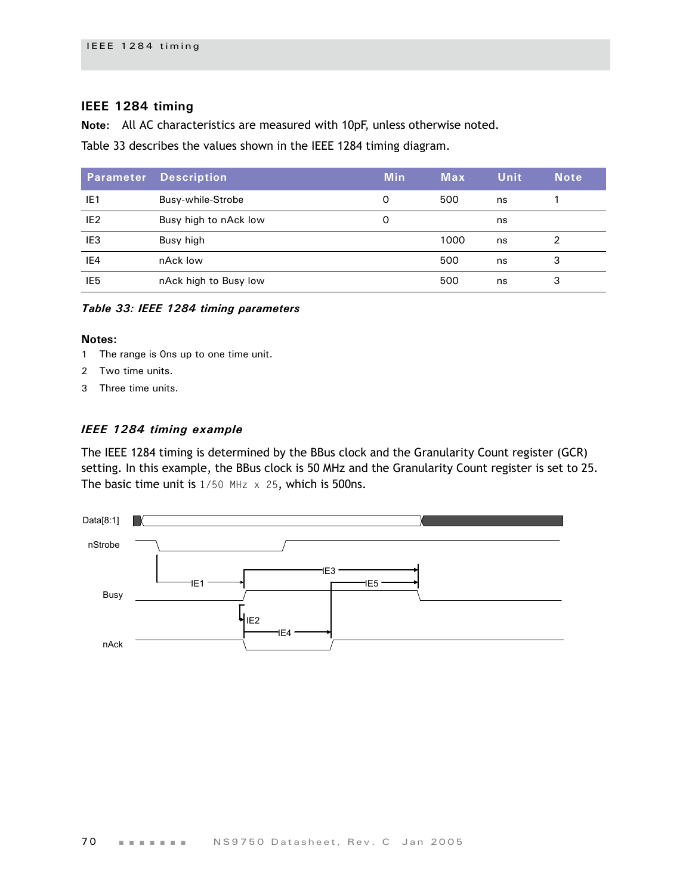## **IEEE 1284 timing**

**Note:** All AC characteristics are measured with 10pF, unless otherwise noted.

[Table 33](#page-73-0) describes the values shown in the IEEE 1284 timing diagram.

| Parameter       | <b>Description</b>    | <b>Min</b> | Max  | Unit | <b>Note</b> |
|-----------------|-----------------------|------------|------|------|-------------|
| IE1             | Busy-while-Strobe     | 0          | 500  | ns   |             |
| IE <sub>2</sub> | Busy high to nAck low | 0          |      | ns   |             |
| IE <sub>3</sub> | Busy high             |            | 1000 | ns   |             |
| IE4             | nAck low              |            | 500  | ns   | 3           |
| IE <sub>5</sub> | nAck high to Busy low |            | 500  | ns   | 3           |

<span id="page-73-0"></span>*Table 33: IEEE 1284 timing parameters*

#### **Notes:**

- 1 The range is 0ns up to one time unit.
- 2 Two time units.
- 3 Three time units.

#### *IEEE 1284 timing example*

The IEEE 1284 timing is determined by the BBus clock and the Granularity Count register (GCR) setting. In this example, the BBus clock is 50 MHz and the Granularity Count register is set to 25. The basic time unit is  $1/50$  MHz  $\times$  25, which is 500ns.

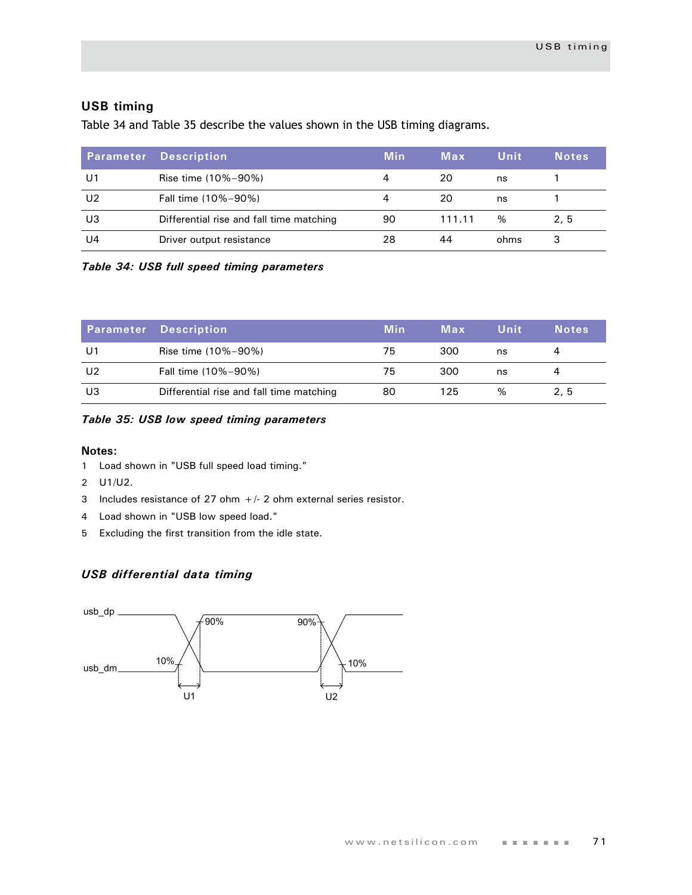## **USB timing**

[Table 34](#page-74-0) and [Table 35](#page-74-1) describe the values shown in the USB timing diagrams.

| <b>Parameter</b> | Description                              | <b>Min</b> | Max    | Unit | <b>Notes</b> |
|------------------|------------------------------------------|------------|--------|------|--------------|
| U1               | Rise time (10%-90%)                      |            | 20     | ns   |              |
| U2               | Fall time (10%-90%)                      |            | 20     | ns   |              |
| U3               | Differential rise and fall time matching | 90         | 111.11 | %    | 2, 5         |
| U4               | Driver output resistance                 | 28         | 44     | ohms | 3            |

<span id="page-74-0"></span>*Table 34: USB full speed timing parameters*

|    | <b>Parameter Description</b>             | <b>Min</b> | Max | Unit | <b>Notes</b> |
|----|------------------------------------------|------------|-----|------|--------------|
| U1 | Rise time (10%-90%)                      | 75         | 300 | ns   | 4            |
| U2 | Fall time (10%-90%)                      | 75         | 300 | ns   | 4            |
| U3 | Differential rise and fall time matching | 80         | 125 | $\%$ | 2, 5         |

#### <span id="page-74-1"></span>*Table 35: USB low speed timing parameters*

#### **Notes:**

- 1 Load shown in ["USB full speed load timing."](#page-75-0)
- 2 U1/U2.
- 3 Includes resistance of 27 ohm  $+/-$  2 ohm external series resistor.
- 4 Load shown in ["USB low speed load."](#page-75-1)
- 5 Excluding the first transition from the idle state.

## *USB differential data timing*

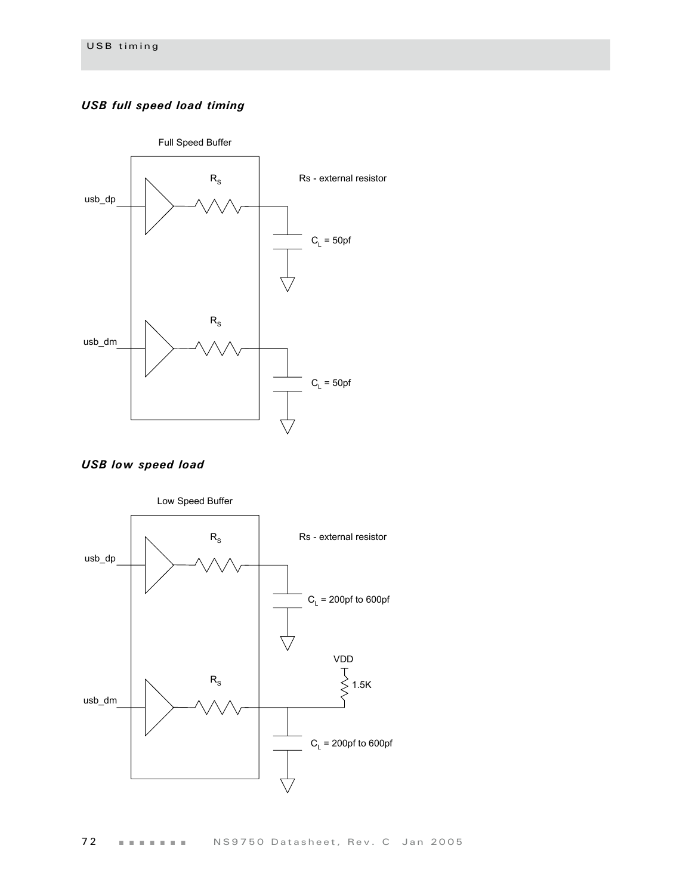# <span id="page-75-0"></span>*USB full speed load timing*



<span id="page-75-1"></span>*USB low speed load*

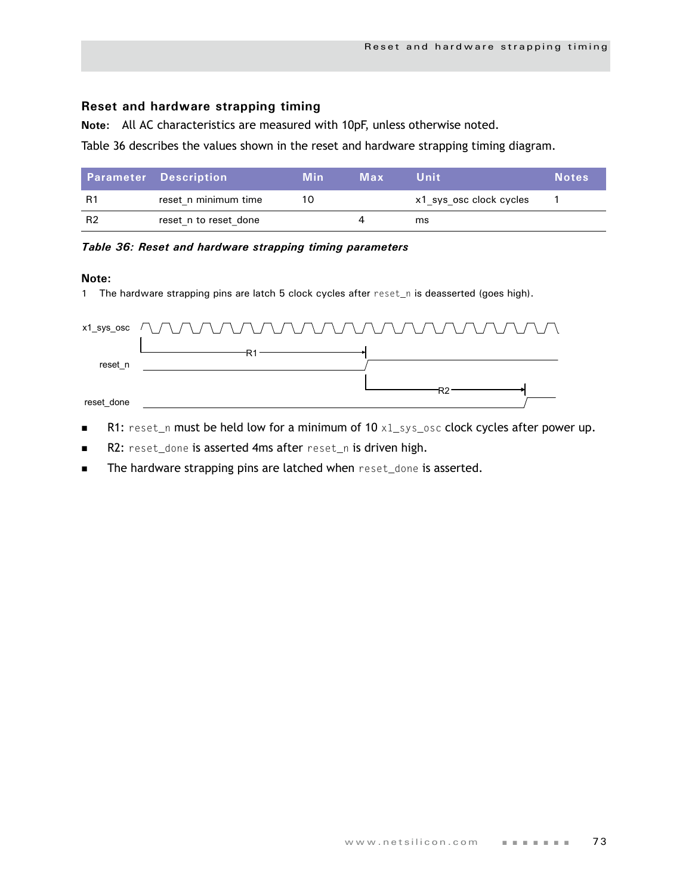# **Reset and hardware strapping timing**

**Note:** All AC characteristics are measured with 10pF, unless otherwise noted.

[Table 36](#page-76-0) describes the values shown in the reset and hardware strapping timing diagram.

|                | <b>Parameter Description</b> | Min | Max | Unit                    | <b>Notes</b> |
|----------------|------------------------------|-----|-----|-------------------------|--------------|
| R1             | reset n minimum time         | 10  |     | x1 sys osc clock cycles |              |
| R <sub>2</sub> | reset n to reset done        |     |     | ms                      |              |

#### <span id="page-76-0"></span>*Table 36: Reset and hardware strapping timing parameters*

#### **Note:**

1 The hardware strapping pins are latch 5 clock cycles after reset\_n is deasserted (goes high).

|            | x1_sys_osc $\wedge$ $\wedge$ $\wedge$ $\wedge$ $\wedge$ $\wedge$ $\wedge$ $\wedge$ $\wedge$ $\wedge$ $\wedge$ $\wedge$ $\wedge$ $\wedge$ $\wedge$ $\wedge$ $\wedge$ $\wedge$ |
|------------|------------------------------------------------------------------------------------------------------------------------------------------------------------------------------|
|            |                                                                                                                                                                              |
| reset n    |                                                                                                                                                                              |
|            |                                                                                                                                                                              |
| reset done |                                                                                                                                                                              |

- R1: reset\_n must be held low for a minimum of  $10 \times 1$ \_sys\_osc clock cycles after power up.
- R2: reset\_done is asserted 4ms after reset\_n is driven high.
- The hardware strapping pins are latched when reset\_done is asserted.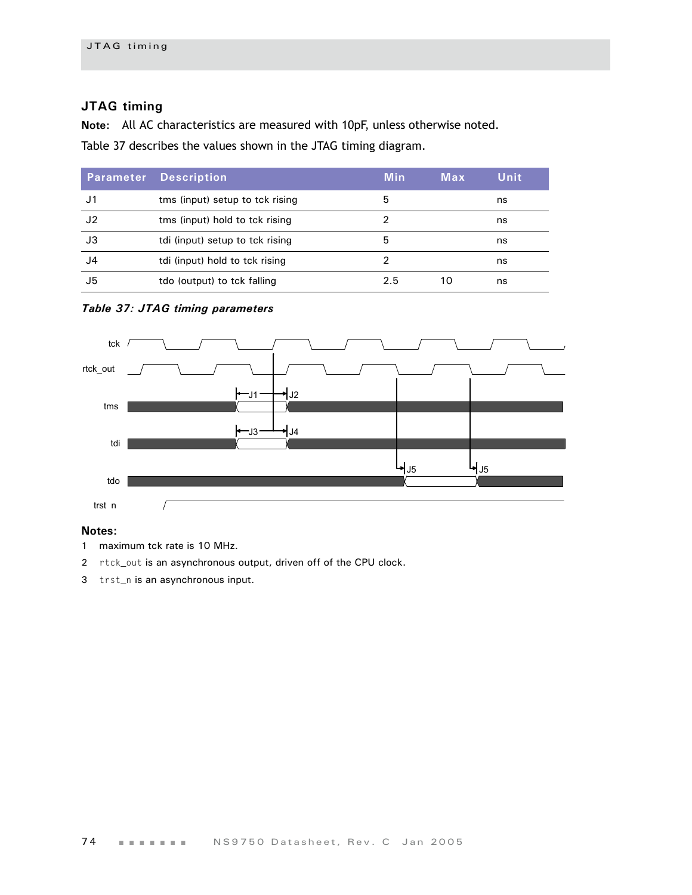# **JTAG timing**

**Note:** All AC characteristics are measured with 10pF, unless otherwise noted.

[Table 37](#page-77-0) describes the values shown in the JTAG timing diagram.

| <b>Parameter</b> | <b>Description</b>              | <b>Min</b> | Max | Unit |
|------------------|---------------------------------|------------|-----|------|
| J1               | tms (input) setup to tck rising | 5          |     | ns   |
| J2               | tms (input) hold to tck rising  |            |     | ns   |
| JЗ               | tdi (input) setup to tck rising | 5          |     | ns   |
| J4               | tdi (input) hold to tck rising  | 2          |     | ns   |
| J5               | tdo (output) to tck falling     | 2.5        | 10  | ns   |

#### <span id="page-77-0"></span>*Table 37: JTAG timing parameters*



## **Notes:**

- 1 maximum tck rate is 10 MHz.
- 2 rtck\_out is an asynchronous output, driven off of the CPU clock.
- 3 trst\_n is an asynchronous input.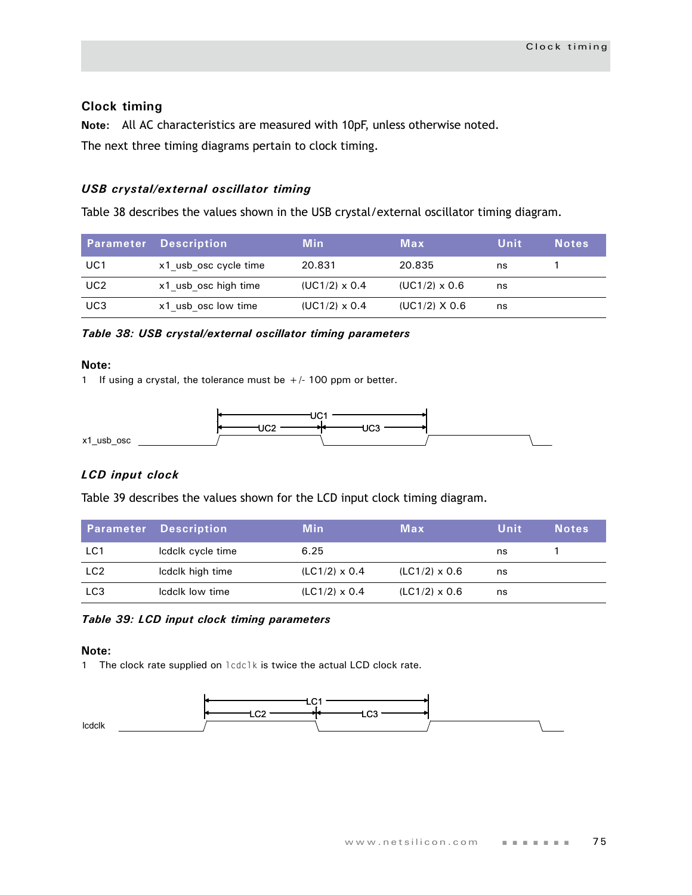## **Clock timing**

**Note:** All AC characteristics are measured with 10pF, unless otherwise noted. The next three timing diagrams pertain to clock timing.

## *USB crystal/external oscillator timing*

[Table 38](#page-78-0) describes the values shown in the USB crystal/external oscillator timing diagram.

|                 | <b>Parameter Description</b> | <b>Min</b>           | Max                  | Unit | <b>Notes</b> |
|-----------------|------------------------------|----------------------|----------------------|------|--------------|
| UC1             | x1 usb osc cycle time        | 20.831               | 20.835               | ns   |              |
| UC <sub>2</sub> | x1 usb osc high time         | $(UC1/2) \times 0.4$ | $(UC1/2) \times 0.6$ | ns   |              |
| UC3             | x1 usb osc low time          | $(UC1/2) \times 0.4$ | $(UC1/2)$ X 0.6      | ns   |              |

<span id="page-78-0"></span>*Table 38: USB crystal/external oscillator timing parameters*

#### **Note:**

1 If using a crystal, the tolerance must be  $+/-100$  ppm or better.



## *LCD input clock*

[Table 39](#page-78-1) describes the values shown for the LCD input clock timing diagram.

|                 | <b>Parameter Description</b> | <b>Min</b>           | Max                  | Unit | <b>Notes</b> |
|-----------------|------------------------------|----------------------|----------------------|------|--------------|
| LC1             | Icdclk cycle time            | 6.25                 |                      | ns   |              |
| LC <sub>2</sub> | Icdclk high time             | $(LC1/2) \times 0.4$ | $(LC1/2) \times 0.6$ | ns   |              |
| LC <sub>3</sub> | Icdclk low time              | $(LC1/2) \times 0.4$ | $(LC1/2) \times 0.6$ | ns   |              |

<span id="page-78-1"></span>*Table 39: LCD input clock timing parameters*

#### **Note:**

1 The clock rate supplied on lcdclk is twice the actual LCD clock rate.

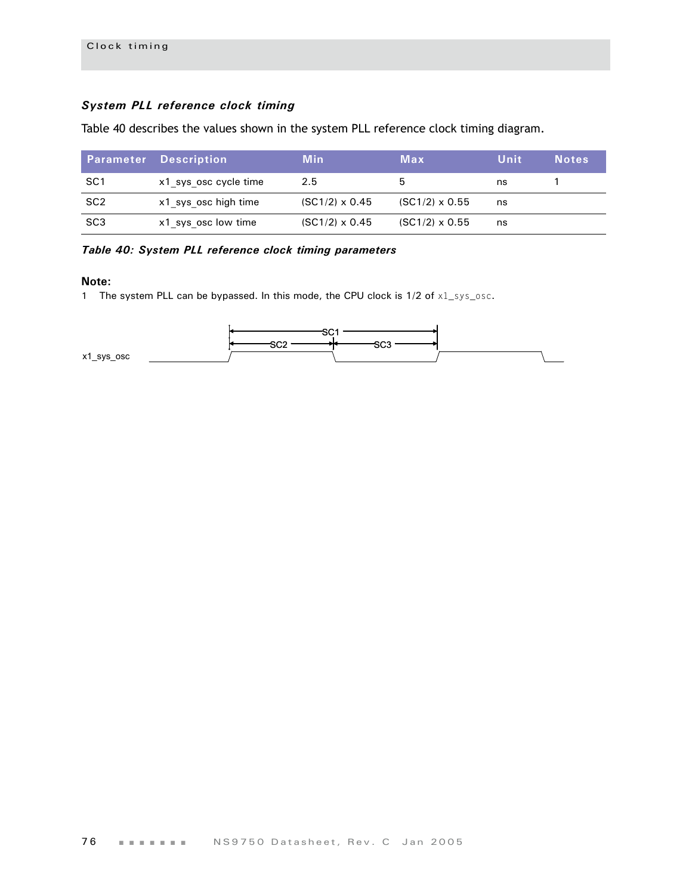# *System PLL reference clock timing*

Table 40 describes the values shown in the system PLL reference clock timing diagram.

|                 | <b>Parameter Description</b> | <b>Min</b>            | Max                   | Unit | <b>Notes</b> |
|-----------------|------------------------------|-----------------------|-----------------------|------|--------------|
| SC <sub>1</sub> | x1 sys osc cycle time        | 2.5                   | 5                     | ns   |              |
| SC <sub>2</sub> | x1 sys osc high time         | $(SC1/2) \times 0.45$ | $(SC1/2) \times 0.55$ | ns   |              |
| SC <sub>3</sub> | x1 sys osc low time          | $(SC1/2) \times 0.45$ | $(SC1/2) \times 0.55$ | ns   |              |

## *Table 40: System PLL reference clock timing parameters*

#### **Note:**

1 The system PLL can be bypassed. In this mode, the CPU clock is  $1/2$  of  $x1$ \_sys\_osc.

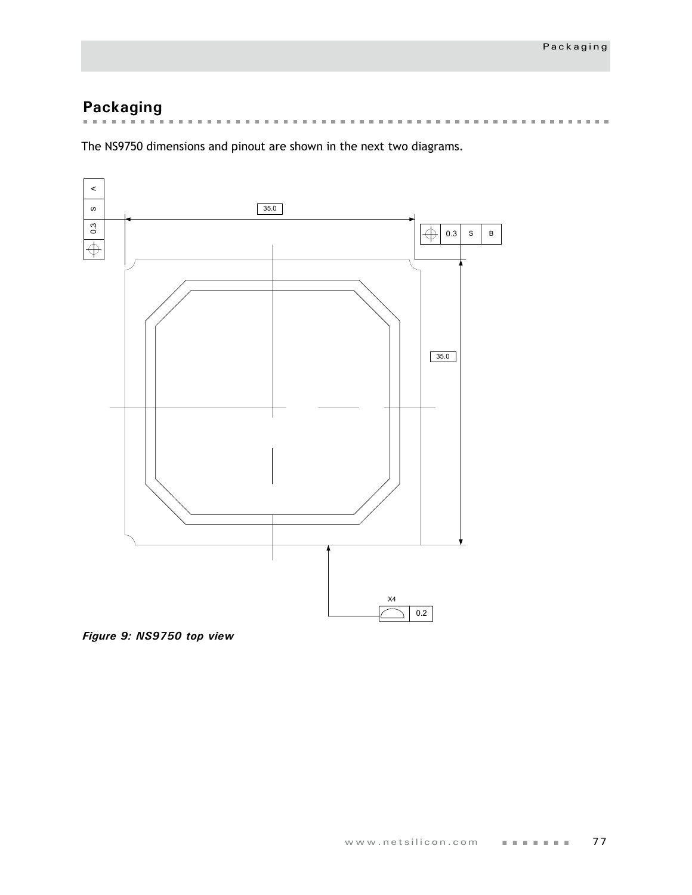# **Packaging**

the contract of the con-. . . . . . . . . . . . . . . . . . .  $\mathbf{m}$  $\mathbf{m}$  $\mathbb{R}^d$  $\mathbf{m}$  $\mathbf{m}$  $\mathbf{m}$  $\bar{\mathbf{u}}$  $\bar{a}$  $\mathbb{R}^n$  $\mathbf{m}$  $\mathbb{R}^d$  $\mathbf{r}$  $\bar{\mathbf{u}}$  $\mathbf{m}$  $\mathbf{m}$  $\mathbf{m}$  $\mathbf{m}$  $\mathbf{m}$  $\mathbf{m}$  $\mathbb{R}^d$  $\mathbf{m}$ 

The NS9750 dimensions and pinout are shown in the next two diagrams.



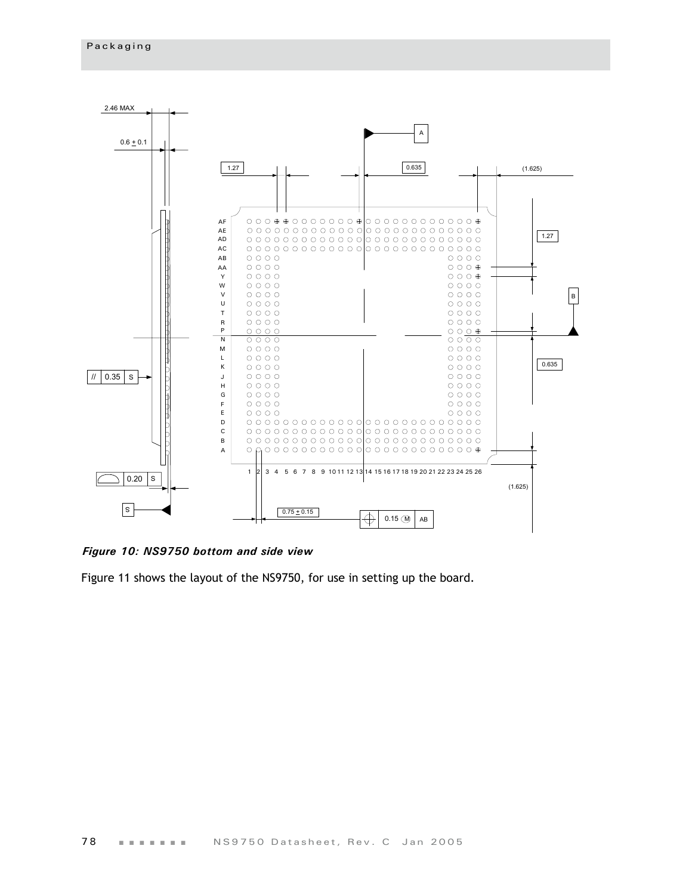

*Figure 10: NS9750 bottom and side view*

Figure 11 shows the layout of the NS9750, for use in setting up the board.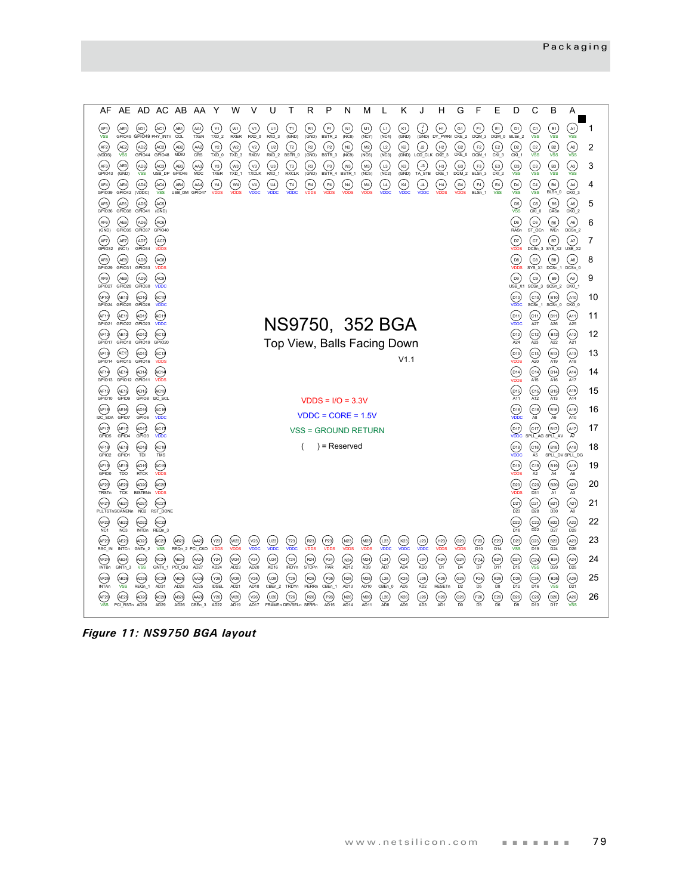

*Figure 11: NS9750 BGA layout*